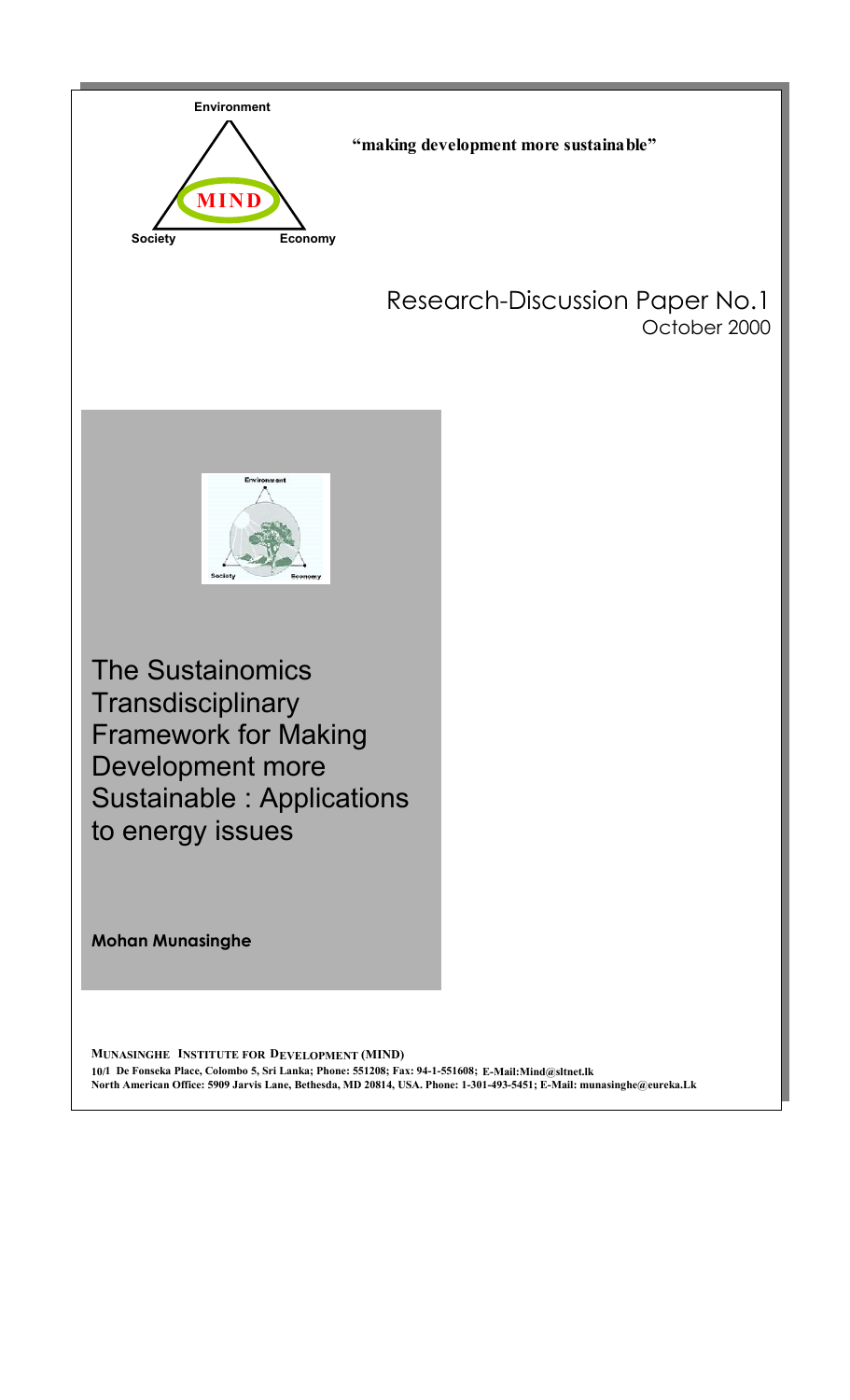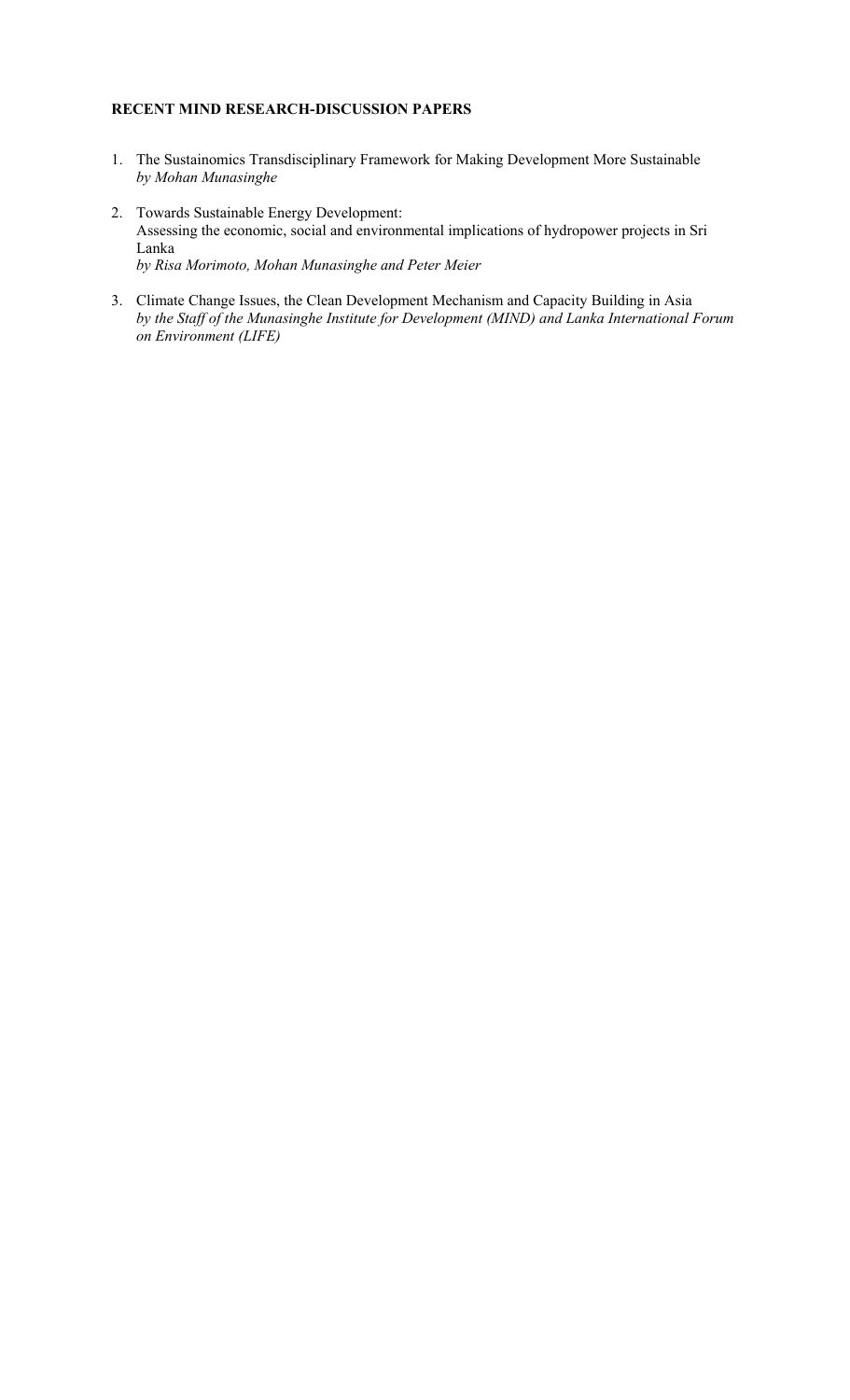# **RECENT MIND RESEARCH-DISCUSSION PAPERS**

- 1. The Sustainomics Transdisciplinary Framework for Making Development More Sustainable *by Mohan Munasinghe*
- 2. Towards Sustainable Energy Development: Assessing the economic, social and environmental implications of hydropower projects in Sri Lanka *by Risa Morimoto, Mohan Munasinghe and Peter Meier*
- 3. Climate Change Issues, the Clean Development Mechanism and Capacity Building in Asia *by the Staff of the Munasinghe Institute for Development (MIND) and Lanka International Forum on Environment (LIFE)*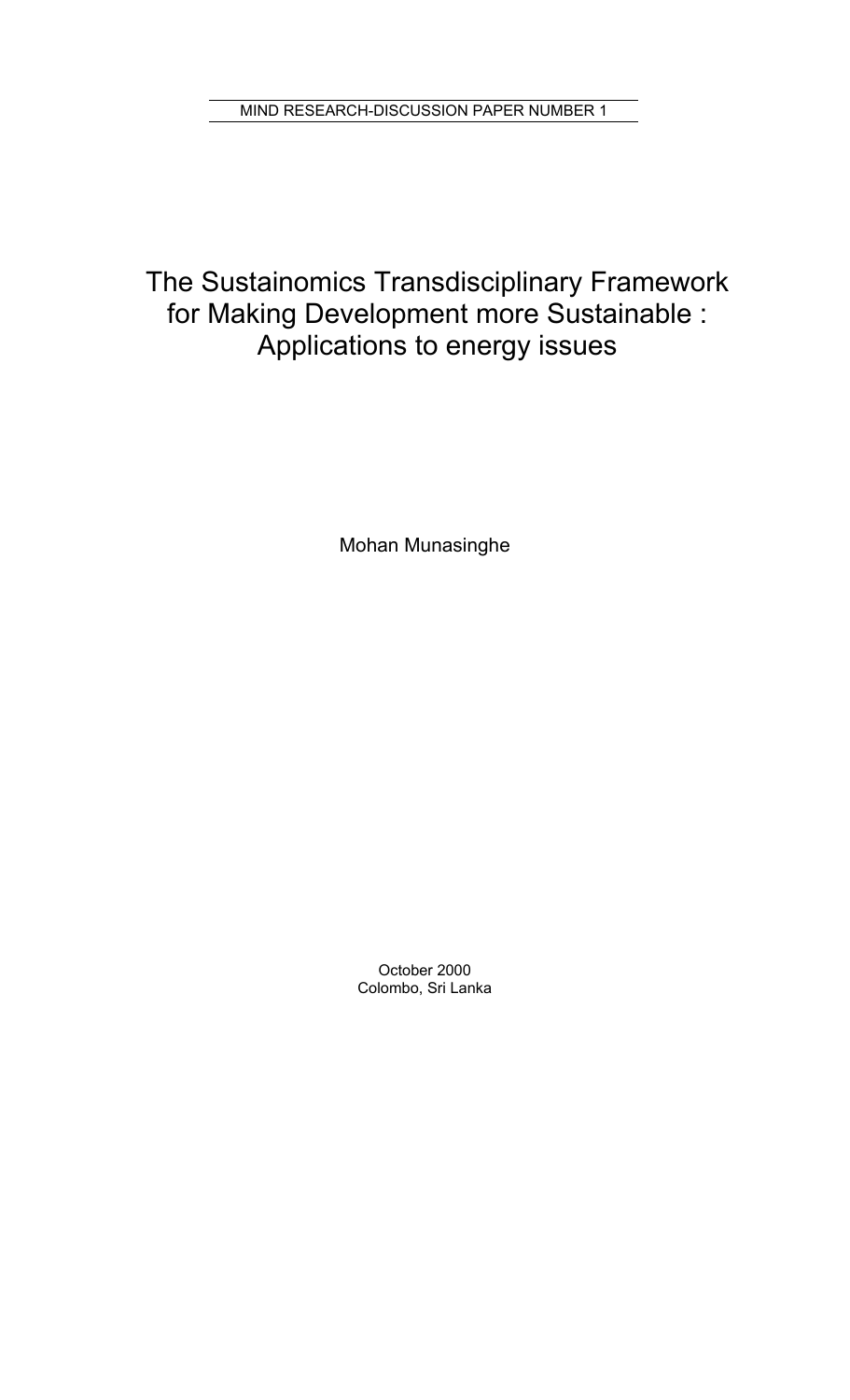# The Sustainomics Transdisciplinary Framework for Making Development more Sustainable : Applications to energy issues

Mohan Munasinghe

October 2000 Colombo, Sri Lanka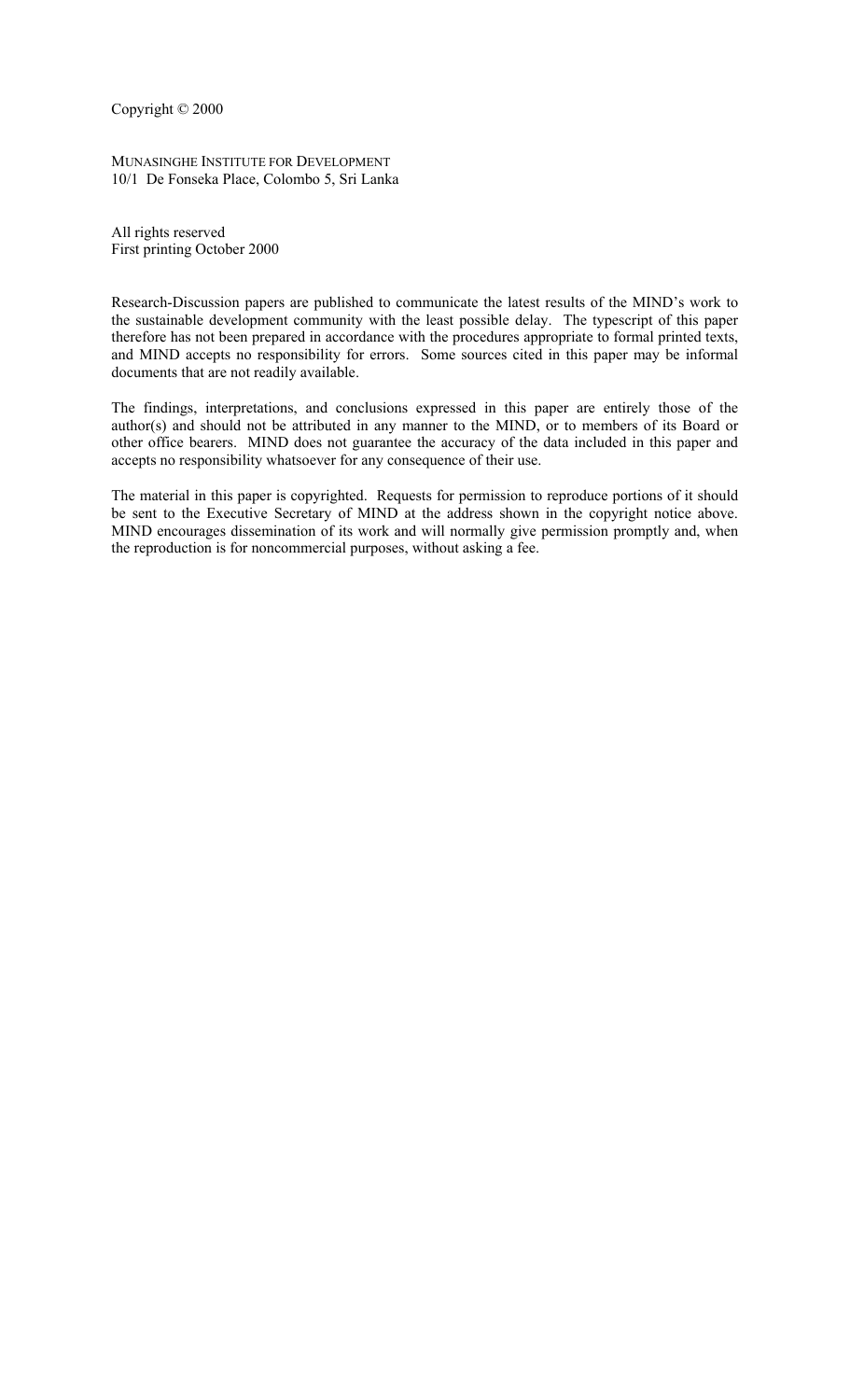Copyright © 2000

MUNASINGHE INSTITUTE FOR DEVELOPMENT 10/1 De Fonseka Place, Colombo 5, Sri Lanka

All rights reserved First printing October 2000

Research-Discussion papers are published to communicate the latest results of the MIND's work to the sustainable development community with the least possible delay. The typescript of this paper therefore has not been prepared in accordance with the procedures appropriate to formal printed texts, and MIND accepts no responsibility for errors. Some sources cited in this paper may be informal documents that are not readily available.

The findings, interpretations, and conclusions expressed in this paper are entirely those of the author(s) and should not be attributed in any manner to the MIND, or to members of its Board or other office bearers. MIND does not guarantee the accuracy of the data included in this paper and accepts no responsibility whatsoever for any consequence of their use.

The material in this paper is copyrighted. Requests for permission to reproduce portions of it should be sent to the Executive Secretary of MIND at the address shown in the copyright notice above. MIND encourages dissemination of its work and will normally give permission promptly and, when the reproduction is for noncommercial purposes, without asking a fee.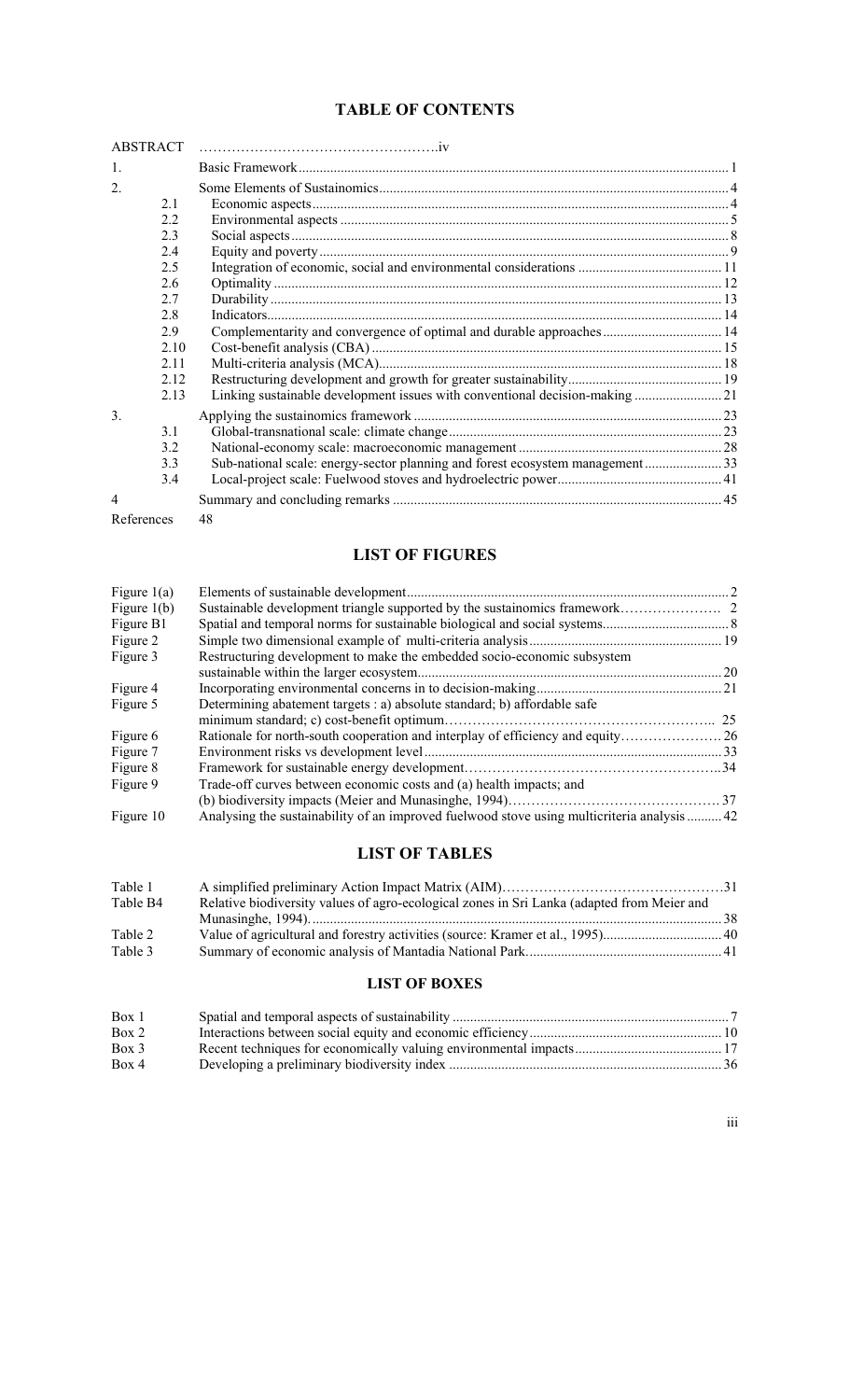# **TABLE OF CONTENTS**

| <b>ABSTRACT</b>  |                                                                               |  |
|------------------|-------------------------------------------------------------------------------|--|
| $\mathbf{1}$ .   |                                                                               |  |
| $\overline{2}$ . |                                                                               |  |
| 2.1              |                                                                               |  |
| 2.2              |                                                                               |  |
| 2.3              |                                                                               |  |
| 2.4              |                                                                               |  |
| 2.5              |                                                                               |  |
| 2.6              |                                                                               |  |
| 2.7              |                                                                               |  |
| 2.8              |                                                                               |  |
| 2.9              | Complementarity and convergence of optimal and durable approaches 14          |  |
| 2.10             |                                                                               |  |
| 2.11             |                                                                               |  |
| 2.12             |                                                                               |  |
| 2.13             |                                                                               |  |
| $\mathcal{E}$    |                                                                               |  |
| 3.1              |                                                                               |  |
| 3.2              |                                                                               |  |
| 3.3              | Sub-national scale: energy-sector planning and forest ecosystem management 33 |  |
| 3.4              |                                                                               |  |
| $\overline{4}$   |                                                                               |  |
| References       | 48                                                                            |  |

# **LIST OF FIGURES**

| Figure $1(a)$ |                                                                                             |    |
|---------------|---------------------------------------------------------------------------------------------|----|
| Figure $1(b)$ |                                                                                             |    |
| Figure B1     |                                                                                             |    |
| Figure 2      |                                                                                             |    |
| Figure 3      | Restructuring development to make the embedded socio-economic subsystem                     |    |
|               |                                                                                             |    |
| Figure 4      |                                                                                             |    |
| Figure 5      | Determining abatement targets : a) absolute standard; b) affordable safe                    |    |
|               |                                                                                             | 25 |
| Figure 6      |                                                                                             |    |
| Figure 7      |                                                                                             |    |
| Figure 8      |                                                                                             |    |
| Figure 9      | Trade-off curves between economic costs and (a) health impacts; and                         |    |
|               |                                                                                             |    |
| Figure 10     | Analysing the sustainability of an improved fuelwood stove using multicriteria analysis  42 |    |

# **LIST OF TABLES**

| Table 1  |                                                                                            |  |
|----------|--------------------------------------------------------------------------------------------|--|
| Table B4 | Relative biodiversity values of agro-ecological zones in Sri Lanka (adapted from Meier and |  |
|          |                                                                                            |  |
| Table 2  |                                                                                            |  |
| Table 3  |                                                                                            |  |

## **LIST OF BOXES**

| Box 1   |  |
|---------|--|
| Box 2   |  |
| $Box$ 3 |  |
| Box 4   |  |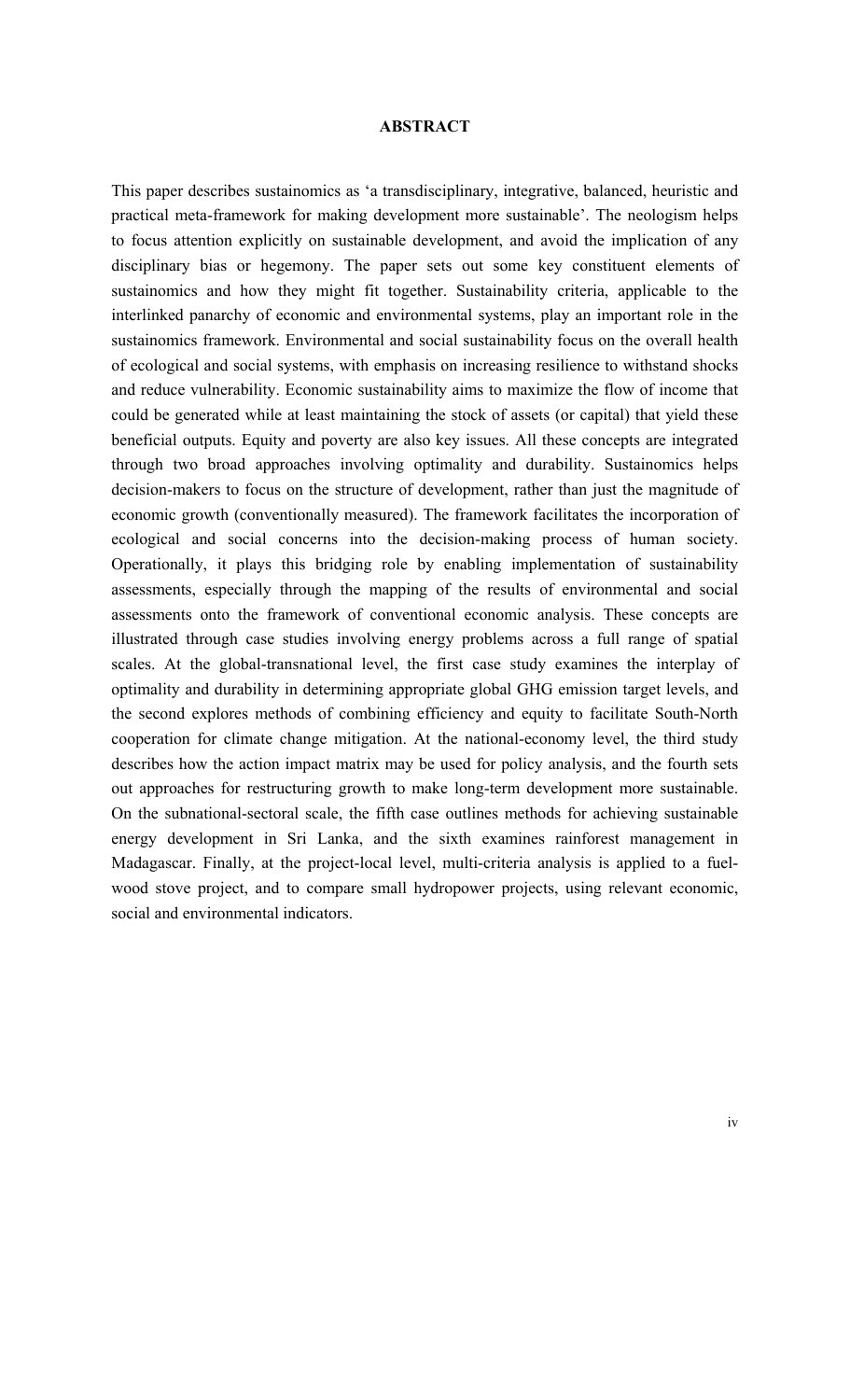## **ABSTRACT**

This paper describes sustainomics as 'a transdisciplinary, integrative, balanced, heuristic and practical meta-framework for making development more sustainable'. The neologism helps to focus attention explicitly on sustainable development, and avoid the implication of any disciplinary bias or hegemony. The paper sets out some key constituent elements of sustainomics and how they might fit together. Sustainability criteria, applicable to the interlinked panarchy of economic and environmental systems, play an important role in the sustainomics framework. Environmental and social sustainability focus on the overall health of ecological and social systems, with emphasis on increasing resilience to withstand shocks and reduce vulnerability. Economic sustainability aims to maximize the flow of income that could be generated while at least maintaining the stock of assets (or capital) that yield these beneficial outputs. Equity and poverty are also key issues. All these concepts are integrated through two broad approaches involving optimality and durability. Sustainomics helps decision-makers to focus on the structure of development, rather than just the magnitude of economic growth (conventionally measured). The framework facilitates the incorporation of ecological and social concerns into the decision-making process of human society. Operationally, it plays this bridging role by enabling implementation of sustainability assessments, especially through the mapping of the results of environmental and social assessments onto the framework of conventional economic analysis. These concepts are illustrated through case studies involving energy problems across a full range of spatial scales. At the global-transnational level, the first case study examines the interplay of optimality and durability in determining appropriate global GHG emission target levels, and the second explores methods of combining efficiency and equity to facilitate South-North cooperation for climate change mitigation. At the national-economy level, the third study describes how the action impact matrix may be used for policy analysis, and the fourth sets out approaches for restructuring growth to make long-term development more sustainable. On the subnational-sectoral scale, the fifth case outlines methods for achieving sustainable energy development in Sri Lanka, and the sixth examines rainforest management in Madagascar. Finally, at the project-local level, multi-criteria analysis is applied to a fuelwood stove project, and to compare small hydropower projects, using relevant economic, social and environmental indicators.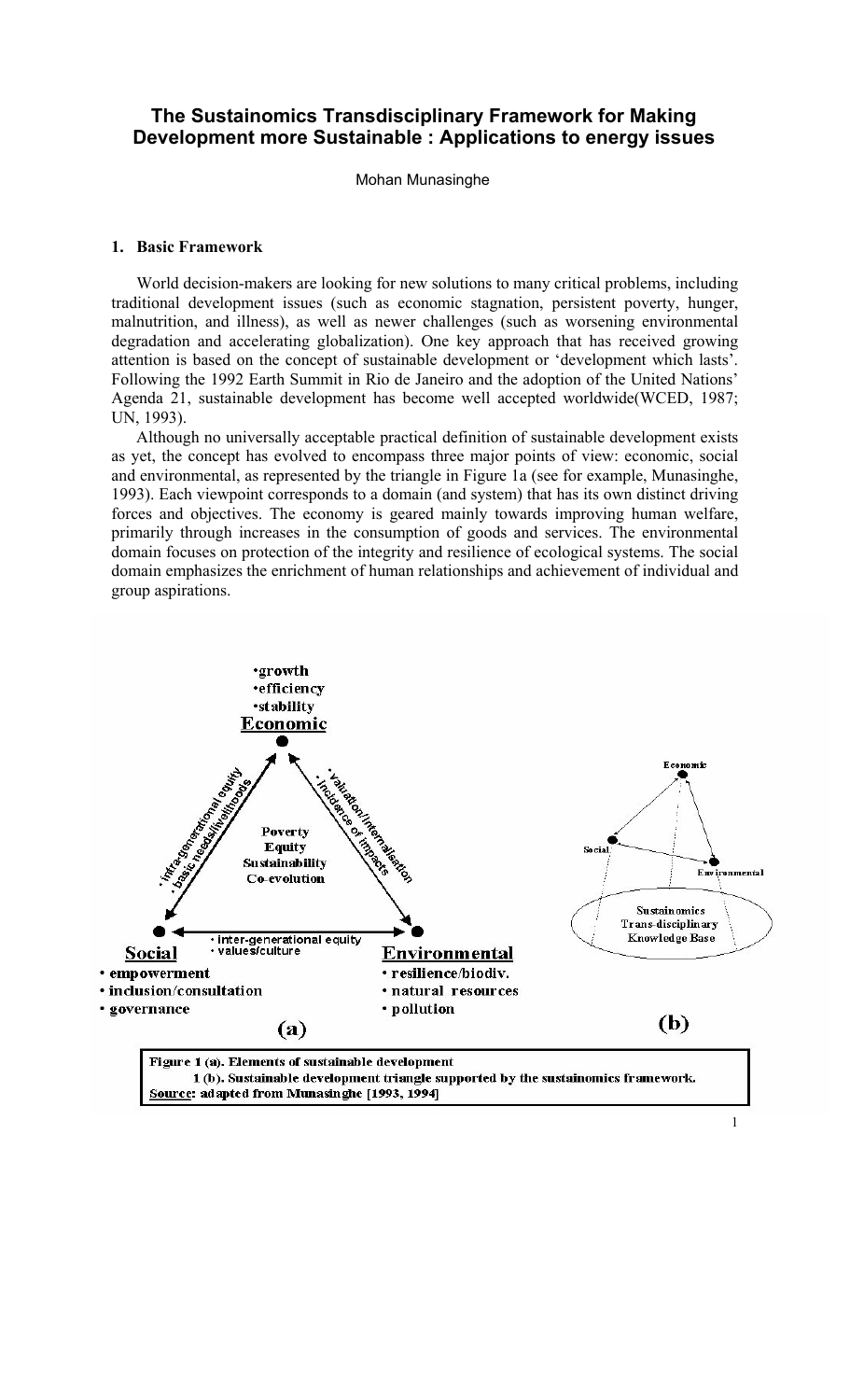# **The Sustainomics Transdisciplinary Framework for Making Development more Sustainable : Applications to energy issues**

Mohan Munasinghe

#### **1. Basic Framework**

World decision-makers are looking for new solutions to many critical problems, including traditional development issues (such as economic stagnation, persistent poverty, hunger, malnutrition, and illness), as well as newer challenges (such as worsening environmental degradation and accelerating globalization). One key approach that has received growing attention is based on the concept of sustainable development or 'development which lasts'. Following the 1992 Earth Summit in Rio de Janeiro and the adoption of the United Nations' Agenda 21, sustainable development has become well accepted worldwide(WCED, 1987; UN, 1993).

Although no universally acceptable practical definition of sustainable development exists as yet, the concept has evolved to encompass three major points of view: economic, social and environmental, as represented by the triangle in Figure 1a (see for example, Munasinghe, 1993). Each viewpoint corresponds to a domain (and system) that has its own distinct driving forces and objectives. The economy is geared mainly towards improving human welfare, primarily through increases in the consumption of goods and services. The environmental domain focuses on protection of the integrity and resilience of ecological systems. The social domain emphasizes the enrichment of human relationships and achievement of individual and group aspirations.



1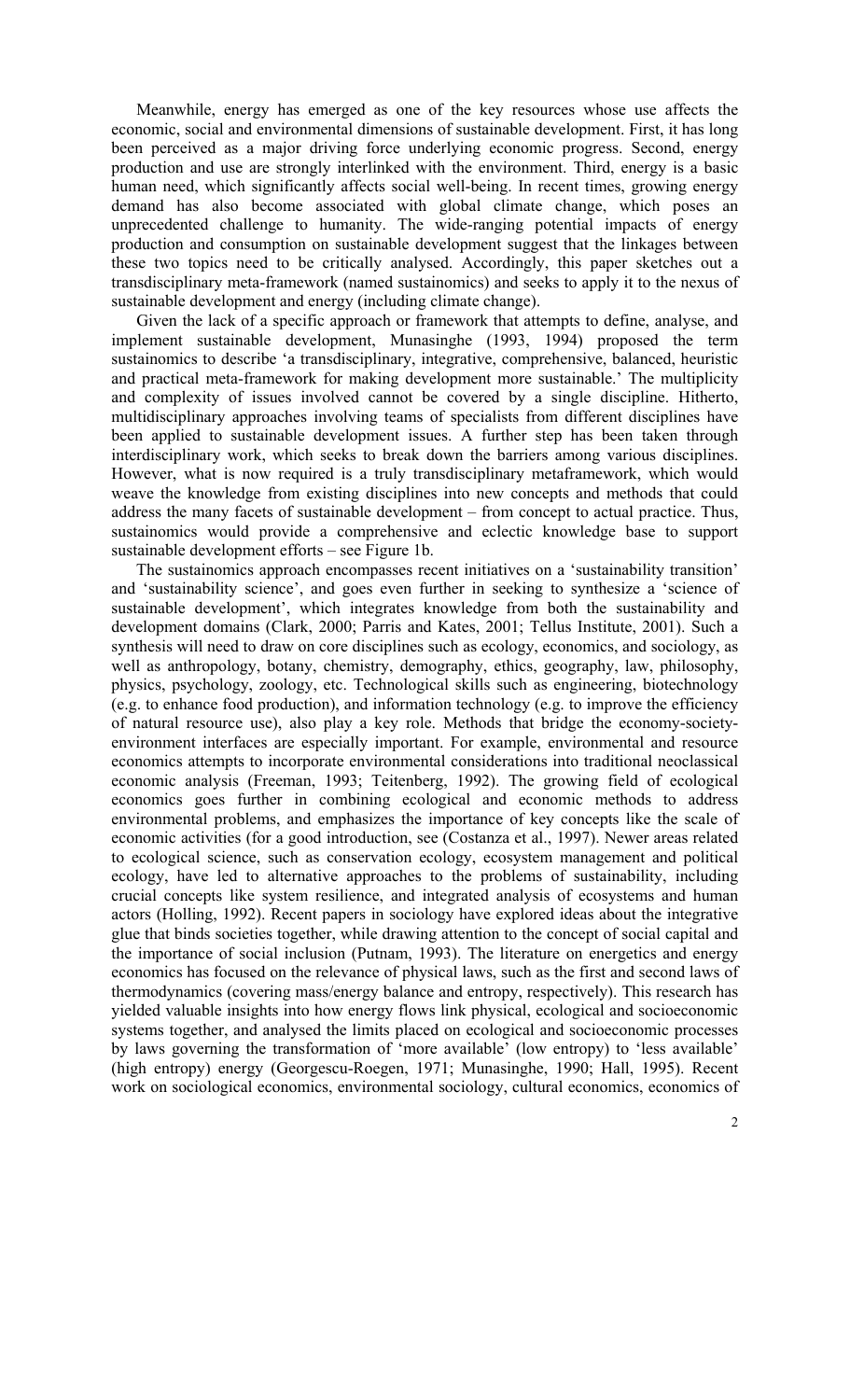Meanwhile, energy has emerged as one of the key resources whose use affects the economic, social and environmental dimensions of sustainable development. First, it has long been perceived as a major driving force underlying economic progress. Second, energy production and use are strongly interlinked with the environment. Third, energy is a basic human need, which significantly affects social well-being. In recent times, growing energy demand has also become associated with global climate change, which poses an unprecedented challenge to humanity. The wide-ranging potential impacts of energy production and consumption on sustainable development suggest that the linkages between these two topics need to be critically analysed. Accordingly, this paper sketches out a transdisciplinary meta-framework (named sustainomics) and seeks to apply it to the nexus of sustainable development and energy (including climate change).

Given the lack of a specific approach or framework that attempts to define, analyse, and implement sustainable development, Munasinghe (1993, 1994) proposed the term sustainomics to describe 'a transdisciplinary, integrative, comprehensive, balanced, heuristic and practical meta-framework for making development more sustainable.' The multiplicity and complexity of issues involved cannot be covered by a single discipline. Hitherto, multidisciplinary approaches involving teams of specialists from different disciplines have been applied to sustainable development issues. A further step has been taken through interdisciplinary work, which seeks to break down the barriers among various disciplines. However, what is now required is a truly transdisciplinary metaframework, which would weave the knowledge from existing disciplines into new concepts and methods that could address the many facets of sustainable development – from concept to actual practice. Thus, sustainomics would provide a comprehensive and eclectic knowledge base to support sustainable development efforts – see Figure 1b.

The sustainomics approach encompasses recent initiatives on a 'sustainability transition' and 'sustainability science', and goes even further in seeking to synthesize a 'science of sustainable development', which integrates knowledge from both the sustainability and development domains (Clark, 2000; Parris and Kates, 2001; Tellus Institute, 2001). Such a synthesis will need to draw on core disciplines such as ecology, economics, and sociology, as well as anthropology, botany, chemistry, demography, ethics, geography, law, philosophy, physics, psychology, zoology, etc. Technological skills such as engineering, biotechnology (e.g. to enhance food production), and information technology (e.g. to improve the efficiency of natural resource use), also play a key role. Methods that bridge the economy-societyenvironment interfaces are especially important. For example, environmental and resource economics attempts to incorporate environmental considerations into traditional neoclassical economic analysis (Freeman, 1993; Teitenberg, 1992). The growing field of ecological economics goes further in combining ecological and economic methods to address environmental problems, and emphasizes the importance of key concepts like the scale of economic activities (for a good introduction, see (Costanza et al., 1997). Newer areas related to ecological science, such as conservation ecology, ecosystem management and political ecology, have led to alternative approaches to the problems of sustainability, including crucial concepts like system resilience, and integrated analysis of ecosystems and human actors (Holling, 1992). Recent papers in sociology have explored ideas about the integrative glue that binds societies together, while drawing attention to the concept of social capital and the importance of social inclusion (Putnam, 1993). The literature on energetics and energy economics has focused on the relevance of physical laws, such as the first and second laws of thermodynamics (covering mass/energy balance and entropy, respectively). This research has yielded valuable insights into how energy flows link physical, ecological and socioeconomic systems together, and analysed the limits placed on ecological and socioeconomic processes by laws governing the transformation of 'more available' (low entropy) to 'less available' (high entropy) energy (Georgescu-Roegen, 1971; Munasinghe, 1990; Hall, 1995). Recent work on sociological economics, environmental sociology, cultural economics, economics of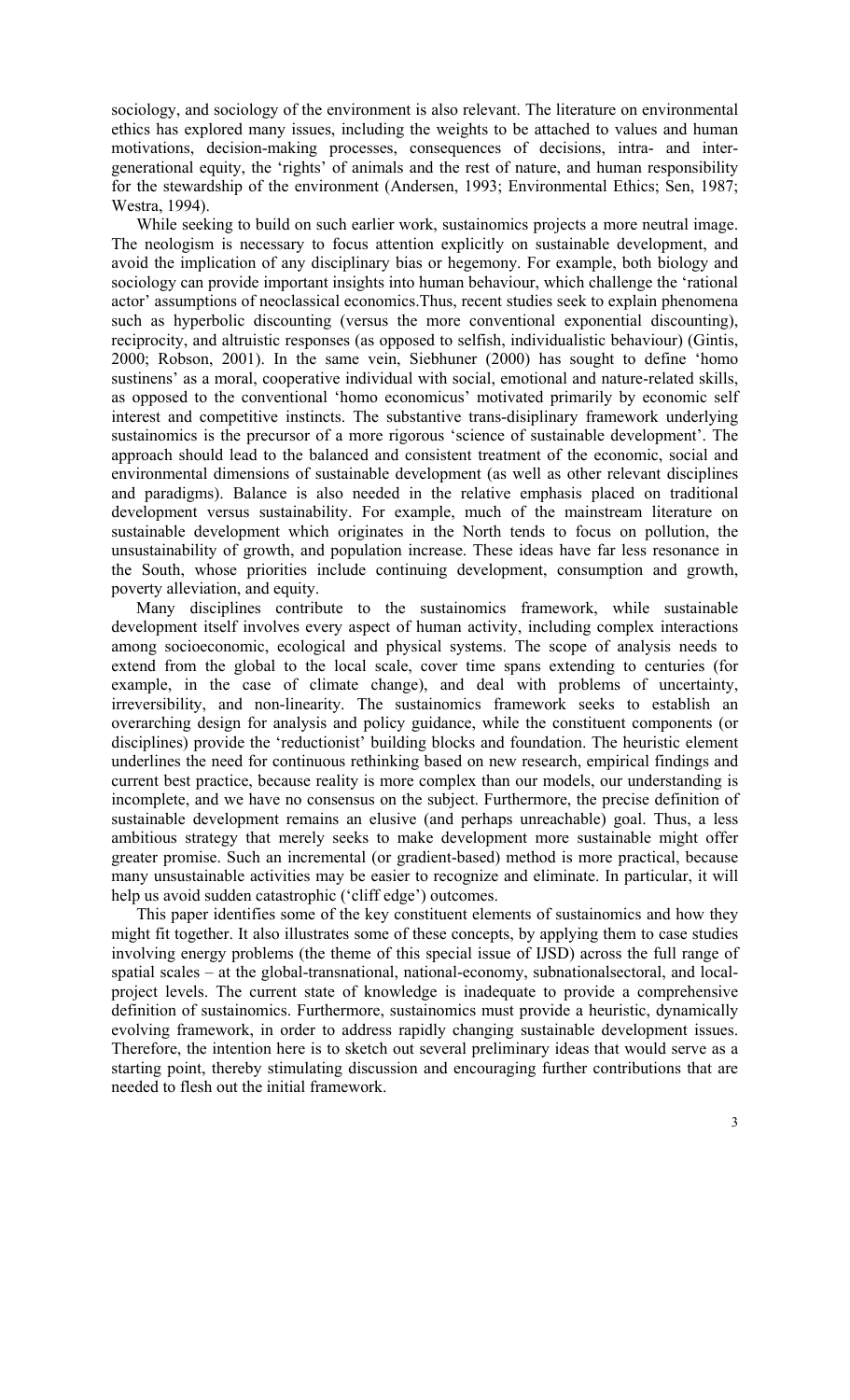sociology, and sociology of the environment is also relevant. The literature on environmental ethics has explored many issues, including the weights to be attached to values and human motivations, decision-making processes, consequences of decisions, intra- and intergenerational equity, the 'rights' of animals and the rest of nature, and human responsibility for the stewardship of the environment (Andersen, 1993; Environmental Ethics; Sen, 1987; Westra, 1994).

While seeking to build on such earlier work, sustainomics projects a more neutral image. The neologism is necessary to focus attention explicitly on sustainable development, and avoid the implication of any disciplinary bias or hegemony. For example, both biology and sociology can provide important insights into human behaviour, which challenge the 'rational actor' assumptions of neoclassical economics.Thus, recent studies seek to explain phenomena such as hyperbolic discounting (versus the more conventional exponential discounting), reciprocity, and altruistic responses (as opposed to selfish, individualistic behaviour) (Gintis, 2000; Robson, 2001). In the same vein, Siebhuner (2000) has sought to define 'homo sustinens' as a moral, cooperative individual with social, emotional and nature-related skills, as opposed to the conventional 'homo economicus' motivated primarily by economic self interest and competitive instincts. The substantive trans-disiplinary framework underlying sustainomics is the precursor of a more rigorous 'science of sustainable development'. The approach should lead to the balanced and consistent treatment of the economic, social and environmental dimensions of sustainable development (as well as other relevant disciplines and paradigms). Balance is also needed in the relative emphasis placed on traditional development versus sustainability. For example, much of the mainstream literature on sustainable development which originates in the North tends to focus on pollution, the unsustainability of growth, and population increase. These ideas have far less resonance in the South, whose priorities include continuing development, consumption and growth, poverty alleviation, and equity.

Many disciplines contribute to the sustainomics framework, while sustainable development itself involves every aspect of human activity, including complex interactions among socioeconomic, ecological and physical systems. The scope of analysis needs to extend from the global to the local scale, cover time spans extending to centuries (for example, in the case of climate change), and deal with problems of uncertainty, irreversibility, and non-linearity. The sustainomics framework seeks to establish an overarching design for analysis and policy guidance, while the constituent components (or disciplines) provide the 'reductionist' building blocks and foundation. The heuristic element underlines the need for continuous rethinking based on new research, empirical findings and current best practice, because reality is more complex than our models, our understanding is incomplete, and we have no consensus on the subject. Furthermore, the precise definition of sustainable development remains an elusive (and perhaps unreachable) goal. Thus, a less ambitious strategy that merely seeks to make development more sustainable might offer greater promise. Such an incremental (or gradient-based) method is more practical, because many unsustainable activities may be easier to recognize and eliminate. In particular, it will help us avoid sudden catastrophic ('cliff edge') outcomes.

This paper identifies some of the key constituent elements of sustainomics and how they might fit together. It also illustrates some of these concepts, by applying them to case studies involving energy problems (the theme of this special issue of IJSD) across the full range of spatial scales – at the global-transnational, national-economy, subnationalsectoral, and localproject levels. The current state of knowledge is inadequate to provide a comprehensive definition of sustainomics. Furthermore, sustainomics must provide a heuristic, dynamically evolving framework, in order to address rapidly changing sustainable development issues. Therefore, the intention here is to sketch out several preliminary ideas that would serve as a starting point, thereby stimulating discussion and encouraging further contributions that are needed to flesh out the initial framework.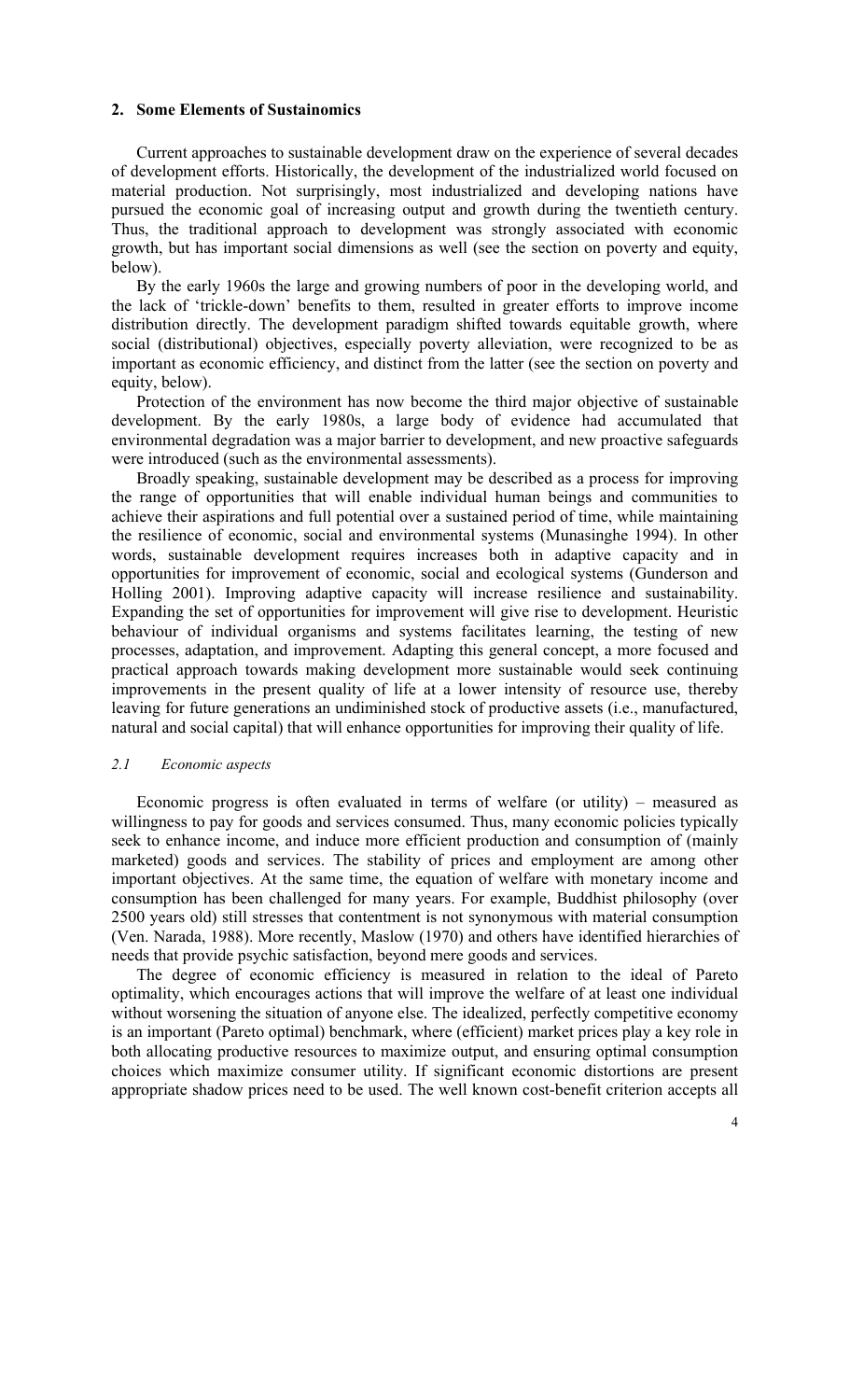#### **2. Some Elements of Sustainomics**

Current approaches to sustainable development draw on the experience of several decades of development efforts. Historically, the development of the industrialized world focused on material production. Not surprisingly, most industrialized and developing nations have pursued the economic goal of increasing output and growth during the twentieth century. Thus, the traditional approach to development was strongly associated with economic growth, but has important social dimensions as well (see the section on poverty and equity, below).

By the early 1960s the large and growing numbers of poor in the developing world, and the lack of 'trickle-down' benefits to them, resulted in greater efforts to improve income distribution directly. The development paradigm shifted towards equitable growth, where social (distributional) objectives, especially poverty alleviation, were recognized to be as important as economic efficiency, and distinct from the latter (see the section on poverty and equity, below).

Protection of the environment has now become the third major objective of sustainable development. By the early 1980s, a large body of evidence had accumulated that environmental degradation was a major barrier to development, and new proactive safeguards were introduced (such as the environmental assessments).

Broadly speaking, sustainable development may be described as a process for improving the range of opportunities that will enable individual human beings and communities to achieve their aspirations and full potential over a sustained period of time, while maintaining the resilience of economic, social and environmental systems (Munasinghe 1994). In other words, sustainable development requires increases both in adaptive capacity and in opportunities for improvement of economic, social and ecological systems (Gunderson and Holling 2001). Improving adaptive capacity will increase resilience and sustainability. Expanding the set of opportunities for improvement will give rise to development. Heuristic behaviour of individual organisms and systems facilitates learning, the testing of new processes, adaptation, and improvement. Adapting this general concept, a more focused and practical approach towards making development more sustainable would seek continuing improvements in the present quality of life at a lower intensity of resource use, thereby leaving for future generations an undiminished stock of productive assets (i.e., manufactured, natural and social capital) that will enhance opportunities for improving their quality of life.

#### *2.1 Economic aspects*

Economic progress is often evaluated in terms of welfare (or utility) – measured as willingness to pay for goods and services consumed. Thus, many economic policies typically seek to enhance income, and induce more efficient production and consumption of (mainly marketed) goods and services. The stability of prices and employment are among other important objectives. At the same time, the equation of welfare with monetary income and consumption has been challenged for many years. For example, Buddhist philosophy (over 2500 years old) still stresses that contentment is not synonymous with material consumption (Ven. Narada, 1988). More recently, Maslow (1970) and others have identified hierarchies of needs that provide psychic satisfaction, beyond mere goods and services.

The degree of economic efficiency is measured in relation to the ideal of Pareto optimality, which encourages actions that will improve the welfare of at least one individual without worsening the situation of anyone else. The idealized, perfectly competitive economy is an important (Pareto optimal) benchmark, where (efficient) market prices play a key role in both allocating productive resources to maximize output, and ensuring optimal consumption choices which maximize consumer utility. If significant economic distortions are present appropriate shadow prices need to be used. The well known cost-benefit criterion accepts all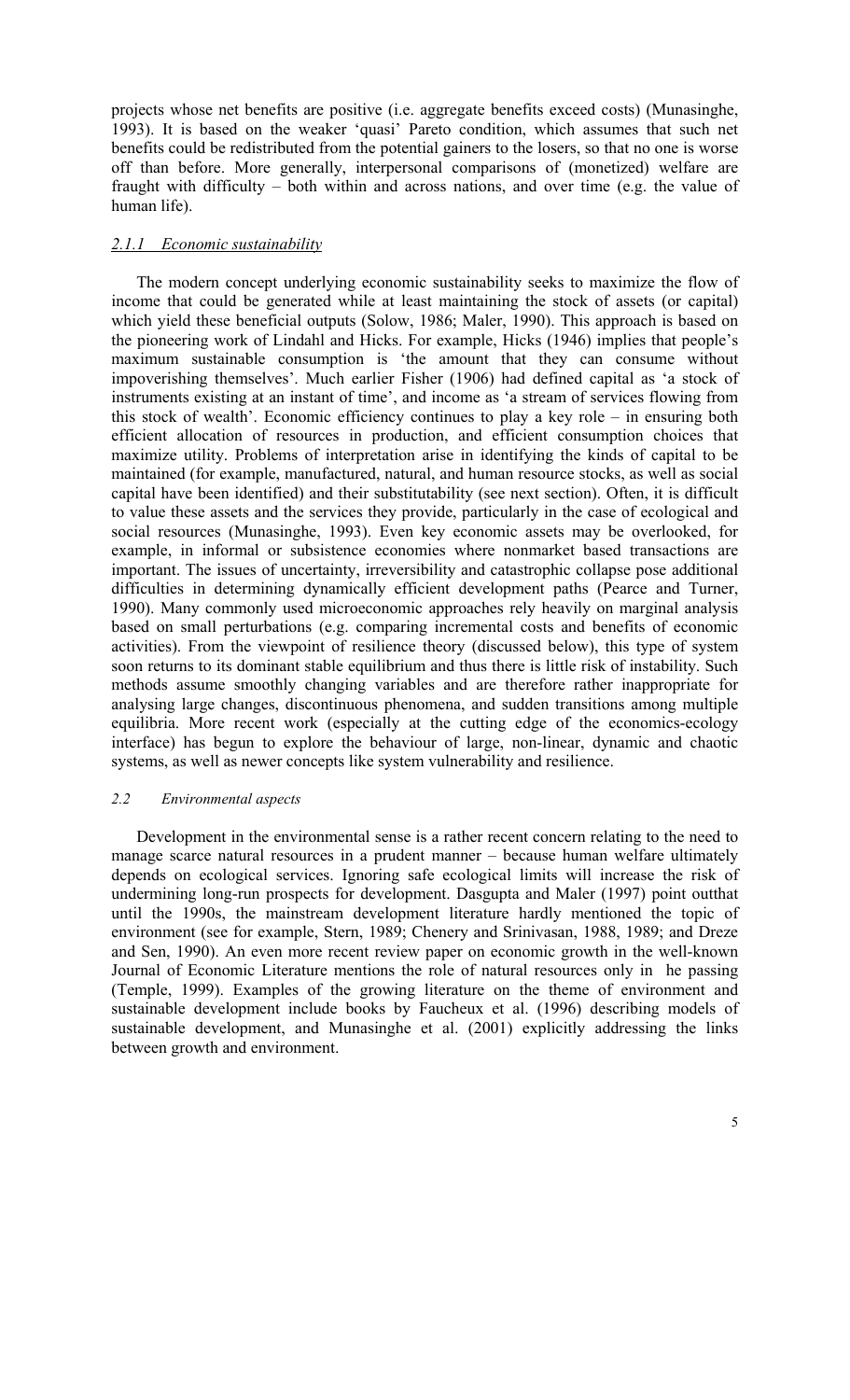projects whose net benefits are positive (i.e. aggregate benefits exceed costs) (Munasinghe, 1993). It is based on the weaker 'quasi' Pareto condition, which assumes that such net benefits could be redistributed from the potential gainers to the losers, so that no one is worse off than before. More generally, interpersonal comparisons of (monetized) welfare are fraught with difficulty – both within and across nations, and over time (e.g. the value of human life).

## *2.1.1 Economic sustainability*

The modern concept underlying economic sustainability seeks to maximize the flow of income that could be generated while at least maintaining the stock of assets (or capital) which yield these beneficial outputs (Solow, 1986; Maler, 1990). This approach is based on the pioneering work of Lindahl and Hicks. For example, Hicks (1946) implies that people's maximum sustainable consumption is 'the amount that they can consume without impoverishing themselves'. Much earlier Fisher (1906) had defined capital as 'a stock of instruments existing at an instant of time', and income as 'a stream of services flowing from this stock of wealth'. Economic efficiency continues to play a key role – in ensuring both efficient allocation of resources in production, and efficient consumption choices that maximize utility. Problems of interpretation arise in identifying the kinds of capital to be maintained (for example, manufactured, natural, and human resource stocks, as well as social capital have been identified) and their substitutability (see next section). Often, it is difficult to value these assets and the services they provide, particularly in the case of ecological and social resources (Munasinghe, 1993). Even key economic assets may be overlooked, for example, in informal or subsistence economies where nonmarket based transactions are important. The issues of uncertainty, irreversibility and catastrophic collapse pose additional difficulties in determining dynamically efficient development paths (Pearce and Turner, 1990). Many commonly used microeconomic approaches rely heavily on marginal analysis based on small perturbations (e.g. comparing incremental costs and benefits of economic activities). From the viewpoint of resilience theory (discussed below), this type of system soon returns to its dominant stable equilibrium and thus there is little risk of instability. Such methods assume smoothly changing variables and are therefore rather inappropriate for analysing large changes, discontinuous phenomena, and sudden transitions among multiple equilibria. More recent work (especially at the cutting edge of the economics-ecology interface) has begun to explore the behaviour of large, non-linear, dynamic and chaotic systems, as well as newer concepts like system vulnerability and resilience.

## *2.2 Environmental aspects*

Development in the environmental sense is a rather recent concern relating to the need to manage scarce natural resources in a prudent manner – because human welfare ultimately depends on ecological services. Ignoring safe ecological limits will increase the risk of undermining long-run prospects for development. Dasgupta and Maler (1997) point outthat until the 1990s, the mainstream development literature hardly mentioned the topic of environment (see for example, Stern, 1989; Chenery and Srinivasan, 1988, 1989; and Dreze and Sen, 1990). An even more recent review paper on economic growth in the well-known Journal of Economic Literature mentions the role of natural resources only in he passing (Temple, 1999). Examples of the growing literature on the theme of environment and sustainable development include books by Faucheux et al. (1996) describing models of sustainable development, and Munasinghe et al. (2001) explicitly addressing the links between growth and environment.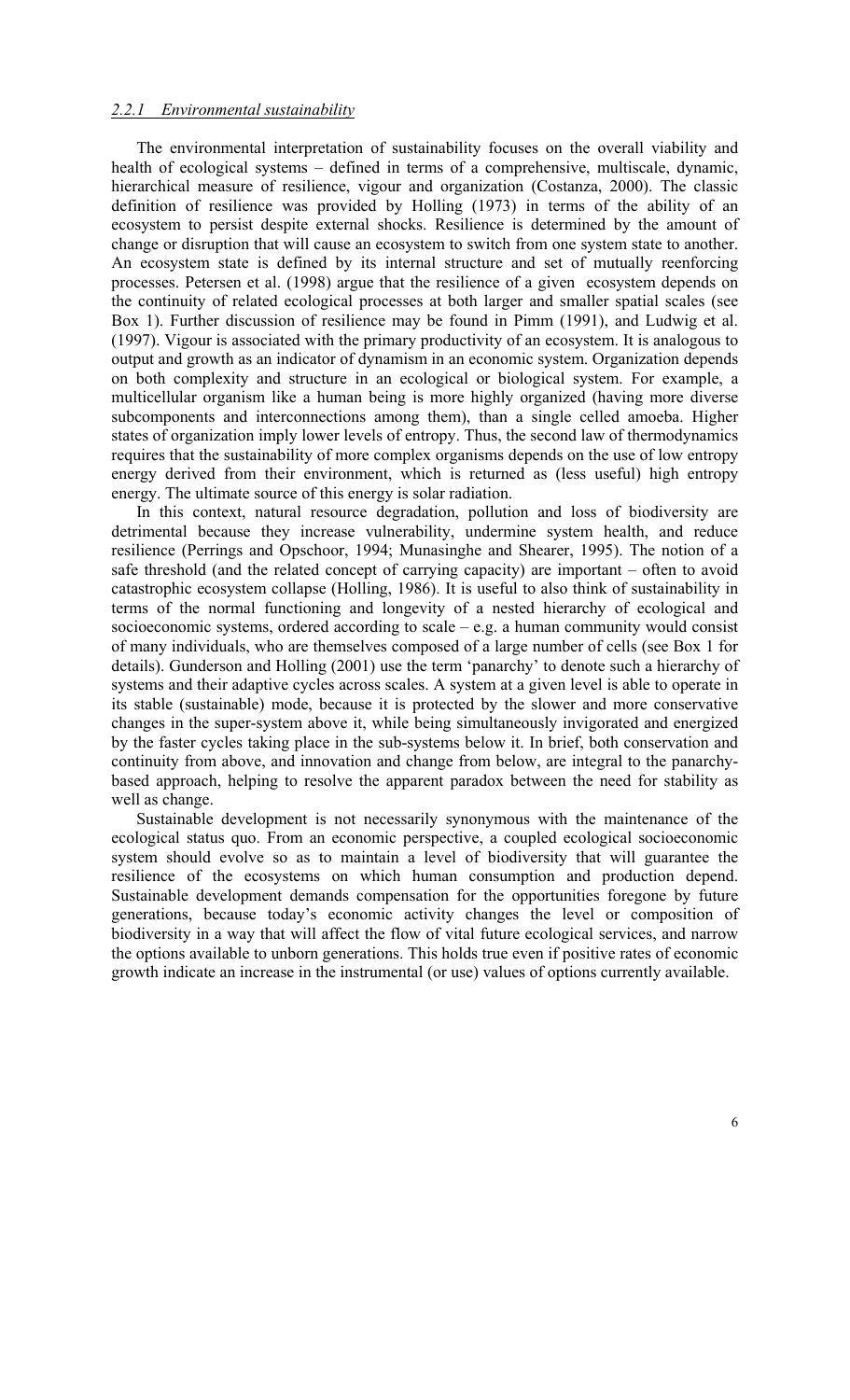## *2.2.1 Environmental sustainability*

The environmental interpretation of sustainability focuses on the overall viability and health of ecological systems – defined in terms of a comprehensive, multiscale, dynamic, hierarchical measure of resilience, vigour and organization (Costanza, 2000). The classic definition of resilience was provided by Holling (1973) in terms of the ability of an ecosystem to persist despite external shocks. Resilience is determined by the amount of change or disruption that will cause an ecosystem to switch from one system state to another. An ecosystem state is defined by its internal structure and set of mutually reenforcing processes. Petersen et al. (1998) argue that the resilience of a given ecosystem depends on the continuity of related ecological processes at both larger and smaller spatial scales (see Box 1). Further discussion of resilience may be found in Pimm (1991), and Ludwig et al. (1997). Vigour is associated with the primary productivity of an ecosystem. It is analogous to output and growth as an indicator of dynamism in an economic system. Organization depends on both complexity and structure in an ecological or biological system. For example, a multicellular organism like a human being is more highly organized (having more diverse subcomponents and interconnections among them), than a single celled amoeba. Higher states of organization imply lower levels of entropy. Thus, the second law of thermodynamics requires that the sustainability of more complex organisms depends on the use of low entropy energy derived from their environment, which is returned as (less useful) high entropy energy. The ultimate source of this energy is solar radiation.

In this context, natural resource degradation, pollution and loss of biodiversity are detrimental because they increase vulnerability, undermine system health, and reduce resilience (Perrings and Opschoor, 1994; Munasinghe and Shearer, 1995). The notion of a safe threshold (and the related concept of carrying capacity) are important – often to avoid catastrophic ecosystem collapse (Holling, 1986). It is useful to also think of sustainability in terms of the normal functioning and longevity of a nested hierarchy of ecological and socioeconomic systems, ordered according to scale  $-$  e.g. a human community would consist of many individuals, who are themselves composed of a large number of cells (see Box 1 for details). Gunderson and Holling (2001) use the term 'panarchy' to denote such a hierarchy of systems and their adaptive cycles across scales. A system at a given level is able to operate in its stable (sustainable) mode, because it is protected by the slower and more conservative changes in the super-system above it, while being simultaneously invigorated and energized by the faster cycles taking place in the sub-systems below it. In brief, both conservation and continuity from above, and innovation and change from below, are integral to the panarchybased approach, helping to resolve the apparent paradox between the need for stability as well as change.

Sustainable development is not necessarily synonymous with the maintenance of the ecological status quo. From an economic perspective, a coupled ecological socioeconomic system should evolve so as to maintain a level of biodiversity that will guarantee the resilience of the ecosystems on which human consumption and production depend. Sustainable development demands compensation for the opportunities foregone by future generations, because today's economic activity changes the level or composition of biodiversity in a way that will affect the flow of vital future ecological services, and narrow the options available to unborn generations. This holds true even if positive rates of economic growth indicate an increase in the instrumental (or use) values of options currently available.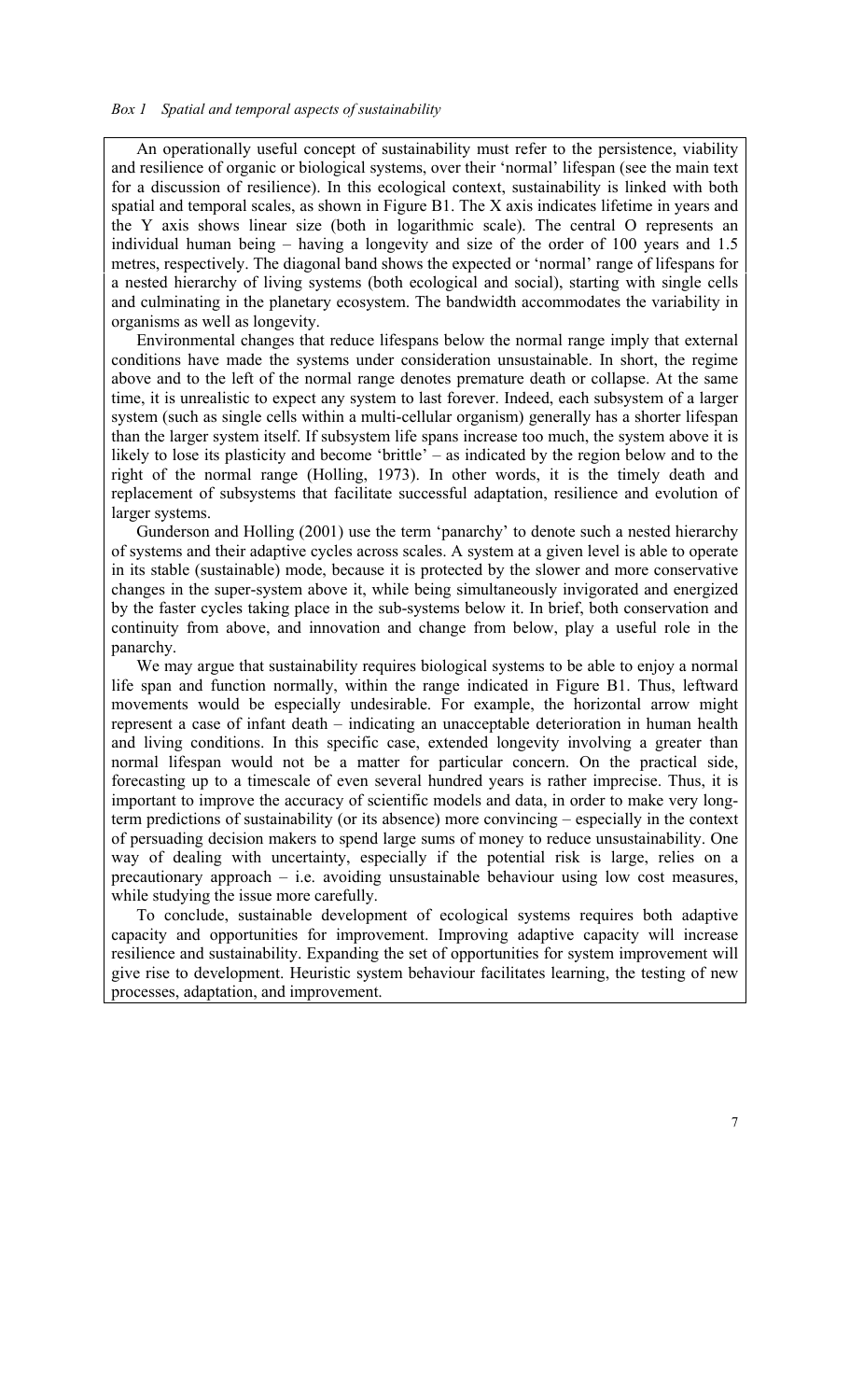An operationally useful concept of sustainability must refer to the persistence, viability and resilience of organic or biological systems, over their 'normal' lifespan (see the main text for a discussion of resilience). In this ecological context, sustainability is linked with both spatial and temporal scales, as shown in Figure B1. The X axis indicates lifetime in years and the Y axis shows linear size (both in logarithmic scale). The central O represents an individual human being – having a longevity and size of the order of 100 years and 1.5 metres, respectively. The diagonal band shows the expected or 'normal' range of lifespans for a nested hierarchy of living systems (both ecological and social), starting with single cells and culminating in the planetary ecosystem. The bandwidth accommodates the variability in organisms as well as longevity.

Environmental changes that reduce lifespans below the normal range imply that external conditions have made the systems under consideration unsustainable. In short, the regime above and to the left of the normal range denotes premature death or collapse. At the same time, it is unrealistic to expect any system to last forever. Indeed, each subsystem of a larger system (such as single cells within a multi-cellular organism) generally has a shorter lifespan than the larger system itself. If subsystem life spans increase too much, the system above it is likely to lose its plasticity and become 'brittle' – as indicated by the region below and to the right of the normal range (Holling, 1973). In other words, it is the timely death and replacement of subsystems that facilitate successful adaptation, resilience and evolution of larger systems.

Gunderson and Holling (2001) use the term 'panarchy' to denote such a nested hierarchy of systems and their adaptive cycles across scales. A system at a given level is able to operate in its stable (sustainable) mode, because it is protected by the slower and more conservative changes in the super-system above it, while being simultaneously invigorated and energized by the faster cycles taking place in the sub-systems below it. In brief, both conservation and continuity from above, and innovation and change from below, play a useful role in the panarchy.

We may argue that sustainability requires biological systems to be able to enjoy a normal life span and function normally, within the range indicated in Figure B1. Thus, leftward movements would be especially undesirable. For example, the horizontal arrow might represent a case of infant death – indicating an unacceptable deterioration in human health and living conditions. In this specific case, extended longevity involving a greater than normal lifespan would not be a matter for particular concern. On the practical side, forecasting up to a timescale of even several hundred years is rather imprecise. Thus, it is important to improve the accuracy of scientific models and data, in order to make very longterm predictions of sustainability (or its absence) more convincing – especially in the context of persuading decision makers to spend large sums of money to reduce unsustainability. One way of dealing with uncertainty, especially if the potential risk is large, relies on a precautionary approach – i.e. avoiding unsustainable behaviour using low cost measures, while studying the issue more carefully.

To conclude, sustainable development of ecological systems requires both adaptive capacity and opportunities for improvement. Improving adaptive capacity will increase resilience and sustainability. Expanding the set of opportunities for system improvement will give rise to development. Heuristic system behaviour facilitates learning, the testing of new processes, adaptation, and improvement.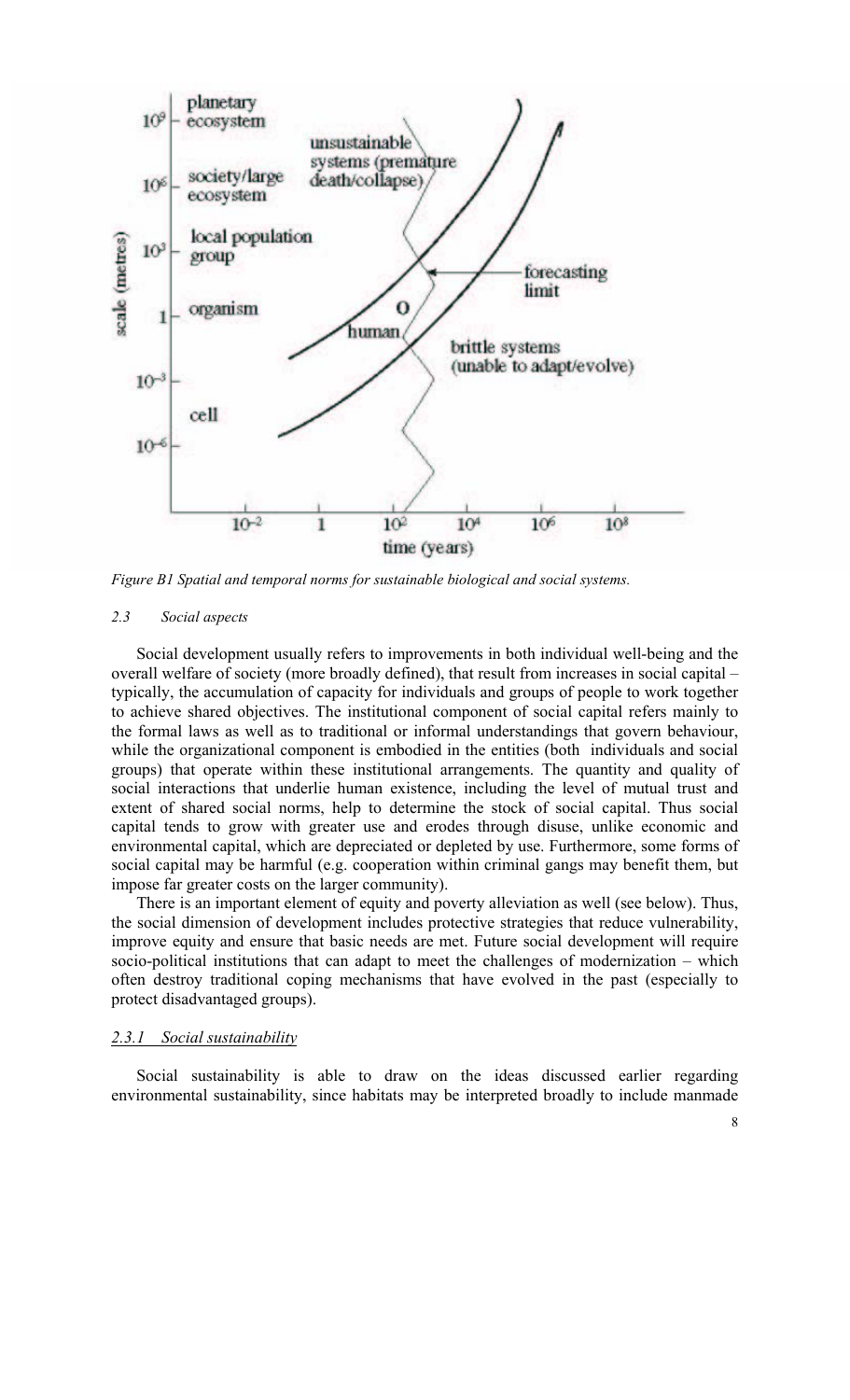

*Figure B1 Spatial and temporal norms for sustainable biological and social systems.* 

## *2.3 Social aspects*

Social development usually refers to improvements in both individual well-being and the overall welfare of society (more broadly defined), that result from increases in social capital – typically, the accumulation of capacity for individuals and groups of people to work together to achieve shared objectives. The institutional component of social capital refers mainly to the formal laws as well as to traditional or informal understandings that govern behaviour, while the organizational component is embodied in the entities (both individuals and social groups) that operate within these institutional arrangements. The quantity and quality of social interactions that underlie human existence, including the level of mutual trust and extent of shared social norms, help to determine the stock of social capital. Thus social capital tends to grow with greater use and erodes through disuse, unlike economic and environmental capital, which are depreciated or depleted by use. Furthermore, some forms of social capital may be harmful (e.g. cooperation within criminal gangs may benefit them, but impose far greater costs on the larger community).

There is an important element of equity and poverty alleviation as well (see below). Thus, the social dimension of development includes protective strategies that reduce vulnerability, improve equity and ensure that basic needs are met. Future social development will require socio-political institutions that can adapt to meet the challenges of modernization – which often destroy traditional coping mechanisms that have evolved in the past (especially to protect disadvantaged groups).

## *2.3.1 Social sustainability*

Social sustainability is able to draw on the ideas discussed earlier regarding environmental sustainability, since habitats may be interpreted broadly to include manmade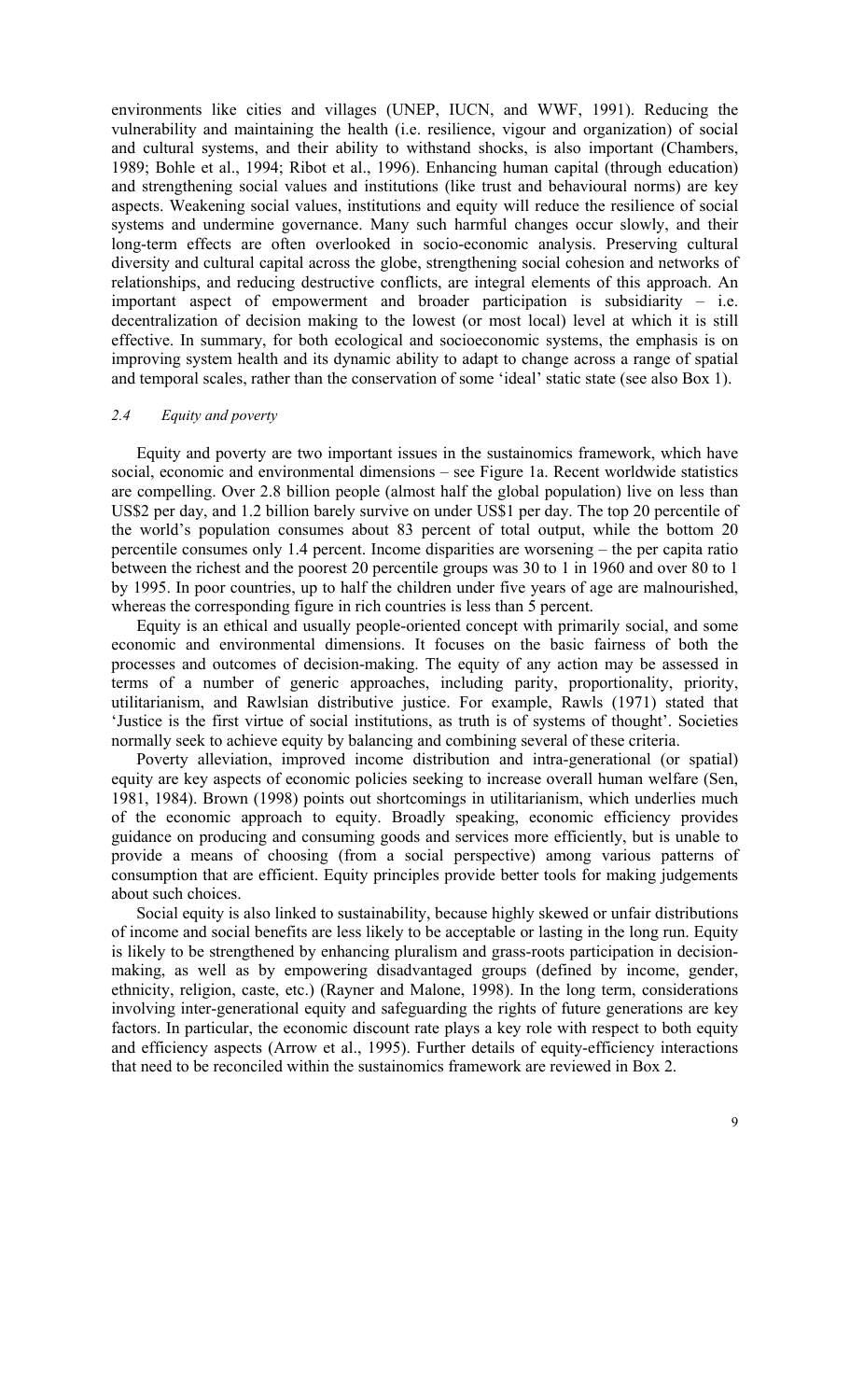environments like cities and villages (UNEP, IUCN, and WWF, 1991). Reducing the vulnerability and maintaining the health (i.e. resilience, vigour and organization) of social and cultural systems, and their ability to withstand shocks, is also important (Chambers, 1989; Bohle et al., 1994; Ribot et al., 1996). Enhancing human capital (through education) and strengthening social values and institutions (like trust and behavioural norms) are key aspects. Weakening social values, institutions and equity will reduce the resilience of social systems and undermine governance. Many such harmful changes occur slowly, and their long-term effects are often overlooked in socio-economic analysis. Preserving cultural diversity and cultural capital across the globe, strengthening social cohesion and networks of relationships, and reducing destructive conflicts, are integral elements of this approach. An important aspect of empowerment and broader participation is subsidiarity – i.e. decentralization of decision making to the lowest (or most local) level at which it is still effective. In summary, for both ecological and socioeconomic systems, the emphasis is on improving system health and its dynamic ability to adapt to change across a range of spatial and temporal scales, rather than the conservation of some 'ideal' static state (see also Box 1).

#### *2.4 Equity and poverty*

Equity and poverty are two important issues in the sustainomics framework, which have social, economic and environmental dimensions – see Figure 1a. Recent worldwide statistics are compelling. Over 2.8 billion people (almost half the global population) live on less than US\$2 per day, and 1.2 billion barely survive on under US\$1 per day. The top 20 percentile of the world's population consumes about 83 percent of total output, while the bottom 20 percentile consumes only 1.4 percent. Income disparities are worsening – the per capita ratio between the richest and the poorest 20 percentile groups was 30 to 1 in 1960 and over 80 to 1 by 1995. In poor countries, up to half the children under five years of age are malnourished, whereas the corresponding figure in rich countries is less than 5 percent.

Equity is an ethical and usually people-oriented concept with primarily social, and some economic and environmental dimensions. It focuses on the basic fairness of both the processes and outcomes of decision-making. The equity of any action may be assessed in terms of a number of generic approaches, including parity, proportionality, priority, utilitarianism, and Rawlsian distributive justice. For example, Rawls (1971) stated that 'Justice is the first virtue of social institutions, as truth is of systems of thought'. Societies normally seek to achieve equity by balancing and combining several of these criteria.

Poverty alleviation, improved income distribution and intra-generational (or spatial) equity are key aspects of economic policies seeking to increase overall human welfare (Sen, 1981, 1984). Brown (1998) points out shortcomings in utilitarianism, which underlies much of the economic approach to equity. Broadly speaking, economic efficiency provides guidance on producing and consuming goods and services more efficiently, but is unable to provide a means of choosing (from a social perspective) among various patterns of consumption that are efficient. Equity principles provide better tools for making judgements about such choices.

Social equity is also linked to sustainability, because highly skewed or unfair distributions of income and social benefits are less likely to be acceptable or lasting in the long run. Equity is likely to be strengthened by enhancing pluralism and grass-roots participation in decisionmaking, as well as by empowering disadvantaged groups (defined by income, gender, ethnicity, religion, caste, etc.) (Rayner and Malone, 1998). In the long term, considerations involving inter-generational equity and safeguarding the rights of future generations are key factors. In particular, the economic discount rate plays a key role with respect to both equity and efficiency aspects (Arrow et al., 1995). Further details of equity-efficiency interactions that need to be reconciled within the sustainomics framework are reviewed in Box 2.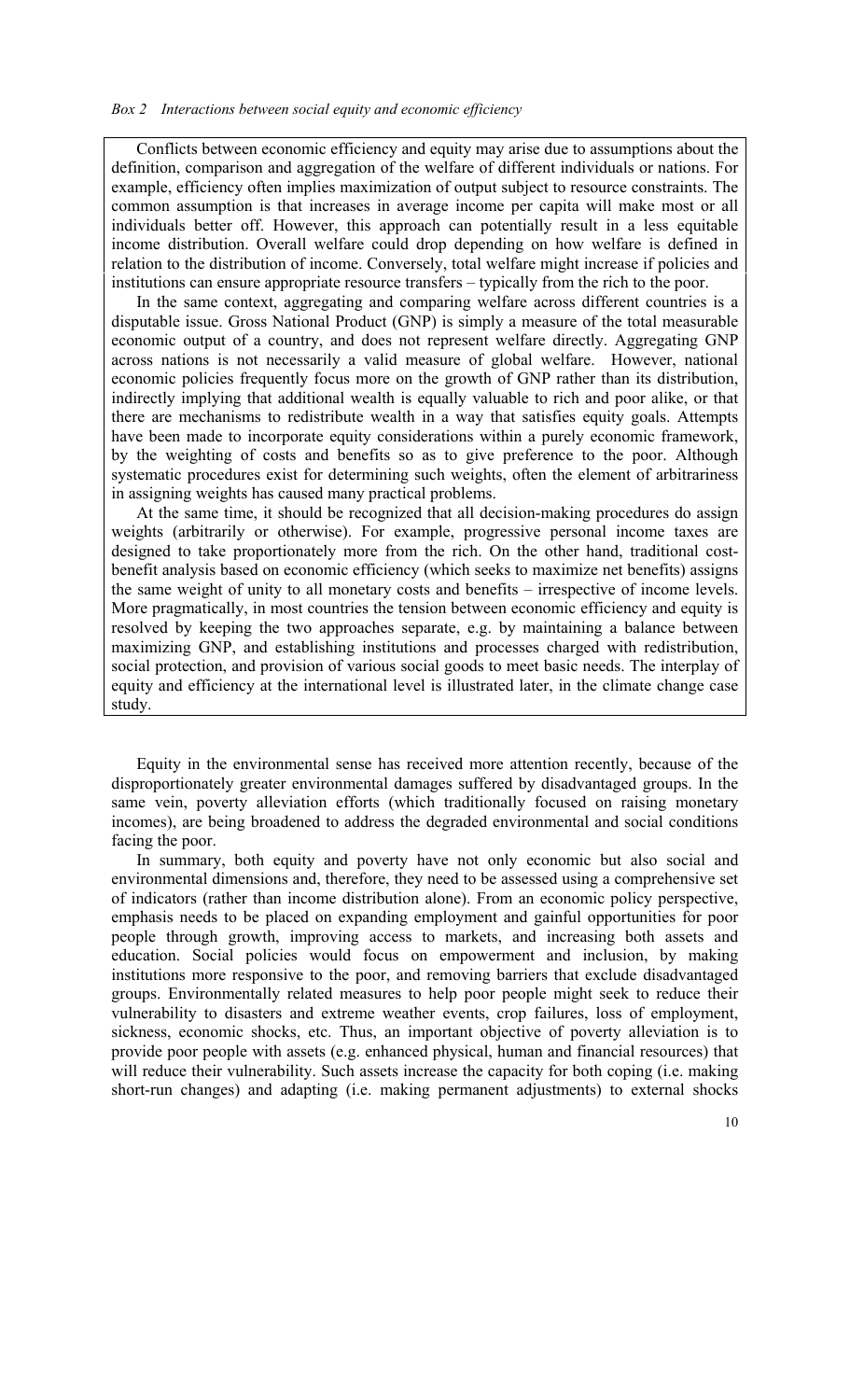#### *Box 2 Interactions between social equity and economic efficiency*

Conflicts between economic efficiency and equity may arise due to assumptions about the definition, comparison and aggregation of the welfare of different individuals or nations. For example, efficiency often implies maximization of output subject to resource constraints. The common assumption is that increases in average income per capita will make most or all individuals better off. However, this approach can potentially result in a less equitable income distribution. Overall welfare could drop depending on how welfare is defined in relation to the distribution of income. Conversely, total welfare might increase if policies and institutions can ensure appropriate resource transfers – typically from the rich to the poor.

In the same context, aggregating and comparing welfare across different countries is a disputable issue. Gross National Product (GNP) is simply a measure of the total measurable economic output of a country, and does not represent welfare directly. Aggregating GNP across nations is not necessarily a valid measure of global welfare. However, national economic policies frequently focus more on the growth of GNP rather than its distribution, indirectly implying that additional wealth is equally valuable to rich and poor alike, or that there are mechanisms to redistribute wealth in a way that satisfies equity goals. Attempts have been made to incorporate equity considerations within a purely economic framework, by the weighting of costs and benefits so as to give preference to the poor. Although systematic procedures exist for determining such weights, often the element of arbitrariness in assigning weights has caused many practical problems.

At the same time, it should be recognized that all decision-making procedures do assign weights (arbitrarily or otherwise). For example, progressive personal income taxes are designed to take proportionately more from the rich. On the other hand, traditional costbenefit analysis based on economic efficiency (which seeks to maximize net benefits) assigns the same weight of unity to all monetary costs and benefits – irrespective of income levels. More pragmatically, in most countries the tension between economic efficiency and equity is resolved by keeping the two approaches separate, e.g. by maintaining a balance between maximizing GNP, and establishing institutions and processes charged with redistribution, social protection, and provision of various social goods to meet basic needs. The interplay of equity and efficiency at the international level is illustrated later, in the climate change case study.

Equity in the environmental sense has received more attention recently, because of the disproportionately greater environmental damages suffered by disadvantaged groups. In the same vein, poverty alleviation efforts (which traditionally focused on raising monetary incomes), are being broadened to address the degraded environmental and social conditions facing the poor.

In summary, both equity and poverty have not only economic but also social and environmental dimensions and, therefore, they need to be assessed using a comprehensive set of indicators (rather than income distribution alone). From an economic policy perspective, emphasis needs to be placed on expanding employment and gainful opportunities for poor people through growth, improving access to markets, and increasing both assets and education. Social policies would focus on empowerment and inclusion, by making institutions more responsive to the poor, and removing barriers that exclude disadvantaged groups. Environmentally related measures to help poor people might seek to reduce their vulnerability to disasters and extreme weather events, crop failures, loss of employment, sickness, economic shocks, etc. Thus, an important objective of poverty alleviation is to provide poor people with assets (e.g. enhanced physical, human and financial resources) that will reduce their vulnerability. Such assets increase the capacity for both coping (i.e. making short-run changes) and adapting (i.e. making permanent adjustments) to external shocks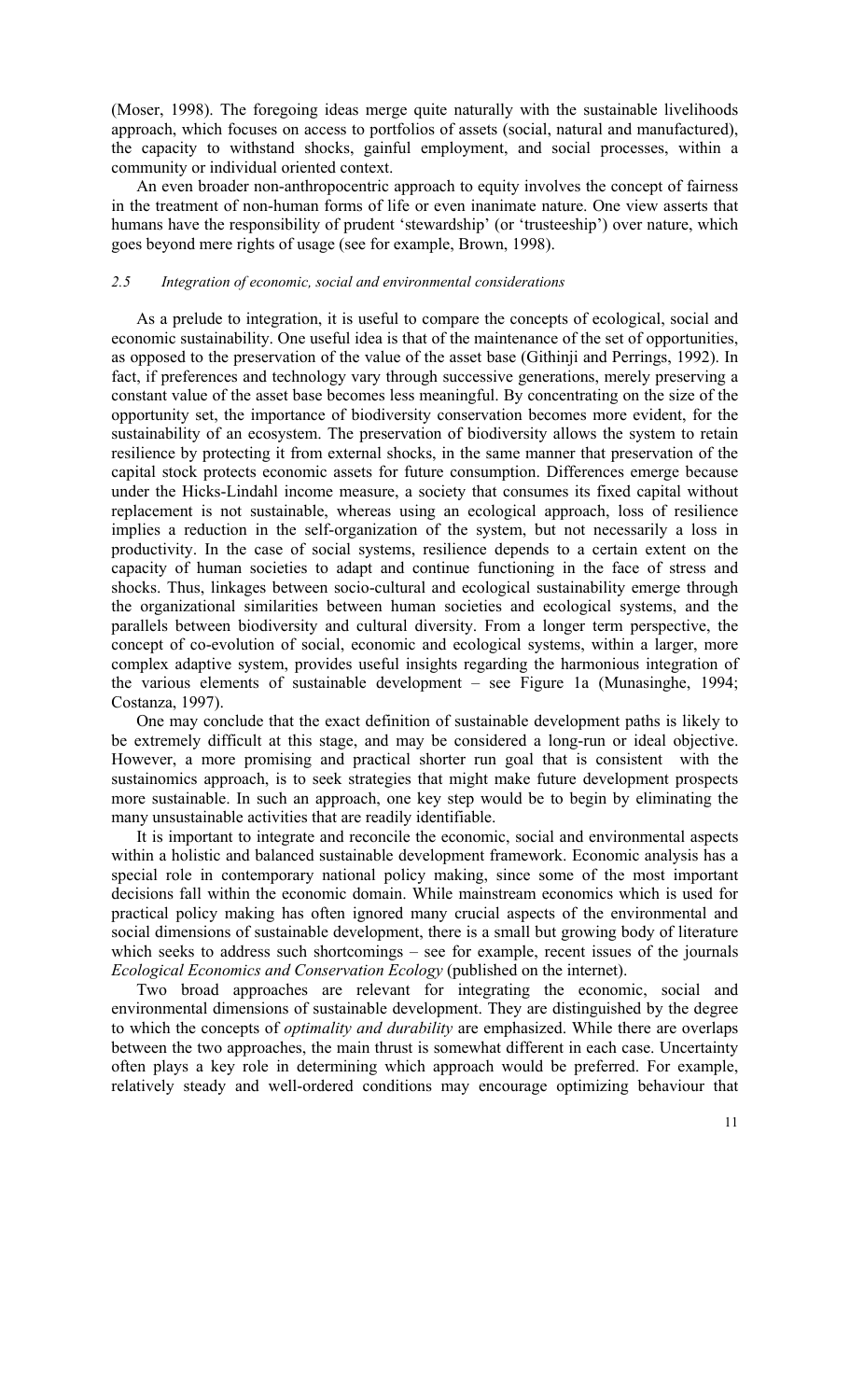(Moser, 1998). The foregoing ideas merge quite naturally with the sustainable livelihoods approach, which focuses on access to portfolios of assets (social, natural and manufactured), the capacity to withstand shocks, gainful employment, and social processes, within a community or individual oriented context.

An even broader non-anthropocentric approach to equity involves the concept of fairness in the treatment of non-human forms of life or even inanimate nature. One view asserts that humans have the responsibility of prudent 'stewardship' (or 'trusteeship') over nature, which goes beyond mere rights of usage (see for example, Brown, 1998).

#### *2.5 Integration of economic, social and environmental considerations*

As a prelude to integration, it is useful to compare the concepts of ecological, social and economic sustainability. One useful idea is that of the maintenance of the set of opportunities, as opposed to the preservation of the value of the asset base (Githinji and Perrings, 1992). In fact, if preferences and technology vary through successive generations, merely preserving a constant value of the asset base becomes less meaningful. By concentrating on the size of the opportunity set, the importance of biodiversity conservation becomes more evident, for the sustainability of an ecosystem. The preservation of biodiversity allows the system to retain resilience by protecting it from external shocks, in the same manner that preservation of the capital stock protects economic assets for future consumption. Differences emerge because under the Hicks-Lindahl income measure, a society that consumes its fixed capital without replacement is not sustainable, whereas using an ecological approach, loss of resilience implies a reduction in the self-organization of the system, but not necessarily a loss in productivity. In the case of social systems, resilience depends to a certain extent on the capacity of human societies to adapt and continue functioning in the face of stress and shocks. Thus, linkages between socio-cultural and ecological sustainability emerge through the organizational similarities between human societies and ecological systems, and the parallels between biodiversity and cultural diversity. From a longer term perspective, the concept of co-evolution of social, economic and ecological systems, within a larger, more complex adaptive system, provides useful insights regarding the harmonious integration of the various elements of sustainable development – see Figure 1a (Munasinghe, 1994; Costanza, 1997).

One may conclude that the exact definition of sustainable development paths is likely to be extremely difficult at this stage, and may be considered a long-run or ideal objective. However, a more promising and practical shorter run goal that is consistent with the sustainomics approach, is to seek strategies that might make future development prospects more sustainable. In such an approach, one key step would be to begin by eliminating the many unsustainable activities that are readily identifiable.

It is important to integrate and reconcile the economic, social and environmental aspects within a holistic and balanced sustainable development framework. Economic analysis has a special role in contemporary national policy making, since some of the most important decisions fall within the economic domain. While mainstream economics which is used for practical policy making has often ignored many crucial aspects of the environmental and social dimensions of sustainable development, there is a small but growing body of literature which seeks to address such shortcomings – see for example, recent issues of the journals *Ecological Economics and Conservation Ecology* (published on the internet).

Two broad approaches are relevant for integrating the economic, social and environmental dimensions of sustainable development. They are distinguished by the degree to which the concepts of *optimality and durability* are emphasized. While there are overlaps between the two approaches, the main thrust is somewhat different in each case. Uncertainty often plays a key role in determining which approach would be preferred. For example, relatively steady and well-ordered conditions may encourage optimizing behaviour that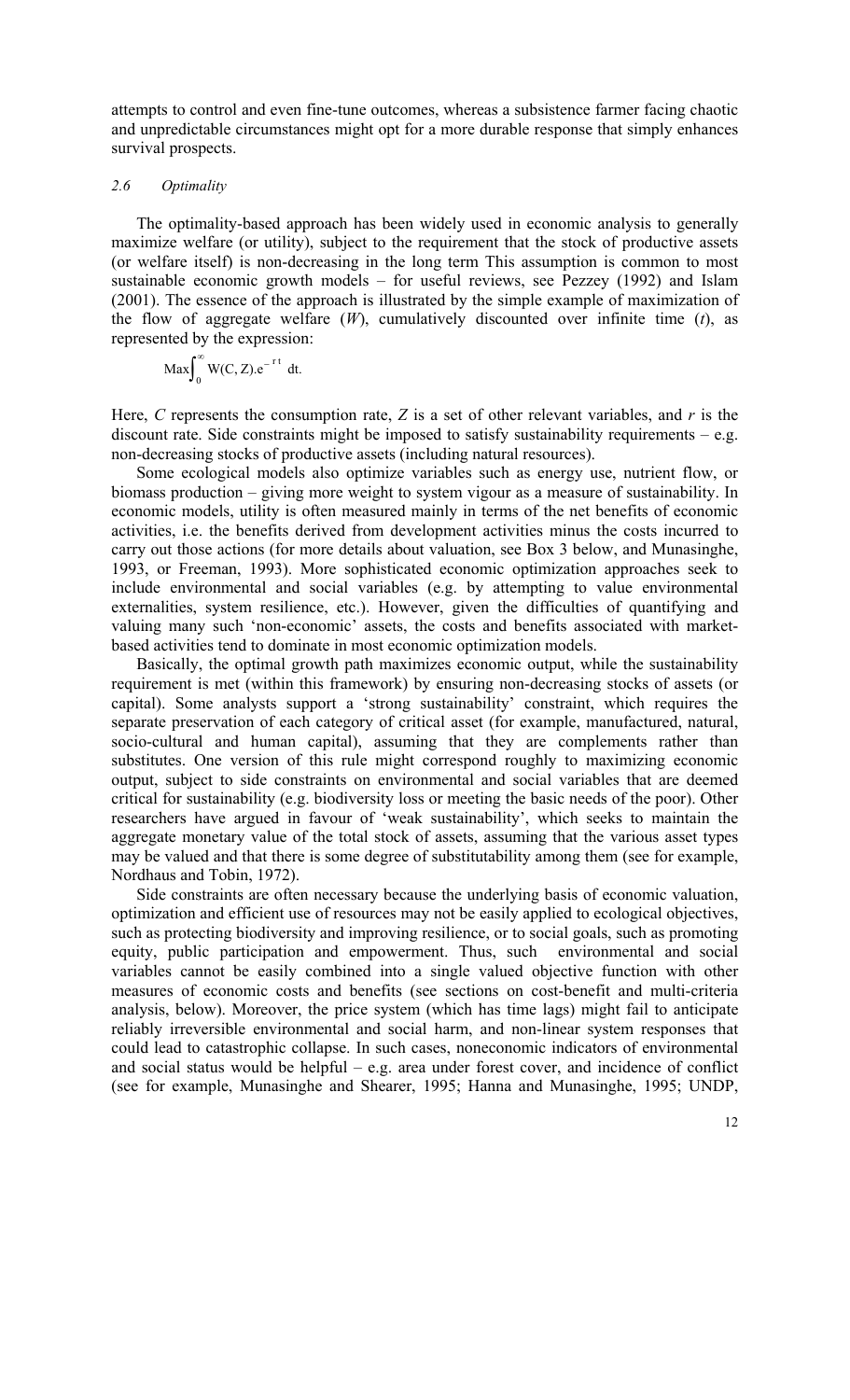attempts to control and even fine-tune outcomes, whereas a subsistence farmer facing chaotic and unpredictable circumstances might opt for a more durable response that simply enhances survival prospects.

#### *2.6 Optimality*

The optimality-based approach has been widely used in economic analysis to generally maximize welfare (or utility), subject to the requirement that the stock of productive assets (or welfare itself) is non-decreasing in the long term This assumption is common to most sustainable economic growth models – for useful reviews, see Pezzey (1992) and Islam (2001). The essence of the approach is illustrated by the simple example of maximization of the flow of aggregate welfare (*W*), cumulatively discounted over infinite time (*t*), as represented by the expression:

$$
\text{Max} \int_0^\infty W(C, Z) . e^{-rt} dt.
$$

Here, *C* represents the consumption rate, *Z* is a set of other relevant variables, and *r* is the discount rate. Side constraints might be imposed to satisfy sustainability requirements  $-$  e.g. non-decreasing stocks of productive assets (including natural resources).

Some ecological models also optimize variables such as energy use, nutrient flow, or biomass production – giving more weight to system vigour as a measure of sustainability. In economic models, utility is often measured mainly in terms of the net benefits of economic activities, i.e. the benefits derived from development activities minus the costs incurred to carry out those actions (for more details about valuation, see Box 3 below, and Munasinghe, 1993, or Freeman, 1993). More sophisticated economic optimization approaches seek to include environmental and social variables (e.g. by attempting to value environmental externalities, system resilience, etc.). However, given the difficulties of quantifying and valuing many such 'non-economic' assets, the costs and benefits associated with marketbased activities tend to dominate in most economic optimization models.

Basically, the optimal growth path maximizes economic output, while the sustainability requirement is met (within this framework) by ensuring non-decreasing stocks of assets (or capital). Some analysts support a 'strong sustainability' constraint, which requires the separate preservation of each category of critical asset (for example, manufactured, natural, socio-cultural and human capital), assuming that they are complements rather than substitutes. One version of this rule might correspond roughly to maximizing economic output, subject to side constraints on environmental and social variables that are deemed critical for sustainability (e.g. biodiversity loss or meeting the basic needs of the poor). Other researchers have argued in favour of 'weak sustainability', which seeks to maintain the aggregate monetary value of the total stock of assets, assuming that the various asset types may be valued and that there is some degree of substitutability among them (see for example, Nordhaus and Tobin, 1972).

Side constraints are often necessary because the underlying basis of economic valuation, optimization and efficient use of resources may not be easily applied to ecological objectives, such as protecting biodiversity and improving resilience, or to social goals, such as promoting equity, public participation and empowerment. Thus, such environmental and social variables cannot be easily combined into a single valued objective function with other measures of economic costs and benefits (see sections on cost-benefit and multi-criteria analysis, below). Moreover, the price system (which has time lags) might fail to anticipate reliably irreversible environmental and social harm, and non-linear system responses that could lead to catastrophic collapse. In such cases, noneconomic indicators of environmental and social status would be helpful – e.g. area under forest cover, and incidence of conflict (see for example, Munasinghe and Shearer, 1995; Hanna and Munasinghe, 1995; UNDP,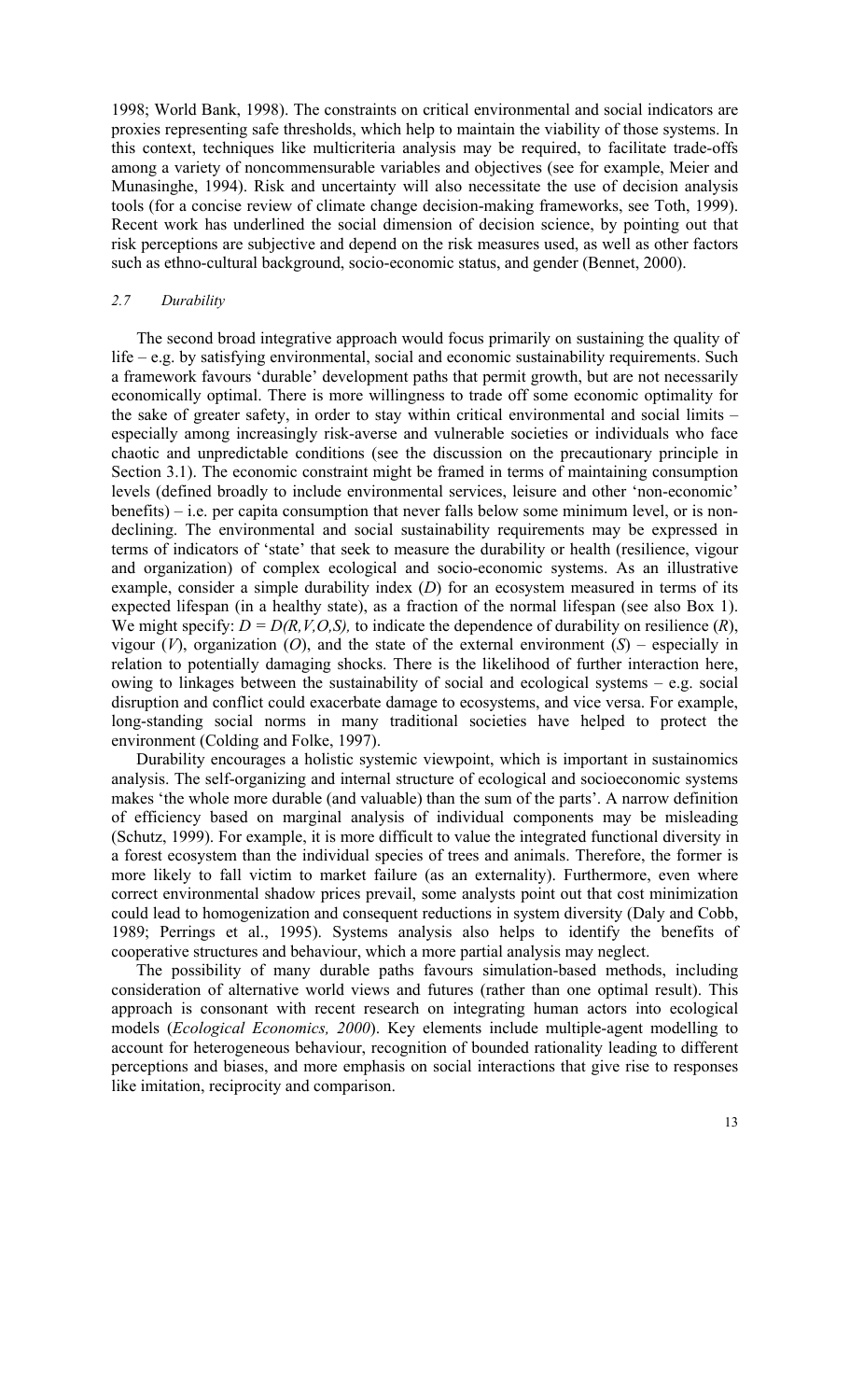1998; World Bank, 1998). The constraints on critical environmental and social indicators are proxies representing safe thresholds, which help to maintain the viability of those systems. In this context, techniques like multicriteria analysis may be required, to facilitate trade-offs among a variety of noncommensurable variables and objectives (see for example, Meier and Munasinghe, 1994). Risk and uncertainty will also necessitate the use of decision analysis tools (for a concise review of climate change decision-making frameworks, see Toth, 1999). Recent work has underlined the social dimension of decision science, by pointing out that risk perceptions are subjective and depend on the risk measures used, as well as other factors such as ethno-cultural background, socio-economic status, and gender (Bennet, 2000).

#### *2.7 Durability*

The second broad integrative approach would focus primarily on sustaining the quality of life – e.g. by satisfying environmental, social and economic sustainability requirements. Such a framework favours 'durable' development paths that permit growth, but are not necessarily economically optimal. There is more willingness to trade off some economic optimality for the sake of greater safety, in order to stay within critical environmental and social limits – especially among increasingly risk-averse and vulnerable societies or individuals who face chaotic and unpredictable conditions (see the discussion on the precautionary principle in Section 3.1). The economic constraint might be framed in terms of maintaining consumption levels (defined broadly to include environmental services, leisure and other 'non-economic' benefits) – i.e. per capita consumption that never falls below some minimum level, or is nondeclining. The environmental and social sustainability requirements may be expressed in terms of indicators of 'state' that seek to measure the durability or health (resilience, vigour and organization) of complex ecological and socio-economic systems. As an illustrative example, consider a simple durability index (*D*) for an ecosystem measured in terms of its expected lifespan (in a healthy state), as a fraction of the normal lifespan (see also Box 1). We might specify:  $D = D(R, V, O, S)$ , to indicate the dependence of durability on resilience  $(R)$ , vigour  $(V)$ , organization  $(O)$ , and the state of the external environment  $(S)$  – especially in relation to potentially damaging shocks. There is the likelihood of further interaction here, owing to linkages between the sustainability of social and ecological systems – e.g. social disruption and conflict could exacerbate damage to ecosystems, and vice versa. For example, long-standing social norms in many traditional societies have helped to protect the environment (Colding and Folke, 1997).

Durability encourages a holistic systemic viewpoint, which is important in sustainomics analysis. The self-organizing and internal structure of ecological and socioeconomic systems makes 'the whole more durable (and valuable) than the sum of the parts'. A narrow definition of efficiency based on marginal analysis of individual components may be misleading (Schutz, 1999). For example, it is more difficult to value the integrated functional diversity in a forest ecosystem than the individual species of trees and animals. Therefore, the former is more likely to fall victim to market failure (as an externality). Furthermore, even where correct environmental shadow prices prevail, some analysts point out that cost minimization could lead to homogenization and consequent reductions in system diversity (Daly and Cobb, 1989; Perrings et al., 1995). Systems analysis also helps to identify the benefits of cooperative structures and behaviour, which a more partial analysis may neglect.

The possibility of many durable paths favours simulation-based methods, including consideration of alternative world views and futures (rather than one optimal result). This approach is consonant with recent research on integrating human actors into ecological models (*Ecological Economics, 2000*). Key elements include multiple-agent modelling to account for heterogeneous behaviour, recognition of bounded rationality leading to different perceptions and biases, and more emphasis on social interactions that give rise to responses like imitation, reciprocity and comparison.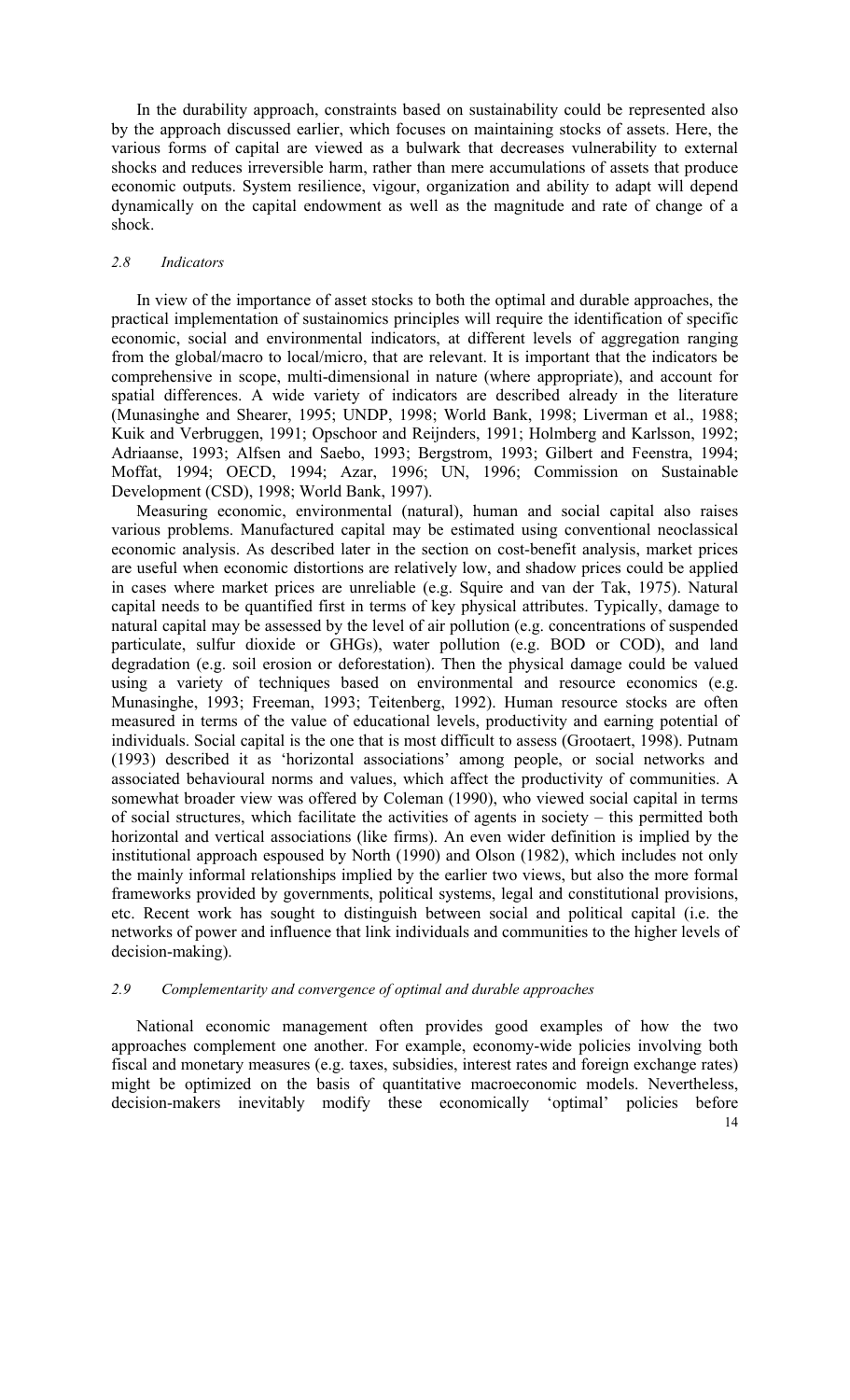In the durability approach, constraints based on sustainability could be represented also by the approach discussed earlier, which focuses on maintaining stocks of assets. Here, the various forms of capital are viewed as a bulwark that decreases vulnerability to external shocks and reduces irreversible harm, rather than mere accumulations of assets that produce economic outputs. System resilience, vigour, organization and ability to adapt will depend dynamically on the capital endowment as well as the magnitude and rate of change of a shock.

## *2.8 Indicators*

In view of the importance of asset stocks to both the optimal and durable approaches, the practical implementation of sustainomics principles will require the identification of specific economic, social and environmental indicators, at different levels of aggregation ranging from the global/macro to local/micro, that are relevant. It is important that the indicators be comprehensive in scope, multi-dimensional in nature (where appropriate), and account for spatial differences. A wide variety of indicators are described already in the literature (Munasinghe and Shearer, 1995; UNDP, 1998; World Bank, 1998; Liverman et al., 1988; Kuik and Verbruggen, 1991; Opschoor and Reijnders, 1991; Holmberg and Karlsson, 1992; Adriaanse, 1993; Alfsen and Saebo, 1993; Bergstrom, 1993; Gilbert and Feenstra, 1994; Moffat, 1994; OECD, 1994; Azar, 1996; UN, 1996; Commission on Sustainable Development (CSD), 1998; World Bank, 1997).

Measuring economic, environmental (natural), human and social capital also raises various problems. Manufactured capital may be estimated using conventional neoclassical economic analysis. As described later in the section on cost-benefit analysis, market prices are useful when economic distortions are relatively low, and shadow prices could be applied in cases where market prices are unreliable (e.g. Squire and van der Tak, 1975). Natural capital needs to be quantified first in terms of key physical attributes. Typically, damage to natural capital may be assessed by the level of air pollution (e.g. concentrations of suspended particulate, sulfur dioxide or GHGs), water pollution (e.g. BOD or COD), and land degradation (e.g. soil erosion or deforestation). Then the physical damage could be valued using a variety of techniques based on environmental and resource economics (e.g. Munasinghe, 1993; Freeman, 1993; Teitenberg, 1992). Human resource stocks are often measured in terms of the value of educational levels, productivity and earning potential of individuals. Social capital is the one that is most difficult to assess (Grootaert, 1998). Putnam (1993) described it as 'horizontal associations' among people, or social networks and associated behavioural norms and values, which affect the productivity of communities. A somewhat broader view was offered by Coleman (1990), who viewed social capital in terms of social structures, which facilitate the activities of agents in society – this permitted both horizontal and vertical associations (like firms). An even wider definition is implied by the institutional approach espoused by North (1990) and Olson (1982), which includes not only the mainly informal relationships implied by the earlier two views, but also the more formal frameworks provided by governments, political systems, legal and constitutional provisions, etc. Recent work has sought to distinguish between social and political capital (i.e. the networks of power and influence that link individuals and communities to the higher levels of decision-making).

## *2.9 Complementarity and convergence of optimal and durable approaches*

National economic management often provides good examples of how the two approaches complement one another. For example, economy-wide policies involving both fiscal and monetary measures (e.g. taxes, subsidies, interest rates and foreign exchange rates) might be optimized on the basis of quantitative macroeconomic models. Nevertheless, decision-makers inevitably modify these economically 'optimal' policies before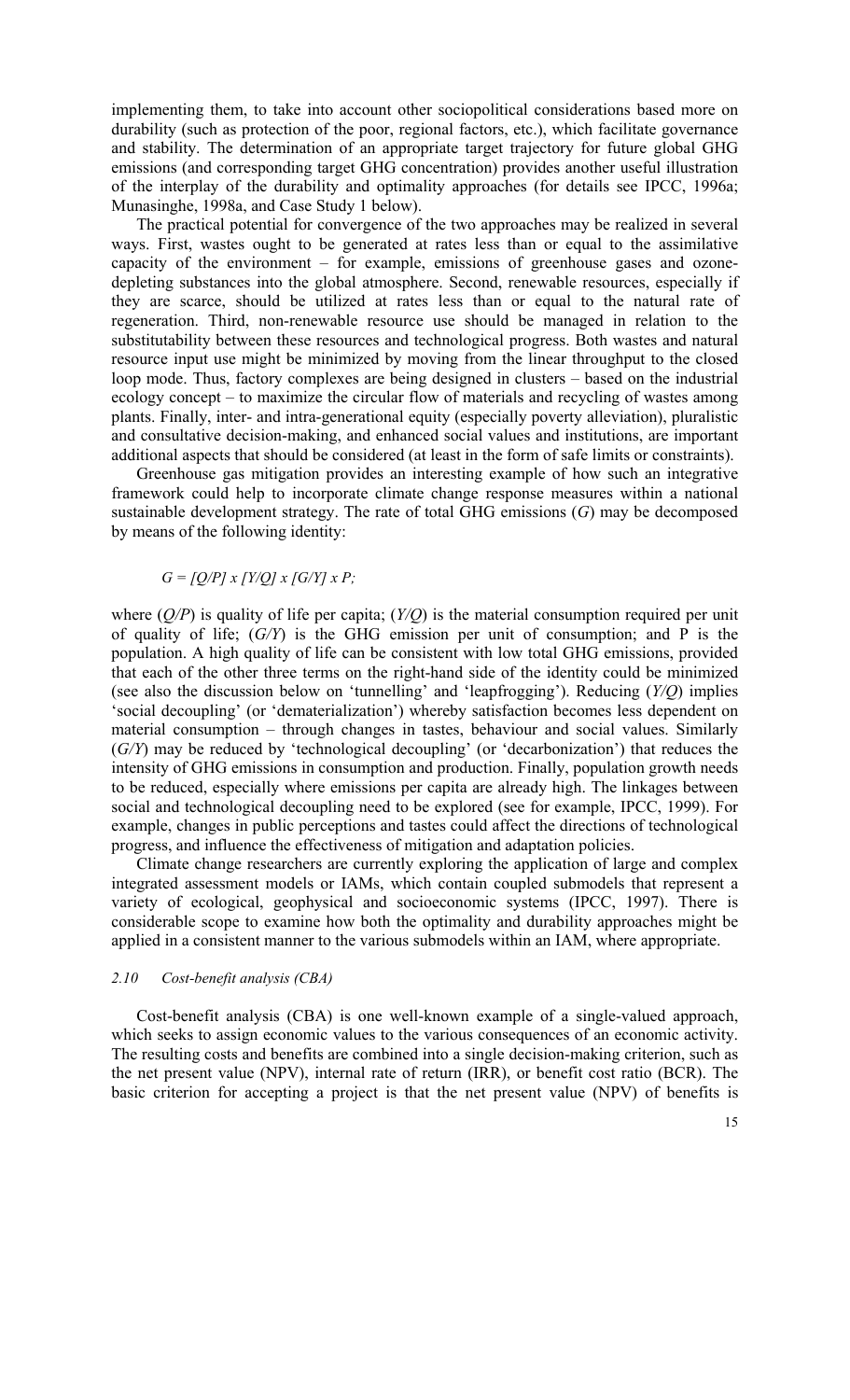implementing them, to take into account other sociopolitical considerations based more on durability (such as protection of the poor, regional factors, etc.), which facilitate governance and stability. The determination of an appropriate target trajectory for future global GHG emissions (and corresponding target GHG concentration) provides another useful illustration of the interplay of the durability and optimality approaches (for details see IPCC, 1996a; Munasinghe, 1998a, and Case Study 1 below).

The practical potential for convergence of the two approaches may be realized in several ways. First, wastes ought to be generated at rates less than or equal to the assimilative capacity of the environment – for example, emissions of greenhouse gases and ozonedepleting substances into the global atmosphere. Second, renewable resources, especially if they are scarce, should be utilized at rates less than or equal to the natural rate of regeneration. Third, non-renewable resource use should be managed in relation to the substitutability between these resources and technological progress. Both wastes and natural resource input use might be minimized by moving from the linear throughput to the closed loop mode. Thus, factory complexes are being designed in clusters – based on the industrial ecology concept – to maximize the circular flow of materials and recycling of wastes among plants. Finally, inter- and intra-generational equity (especially poverty alleviation), pluralistic and consultative decision-making, and enhanced social values and institutions, are important additional aspects that should be considered (at least in the form of safe limits or constraints).

Greenhouse gas mitigation provides an interesting example of how such an integrative framework could help to incorporate climate change response measures within a national sustainable development strategy. The rate of total GHG emissions (*G*) may be decomposed by means of the following identity:

*G = [Q/P] x [Y/Q] x [G/Y] x P;* 

where  $(Q/P)$  is quality of life per capita;  $(Y/Q)$  is the material consumption required per unit of quality of life; (*G/Y*) is the GHG emission per unit of consumption; and P is the population. A high quality of life can be consistent with low total GHG emissions, provided that each of the other three terms on the right-hand side of the identity could be minimized (see also the discussion below on 'tunnelling' and 'leapfrogging'). Reducing (*Y/Q*) implies 'social decoupling' (or 'dematerialization') whereby satisfaction becomes less dependent on material consumption – through changes in tastes, behaviour and social values. Similarly (*G/Y*) may be reduced by 'technological decoupling' (or 'decarbonization') that reduces the intensity of GHG emissions in consumption and production. Finally, population growth needs to be reduced, especially where emissions per capita are already high. The linkages between social and technological decoupling need to be explored (see for example, IPCC, 1999). For example, changes in public perceptions and tastes could affect the directions of technological progress, and influence the effectiveness of mitigation and adaptation policies.

Climate change researchers are currently exploring the application of large and complex integrated assessment models or IAMs, which contain coupled submodels that represent a variety of ecological, geophysical and socioeconomic systems (IPCC, 1997). There is considerable scope to examine how both the optimality and durability approaches might be applied in a consistent manner to the various submodels within an IAM, where appropriate.

## *2.10 Cost-benefit analysis (CBA)*

Cost-benefit analysis (CBA) is one well-known example of a single-valued approach, which seeks to assign economic values to the various consequences of an economic activity. The resulting costs and benefits are combined into a single decision-making criterion, such as the net present value (NPV), internal rate of return (IRR), or benefit cost ratio (BCR). The basic criterion for accepting a project is that the net present value (NPV) of benefits is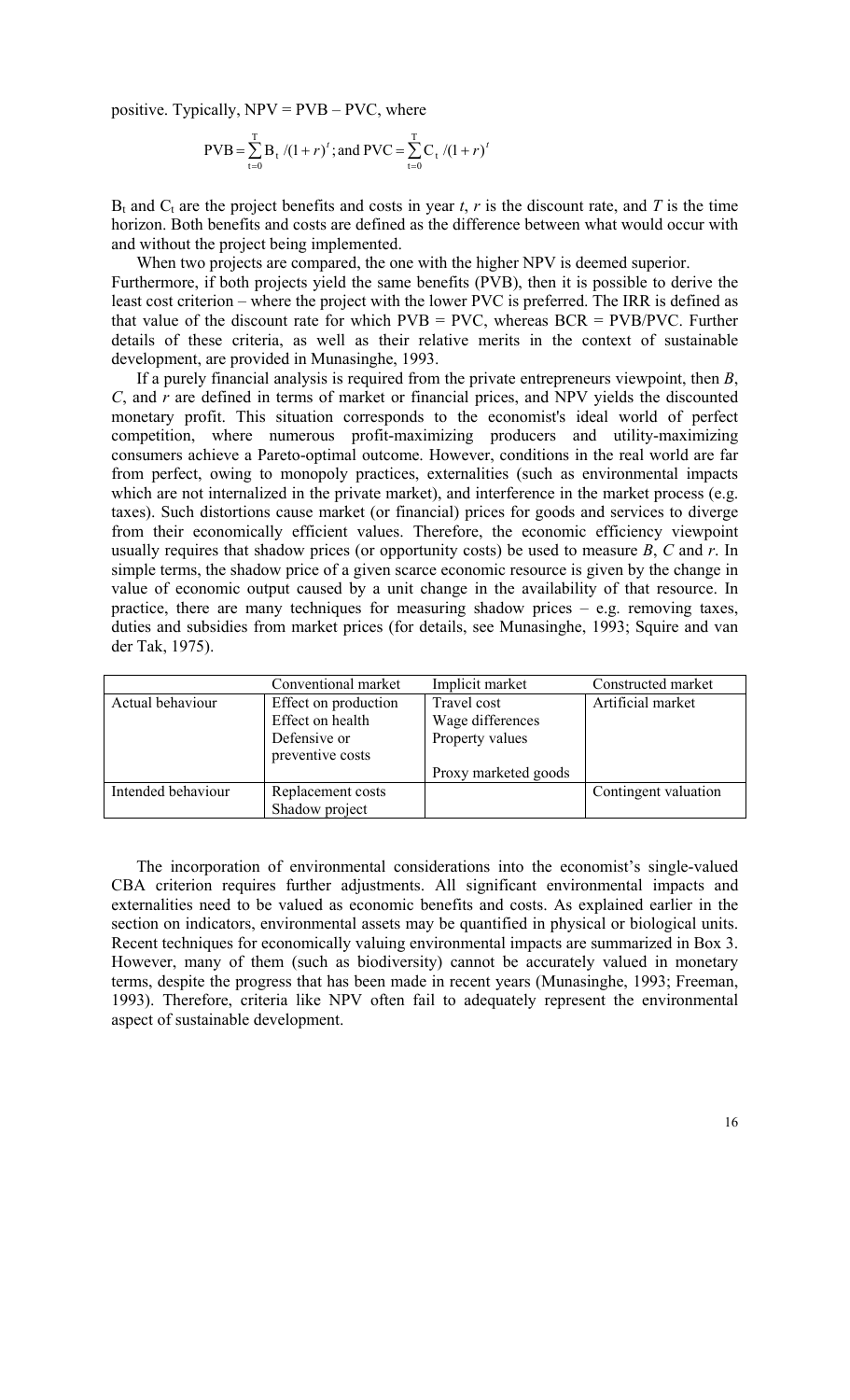positive. Typically,  $NPV = PVB - PVC$ , where

$$
PVB = \sum_{t=0}^{T} B_t / (1+r)^t; \text{ and } PVC = \sum_{t=0}^{T} C_t / (1+r)^t
$$

 $B_t$  and  $C_t$  are the project benefits and costs in year *t*, *r* is the discount rate, and *T* is the time horizon. Both benefits and costs are defined as the difference between what would occur with and without the project being implemented.

When two projects are compared, the one with the higher NPV is deemed superior. Furthermore, if both projects yield the same benefits (PVB), then it is possible to derive the least cost criterion – where the project with the lower PVC is preferred. The IRR is defined as that value of the discount rate for which PVB = PVC, whereas BCR = PVB/PVC. Further details of these criteria, as well as their relative merits in the context of sustainable development, are provided in Munasinghe, 1993.

If a purely financial analysis is required from the private entrepreneurs viewpoint, then *B*, *C*, and *r* are defined in terms of market or financial prices, and NPV yields the discounted monetary profit. This situation corresponds to the economist's ideal world of perfect competition, where numerous profit-maximizing producers and utility-maximizing consumers achieve a Pareto-optimal outcome. However, conditions in the real world are far from perfect, owing to monopoly practices, externalities (such as environmental impacts which are not internalized in the private market), and interference in the market process (e.g. taxes). Such distortions cause market (or financial) prices for goods and services to diverge from their economically efficient values. Therefore, the economic efficiency viewpoint usually requires that shadow prices (or opportunity costs) be used to measure *B*, *C* and *r*. In simple terms, the shadow price of a given scarce economic resource is given by the change in value of economic output caused by a unit change in the availability of that resource. In practice, there are many techniques for measuring shadow prices – e.g. removing taxes, duties and subsidies from market prices (for details, see Munasinghe, 1993; Squire and van der Tak, 1975).

|                    | Conventional market  | Implicit market      | Constructed market   |
|--------------------|----------------------|----------------------|----------------------|
| Actual behaviour   | Effect on production | Travel cost          | Artificial market    |
|                    | Effect on health     | Wage differences     |                      |
|                    | Defensive or         | Property values      |                      |
|                    | preventive costs     |                      |                      |
|                    |                      | Proxy marketed goods |                      |
| Intended behaviour | Replacement costs    |                      | Contingent valuation |
|                    | Shadow project       |                      |                      |

The incorporation of environmental considerations into the economist's single-valued CBA criterion requires further adjustments. All significant environmental impacts and externalities need to be valued as economic benefits and costs. As explained earlier in the section on indicators, environmental assets may be quantified in physical or biological units. Recent techniques for economically valuing environmental impacts are summarized in Box 3. However, many of them (such as biodiversity) cannot be accurately valued in monetary terms, despite the progress that has been made in recent years (Munasinghe, 1993; Freeman, 1993). Therefore, criteria like NPV often fail to adequately represent the environmental aspect of sustainable development.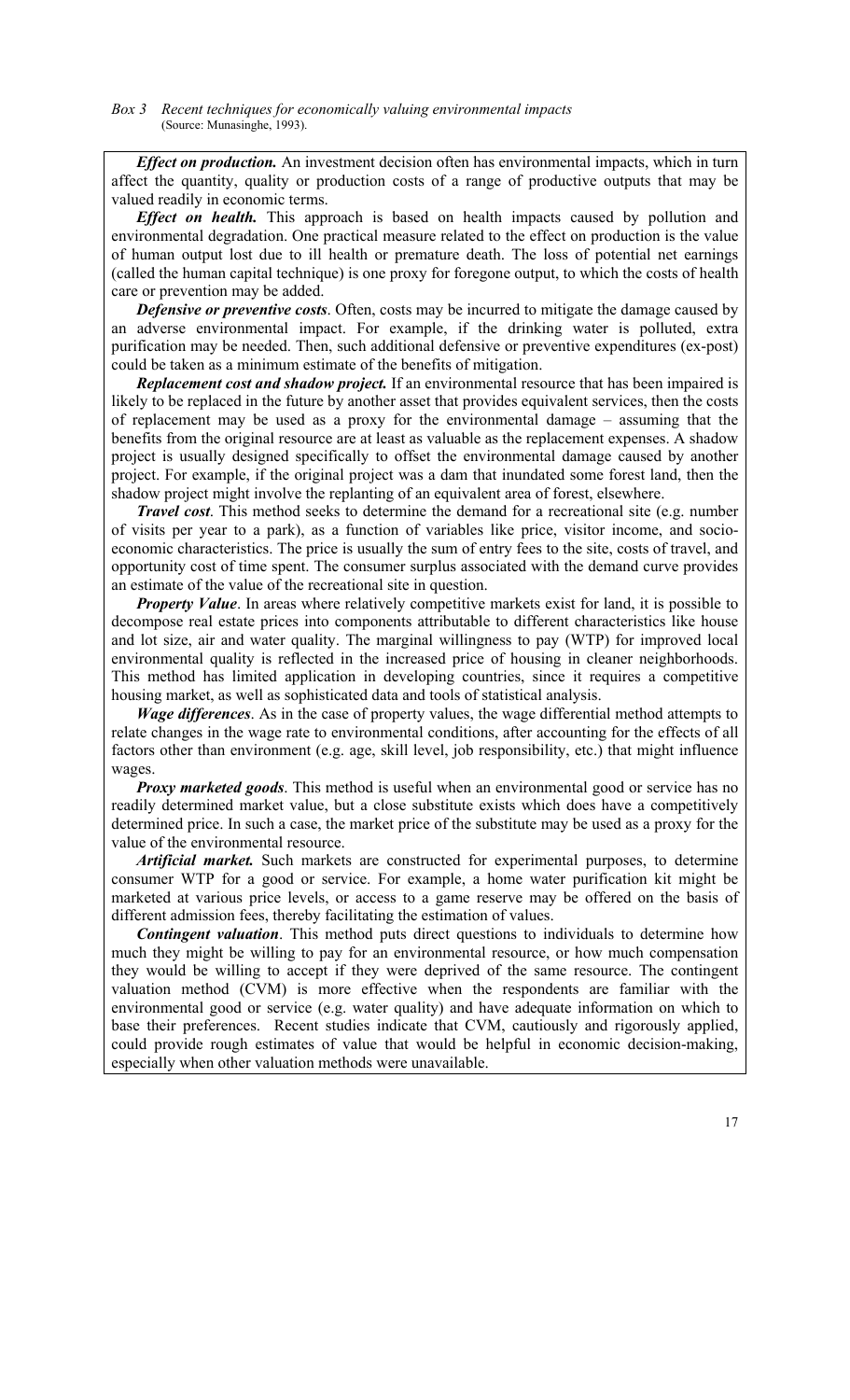*Box 3 Recent techniques for economically valuing environmental impacts*  (Source: Munasinghe, 1993).

*Effect on production.* An investment decision often has environmental impacts, which in turn affect the quantity, quality or production costs of a range of productive outputs that may be valued readily in economic terms.

*Effect on health*. This approach is based on health impacts caused by pollution and environmental degradation. One practical measure related to the effect on production is the value of human output lost due to ill health or premature death. The loss of potential net earnings (called the human capital technique) is one proxy for foregone output, to which the costs of health care or prevention may be added.

**Defensive or preventive costs**. Often, costs may be incurred to mitigate the damage caused by an adverse environmental impact. For example, if the drinking water is polluted, extra purification may be needed. Then, such additional defensive or preventive expenditures (ex-post) could be taken as a minimum estimate of the benefits of mitigation.

*Replacement cost and shadow project.* If an environmental resource that has been impaired is likely to be replaced in the future by another asset that provides equivalent services, then the costs of replacement may be used as a proxy for the environmental damage – assuming that the benefits from the original resource are at least as valuable as the replacement expenses. A shadow project is usually designed specifically to offset the environmental damage caused by another project. For example, if the original project was a dam that inundated some forest land, then the shadow project might involve the replanting of an equivalent area of forest, elsewhere.

*Travel cost*. This method seeks to determine the demand for a recreational site (e.g. number of visits per year to a park), as a function of variables like price, visitor income, and socioeconomic characteristics. The price is usually the sum of entry fees to the site, costs of travel, and opportunity cost of time spent. The consumer surplus associated with the demand curve provides an estimate of the value of the recreational site in question.

**Property Value**. In areas where relatively competitive markets exist for land, it is possible to decompose real estate prices into components attributable to different characteristics like house and lot size, air and water quality. The marginal willingness to pay (WTP) for improved local environmental quality is reflected in the increased price of housing in cleaner neighborhoods. This method has limited application in developing countries, since it requires a competitive housing market, as well as sophisticated data and tools of statistical analysis.

*Wage differences*. As in the case of property values, the wage differential method attempts to relate changes in the wage rate to environmental conditions, after accounting for the effects of all factors other than environment (e.g. age, skill level, job responsibility, etc.) that might influence wages.

*Proxy marketed goods*. This method is useful when an environmental good or service has no readily determined market value, but a close substitute exists which does have a competitively determined price. In such a case, the market price of the substitute may be used as a proxy for the value of the environmental resource.

*Artificial market.* Such markets are constructed for experimental purposes, to determine consumer WTP for a good or service. For example, a home water purification kit might be marketed at various price levels, or access to a game reserve may be offered on the basis of different admission fees, thereby facilitating the estimation of values.

*Contingent valuation*. This method puts direct questions to individuals to determine how much they might be willing to pay for an environmental resource, or how much compensation they would be willing to accept if they were deprived of the same resource. The contingent valuation method (CVM) is more effective when the respondents are familiar with the environmental good or service (e.g. water quality) and have adequate information on which to base their preferences. Recent studies indicate that CVM, cautiously and rigorously applied, could provide rough estimates of value that would be helpful in economic decision-making, especially when other valuation methods were unavailable.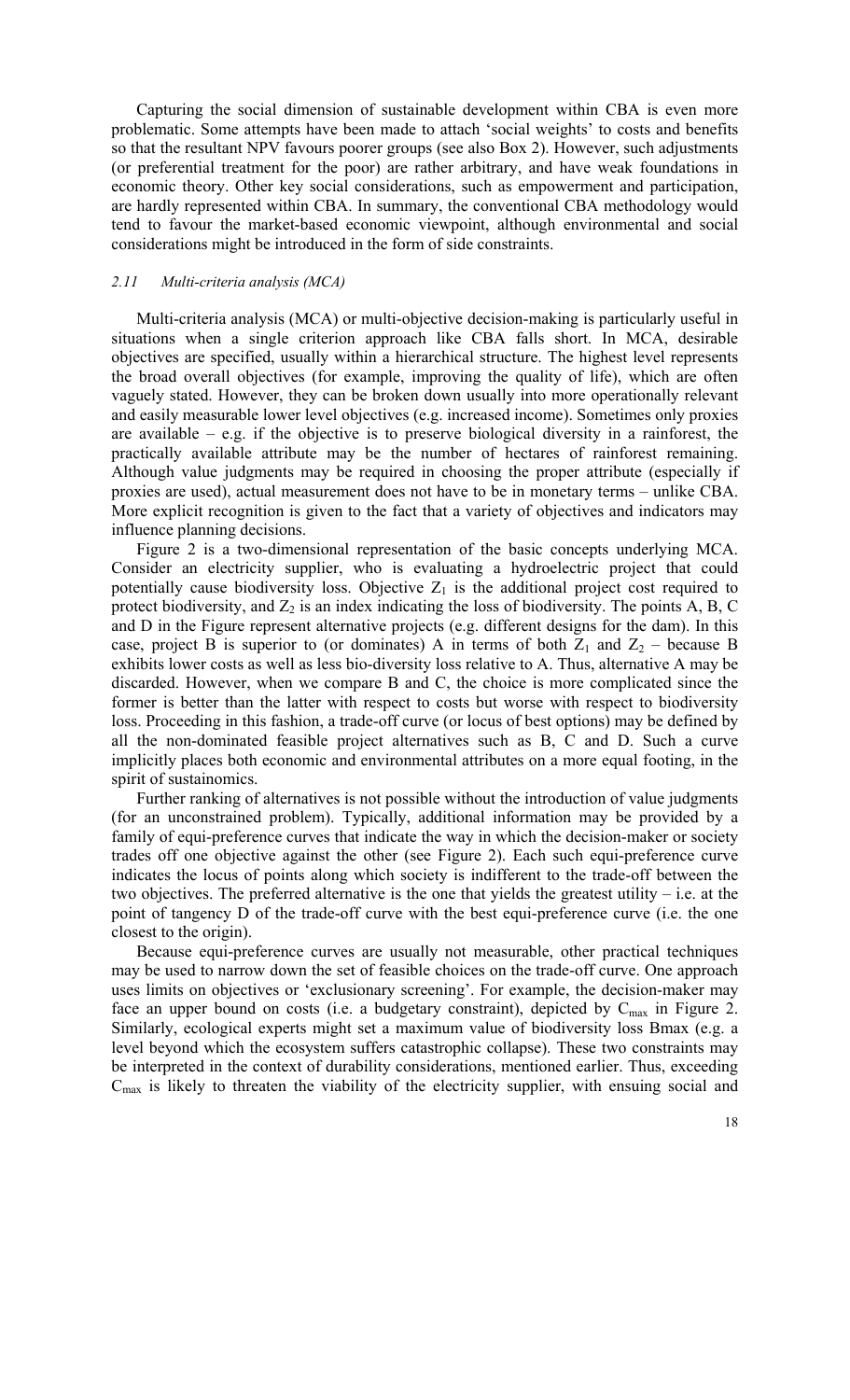Capturing the social dimension of sustainable development within CBA is even more problematic. Some attempts have been made to attach 'social weights' to costs and benefits so that the resultant NPV favours poorer groups (see also Box 2). However, such adjustments (or preferential treatment for the poor) are rather arbitrary, and have weak foundations in economic theory. Other key social considerations, such as empowerment and participation, are hardly represented within CBA. In summary, the conventional CBA methodology would tend to favour the market-based economic viewpoint, although environmental and social considerations might be introduced in the form of side constraints.

#### *2.11 Multi-criteria analysis (MCA)*

Multi-criteria analysis (MCA) or multi-objective decision-making is particularly useful in situations when a single criterion approach like CBA falls short. In MCA, desirable objectives are specified, usually within a hierarchical structure. The highest level represents the broad overall objectives (for example, improving the quality of life), which are often vaguely stated. However, they can be broken down usually into more operationally relevant and easily measurable lower level objectives (e.g. increased income). Sometimes only proxies are available – e.g. if the objective is to preserve biological diversity in a rainforest, the practically available attribute may be the number of hectares of rainforest remaining. Although value judgments may be required in choosing the proper attribute (especially if proxies are used), actual measurement does not have to be in monetary terms – unlike CBA. More explicit recognition is given to the fact that a variety of objectives and indicators may influence planning decisions.

Figure 2 is a two-dimensional representation of the basic concepts underlying MCA. Consider an electricity supplier, who is evaluating a hydroelectric project that could potentially cause biodiversity loss. Objective  $Z_1$  is the additional project cost required to protect biodiversity, and  $Z_2$  is an index indicating the loss of biodiversity. The points A, B, C and D in the Figure represent alternative projects (e.g. different designs for the dam). In this case, project B is superior to (or dominates) A in terms of both  $Z_1$  and  $Z_2$  – because B exhibits lower costs as well as less bio-diversity loss relative to A. Thus, alternative A may be discarded. However, when we compare B and C, the choice is more complicated since the former is better than the latter with respect to costs but worse with respect to biodiversity loss. Proceeding in this fashion, a trade-off curve (or locus of best options) may be defined by all the non-dominated feasible project alternatives such as B, C and D. Such a curve implicitly places both economic and environmental attributes on a more equal footing, in the spirit of sustainomics.

Further ranking of alternatives is not possible without the introduction of value judgments (for an unconstrained problem). Typically, additional information may be provided by a family of equi-preference curves that indicate the way in which the decision-maker or society trades off one objective against the other (see Figure 2). Each such equi-preference curve indicates the locus of points along which society is indifferent to the trade-off between the two objectives. The preferred alternative is the one that yields the greatest utility – i.e. at the point of tangency D of the trade-off curve with the best equi-preference curve (i.e. the one closest to the origin).

Because equi-preference curves are usually not measurable, other practical techniques may be used to narrow down the set of feasible choices on the trade-off curve. One approach uses limits on objectives or 'exclusionary screening'. For example, the decision-maker may face an upper bound on costs (i.e. a budgetary constraint), depicted by  $C_{\text{max}}$  in Figure 2. Similarly, ecological experts might set a maximum value of biodiversity loss Bmax (e.g. a level beyond which the ecosystem suffers catastrophic collapse). These two constraints may be interpreted in the context of durability considerations, mentioned earlier. Thus, exceeding  $C_{\text{max}}$  is likely to threaten the viability of the electricity supplier, with ensuing social and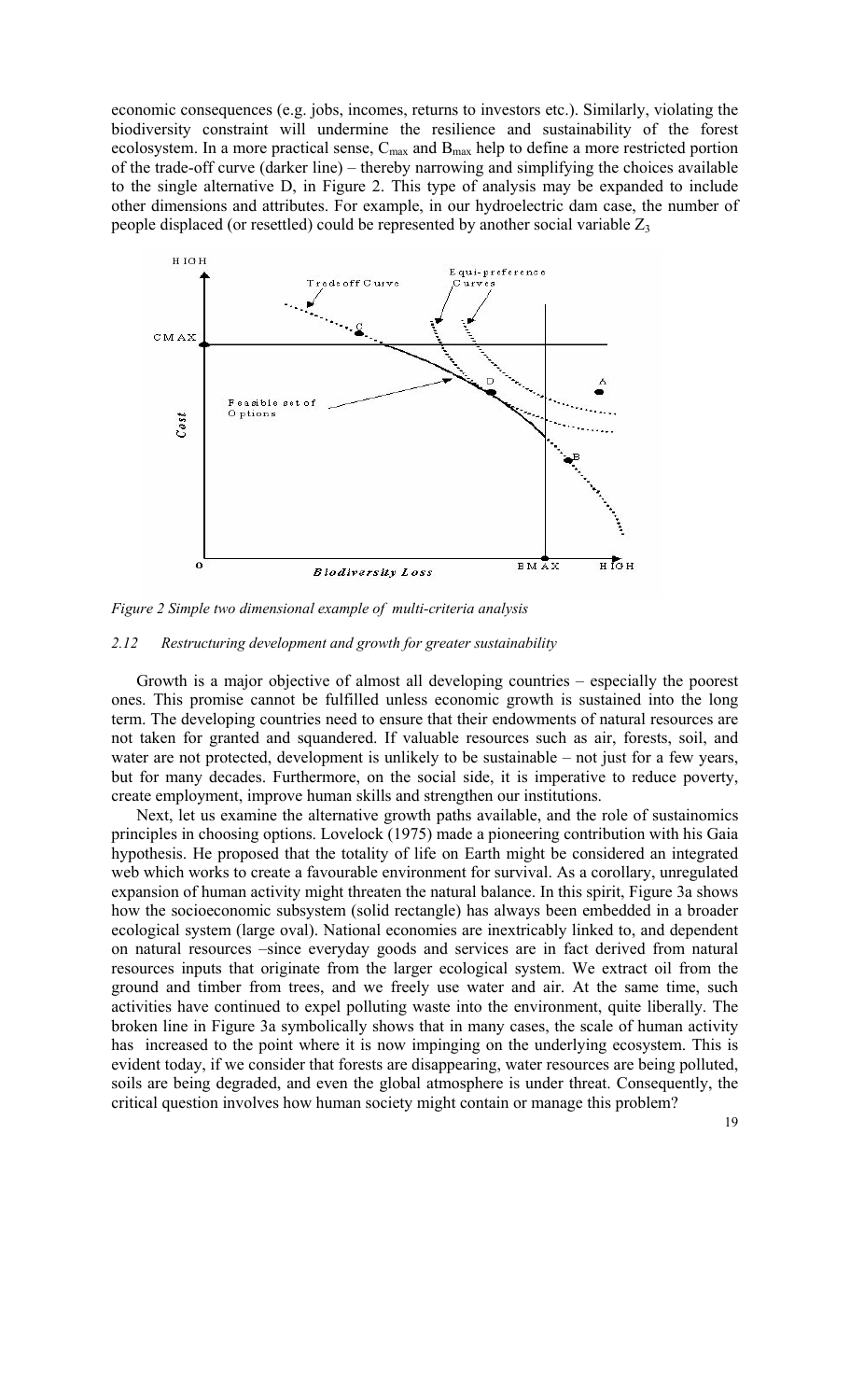economic consequences (e.g. jobs, incomes, returns to investors etc.). Similarly, violating the biodiversity constraint will undermine the resilience and sustainability of the forest ecolosystem. In a more practical sense,  $C_{\text{max}}$  and  $B_{\text{max}}$  help to define a more restricted portion of the trade-off curve (darker line) – thereby narrowing and simplifying the choices available to the single alternative D, in Figure 2. This type of analysis may be expanded to include other dimensions and attributes. For example, in our hydroelectric dam case, the number of people displaced (or resettled) could be represented by another social variable  $Z_3$ 



*Figure 2 Simple two dimensional example of multi-criteria analysis* 

## *2.12 Restructuring development and growth for greater sustainability*

Growth is a major objective of almost all developing countries – especially the poorest ones. This promise cannot be fulfilled unless economic growth is sustained into the long term. The developing countries need to ensure that their endowments of natural resources are not taken for granted and squandered. If valuable resources such as air, forests, soil, and water are not protected, development is unlikely to be sustainable – not just for a few years, but for many decades. Furthermore, on the social side, it is imperative to reduce poverty, create employment, improve human skills and strengthen our institutions.

Next, let us examine the alternative growth paths available, and the role of sustainomics principles in choosing options. Lovelock (1975) made a pioneering contribution with his Gaia hypothesis. He proposed that the totality of life on Earth might be considered an integrated web which works to create a favourable environment for survival. As a corollary, unregulated expansion of human activity might threaten the natural balance. In this spirit, Figure 3a shows how the socioeconomic subsystem (solid rectangle) has always been embedded in a broader ecological system (large oval). National economies are inextricably linked to, and dependent on natural resources –since everyday goods and services are in fact derived from natural resources inputs that originate from the larger ecological system. We extract oil from the ground and timber from trees, and we freely use water and air. At the same time, such activities have continued to expel polluting waste into the environment, quite liberally. The broken line in Figure 3a symbolically shows that in many cases, the scale of human activity has increased to the point where it is now impinging on the underlying ecosystem. This is evident today, if we consider that forests are disappearing, water resources are being polluted, soils are being degraded, and even the global atmosphere is under threat. Consequently, the critical question involves how human society might contain or manage this problem?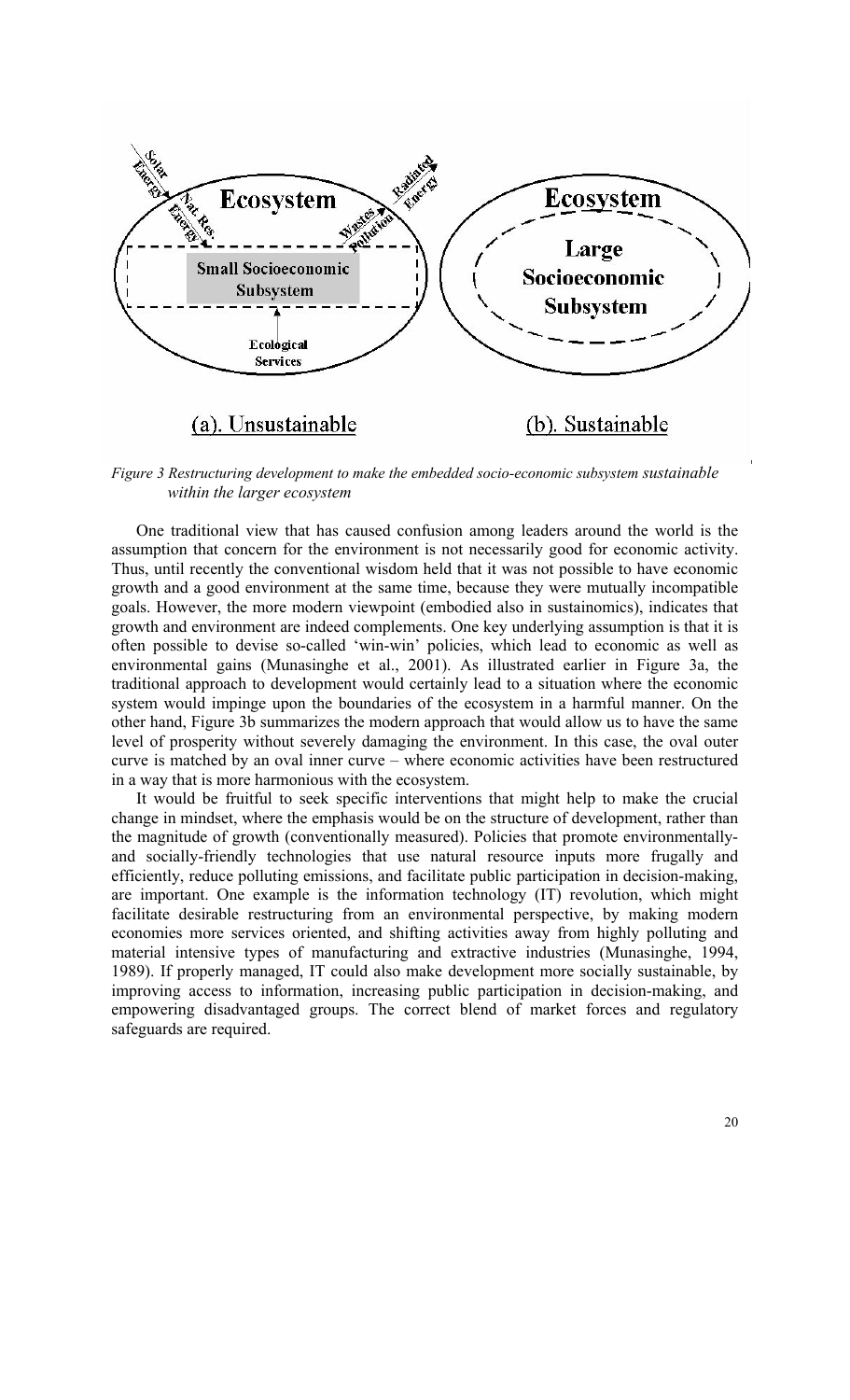

*Figure 3 Restructuring development to make the embedded socio-economic subsystem sustainable within the larger ecosystem* 

One traditional view that has caused confusion among leaders around the world is the assumption that concern for the environment is not necessarily good for economic activity. Thus, until recently the conventional wisdom held that it was not possible to have economic growth and a good environment at the same time, because they were mutually incompatible goals. However, the more modern viewpoint (embodied also in sustainomics), indicates that growth and environment are indeed complements. One key underlying assumption is that it is often possible to devise so-called 'win-win' policies, which lead to economic as well as environmental gains (Munasinghe et al., 2001). As illustrated earlier in Figure 3a, the traditional approach to development would certainly lead to a situation where the economic system would impinge upon the boundaries of the ecosystem in a harmful manner. On the other hand, Figure 3b summarizes the modern approach that would allow us to have the same level of prosperity without severely damaging the environment. In this case, the oval outer curve is matched by an oval inner curve – where economic activities have been restructured in a way that is more harmonious with the ecosystem.

It would be fruitful to seek specific interventions that might help to make the crucial change in mindset, where the emphasis would be on the structure of development, rather than the magnitude of growth (conventionally measured). Policies that promote environmentallyand socially-friendly technologies that use natural resource inputs more frugally and efficiently, reduce polluting emissions, and facilitate public participation in decision-making, are important. One example is the information technology (IT) revolution, which might facilitate desirable restructuring from an environmental perspective, by making modern economies more services oriented, and shifting activities away from highly polluting and material intensive types of manufacturing and extractive industries (Munasinghe, 1994, 1989). If properly managed, IT could also make development more socially sustainable, by improving access to information, increasing public participation in decision-making, and empowering disadvantaged groups. The correct blend of market forces and regulatory safeguards are required.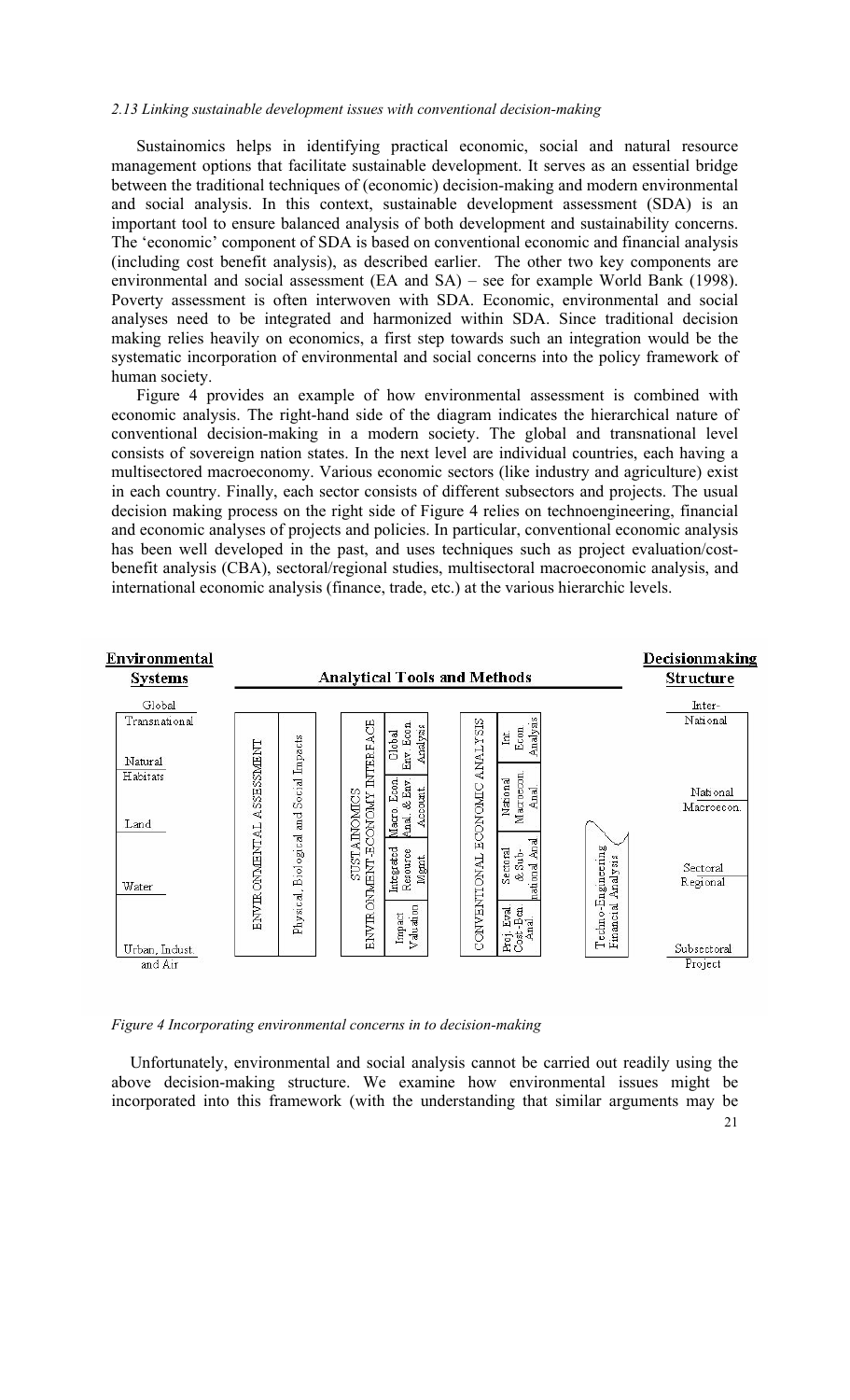#### *2.13 Linking sustainable development issues with conventional decision-making*

Sustainomics helps in identifying practical economic, social and natural resource management options that facilitate sustainable development. It serves as an essential bridge between the traditional techniques of (economic) decision-making and modern environmental and social analysis. In this context, sustainable development assessment (SDA) is an important tool to ensure balanced analysis of both development and sustainability concerns. The 'economic' component of SDA is based on conventional economic and financial analysis (including cost benefit analysis), as described earlier. The other two key components are environmental and social assessment (EA and SA) – see for example World Bank (1998). Poverty assessment is often interwoven with SDA. Economic, environmental and social analyses need to be integrated and harmonized within SDA. Since traditional decision making relies heavily on economics, a first step towards such an integration would be the systematic incorporation of environmental and social concerns into the policy framework of human society.

Figure 4 provides an example of how environmental assessment is combined with economic analysis. The right-hand side of the diagram indicates the hierarchical nature of conventional decision-making in a modern society. The global and transnational level consists of sovereign nation states. In the next level are individual countries, each having a multisectored macroeconomy. Various economic sectors (like industry and agriculture) exist in each country. Finally, each sector consists of different subsectors and projects. The usual decision making process on the right side of Figure 4 relies on technoengineering, financial and economic analyses of projects and policies. In particular, conventional economic analysis has been well developed in the past, and uses techniques such as project evaluation/costbenefit analysis (CBA), sectoral/regional studies, multisectoral macroeconomic analysis, and international economic analysis (finance, trade, etc.) at the various hierarchic levels.



*Figure 4 Incorporating environmental concerns in to decision-making* 

 $21$ Unfortunately, environmental and social analysis cannot be carried out readily using the above decision-making structure. We examine how environmental issues might be incorporated into this framework (with the understanding that similar arguments may be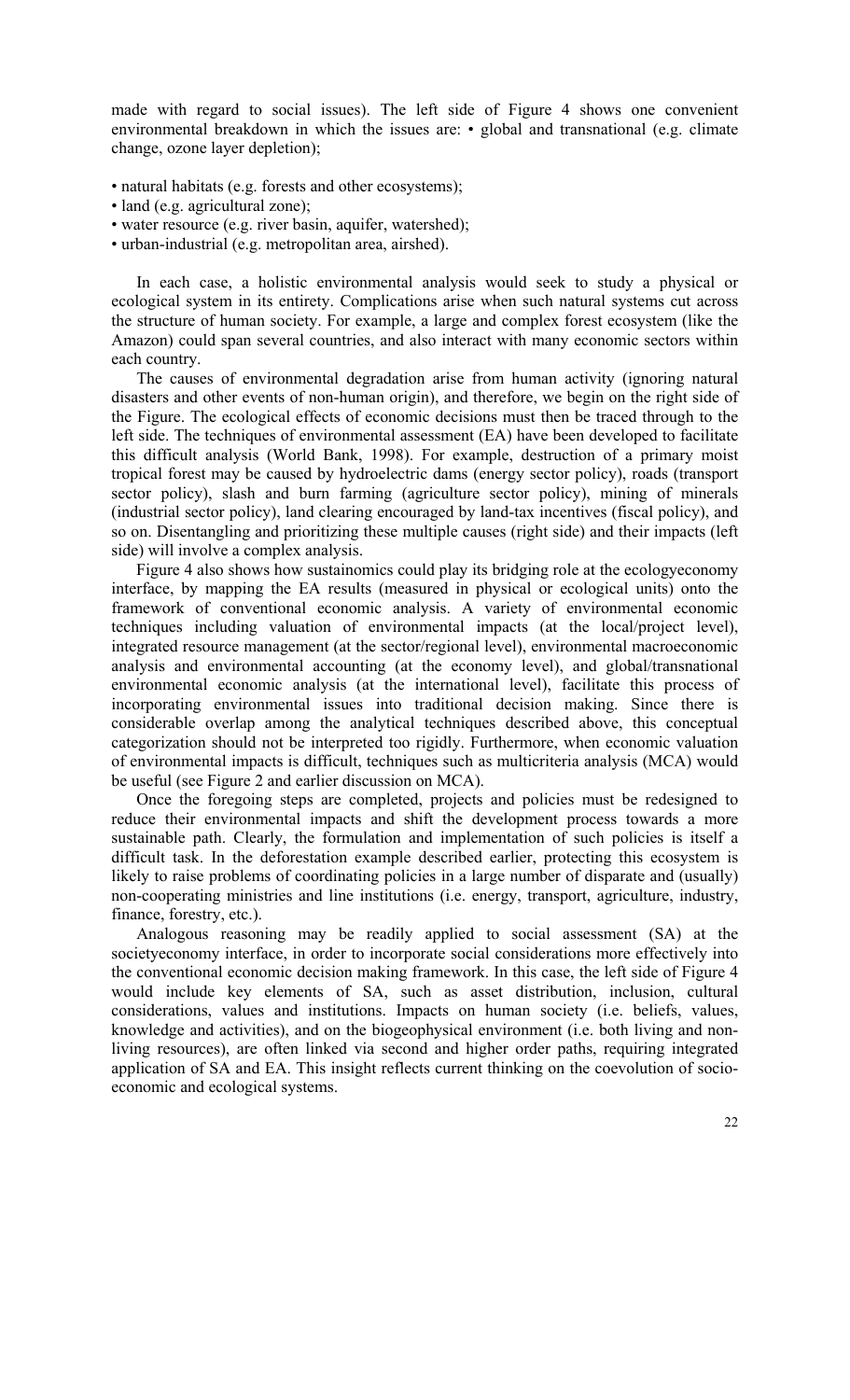made with regard to social issues). The left side of Figure 4 shows one convenient environmental breakdown in which the issues are: • global and transnational (e.g. climate change, ozone layer depletion);

- natural habitats (e.g. forests and other ecosystems);
- land (e.g. agricultural zone);
- water resource (e.g. river basin, aquifer, watershed);
- urban-industrial (e.g. metropolitan area, airshed).

In each case, a holistic environmental analysis would seek to study a physical or ecological system in its entirety. Complications arise when such natural systems cut across the structure of human society. For example, a large and complex forest ecosystem (like the Amazon) could span several countries, and also interact with many economic sectors within each country.

The causes of environmental degradation arise from human activity (ignoring natural disasters and other events of non-human origin), and therefore, we begin on the right side of the Figure. The ecological effects of economic decisions must then be traced through to the left side. The techniques of environmental assessment (EA) have been developed to facilitate this difficult analysis (World Bank, 1998). For example, destruction of a primary moist tropical forest may be caused by hydroelectric dams (energy sector policy), roads (transport sector policy), slash and burn farming (agriculture sector policy), mining of minerals (industrial sector policy), land clearing encouraged by land-tax incentives (fiscal policy), and so on. Disentangling and prioritizing these multiple causes (right side) and their impacts (left side) will involve a complex analysis.

Figure 4 also shows how sustainomics could play its bridging role at the ecologyeconomy interface, by mapping the EA results (measured in physical or ecological units) onto the framework of conventional economic analysis. A variety of environmental economic techniques including valuation of environmental impacts (at the local/project level), integrated resource management (at the sector/regional level), environmental macroeconomic analysis and environmental accounting (at the economy level), and global/transnational environmental economic analysis (at the international level), facilitate this process of incorporating environmental issues into traditional decision making. Since there is considerable overlap among the analytical techniques described above, this conceptual categorization should not be interpreted too rigidly. Furthermore, when economic valuation of environmental impacts is difficult, techniques such as multicriteria analysis (MCA) would be useful (see Figure 2 and earlier discussion on MCA).

Once the foregoing steps are completed, projects and policies must be redesigned to reduce their environmental impacts and shift the development process towards a more sustainable path. Clearly, the formulation and implementation of such policies is itself a difficult task. In the deforestation example described earlier, protecting this ecosystem is likely to raise problems of coordinating policies in a large number of disparate and (usually) non-cooperating ministries and line institutions (i.e. energy, transport, agriculture, industry, finance, forestry, etc.).

Analogous reasoning may be readily applied to social assessment (SA) at the societyeconomy interface, in order to incorporate social considerations more effectively into the conventional economic decision making framework. In this case, the left side of Figure 4 would include key elements of SA, such as asset distribution, inclusion, cultural considerations, values and institutions. Impacts on human society (i.e. beliefs, values, knowledge and activities), and on the biogeophysical environment (i.e. both living and nonliving resources), are often linked via second and higher order paths, requiring integrated application of SA and EA. This insight reflects current thinking on the coevolution of socioeconomic and ecological systems.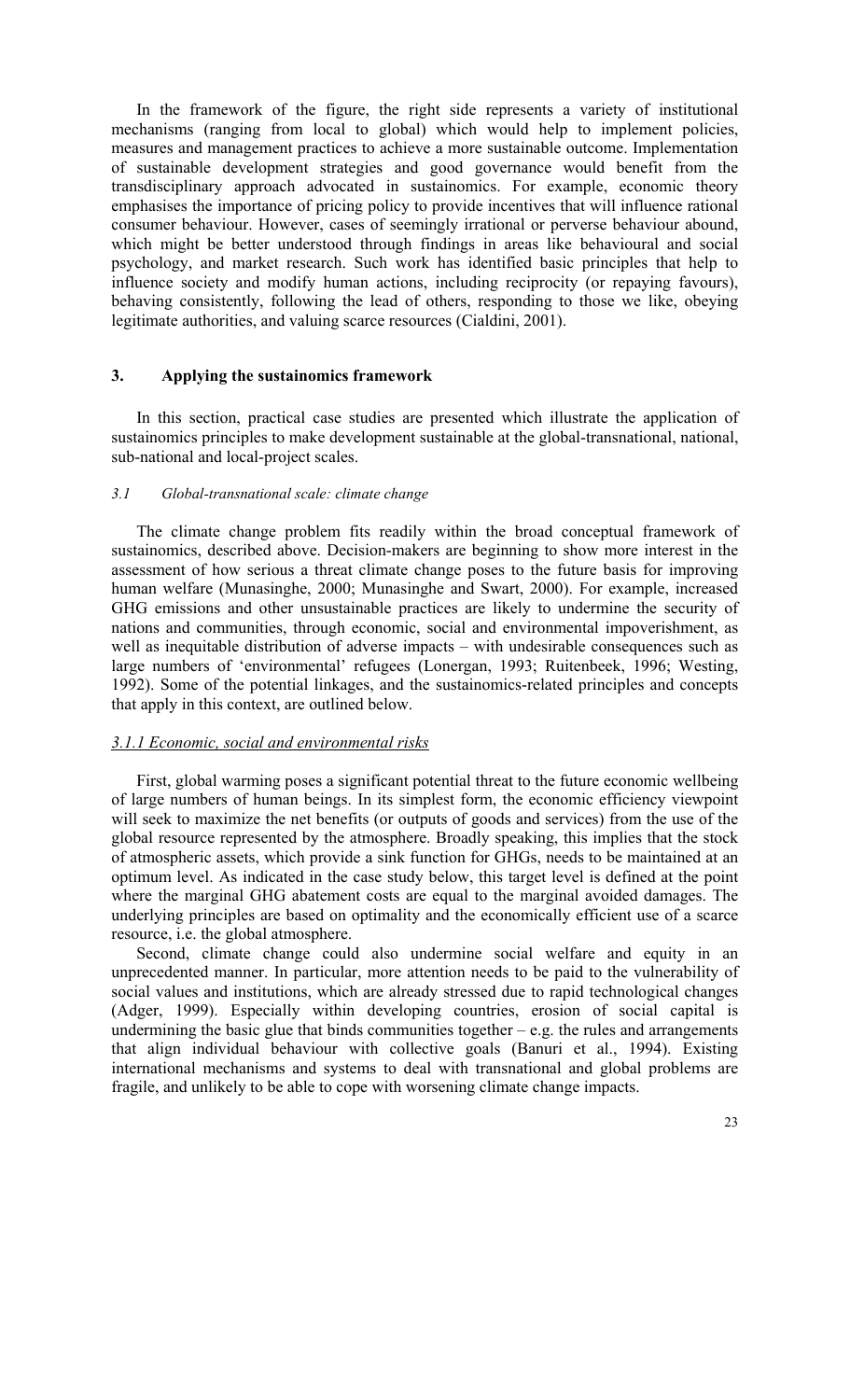In the framework of the figure, the right side represents a variety of institutional mechanisms (ranging from local to global) which would help to implement policies, measures and management practices to achieve a more sustainable outcome. Implementation of sustainable development strategies and good governance would benefit from the transdisciplinary approach advocated in sustainomics. For example, economic theory emphasises the importance of pricing policy to provide incentives that will influence rational consumer behaviour. However, cases of seemingly irrational or perverse behaviour abound, which might be better understood through findings in areas like behavioural and social psychology, and market research. Such work has identified basic principles that help to influence society and modify human actions, including reciprocity (or repaying favours), behaving consistently, following the lead of others, responding to those we like, obeying legitimate authorities, and valuing scarce resources (Cialdini, 2001).

## **3. Applying the sustainomics framework**

In this section, practical case studies are presented which illustrate the application of sustainomics principles to make development sustainable at the global-transnational, national, sub-national and local-project scales.

#### *3.1 Global-transnational scale: climate change*

The climate change problem fits readily within the broad conceptual framework of sustainomics, described above. Decision-makers are beginning to show more interest in the assessment of how serious a threat climate change poses to the future basis for improving human welfare (Munasinghe, 2000; Munasinghe and Swart, 2000). For example, increased GHG emissions and other unsustainable practices are likely to undermine the security of nations and communities, through economic, social and environmental impoverishment, as well as inequitable distribution of adverse impacts – with undesirable consequences such as large numbers of 'environmental' refugees (Lonergan, 1993; Ruitenbeek, 1996; Westing, 1992). Some of the potential linkages, and the sustainomics-related principles and concepts that apply in this context, are outlined below.

## *3.1.1 Economic, social and environmental risks*

First, global warming poses a significant potential threat to the future economic wellbeing of large numbers of human beings. In its simplest form, the economic efficiency viewpoint will seek to maximize the net benefits (or outputs of goods and services) from the use of the global resource represented by the atmosphere. Broadly speaking, this implies that the stock of atmospheric assets, which provide a sink function for GHGs, needs to be maintained at an optimum level. As indicated in the case study below, this target level is defined at the point where the marginal GHG abatement costs are equal to the marginal avoided damages. The underlying principles are based on optimality and the economically efficient use of a scarce resource, i.e. the global atmosphere.

Second, climate change could also undermine social welfare and equity in an unprecedented manner. In particular, more attention needs to be paid to the vulnerability of social values and institutions, which are already stressed due to rapid technological changes (Adger, 1999). Especially within developing countries, erosion of social capital is undermining the basic glue that binds communities together  $-e.g.$  the rules and arrangements that align individual behaviour with collective goals (Banuri et al., 1994). Existing international mechanisms and systems to deal with transnational and global problems are fragile, and unlikely to be able to cope with worsening climate change impacts.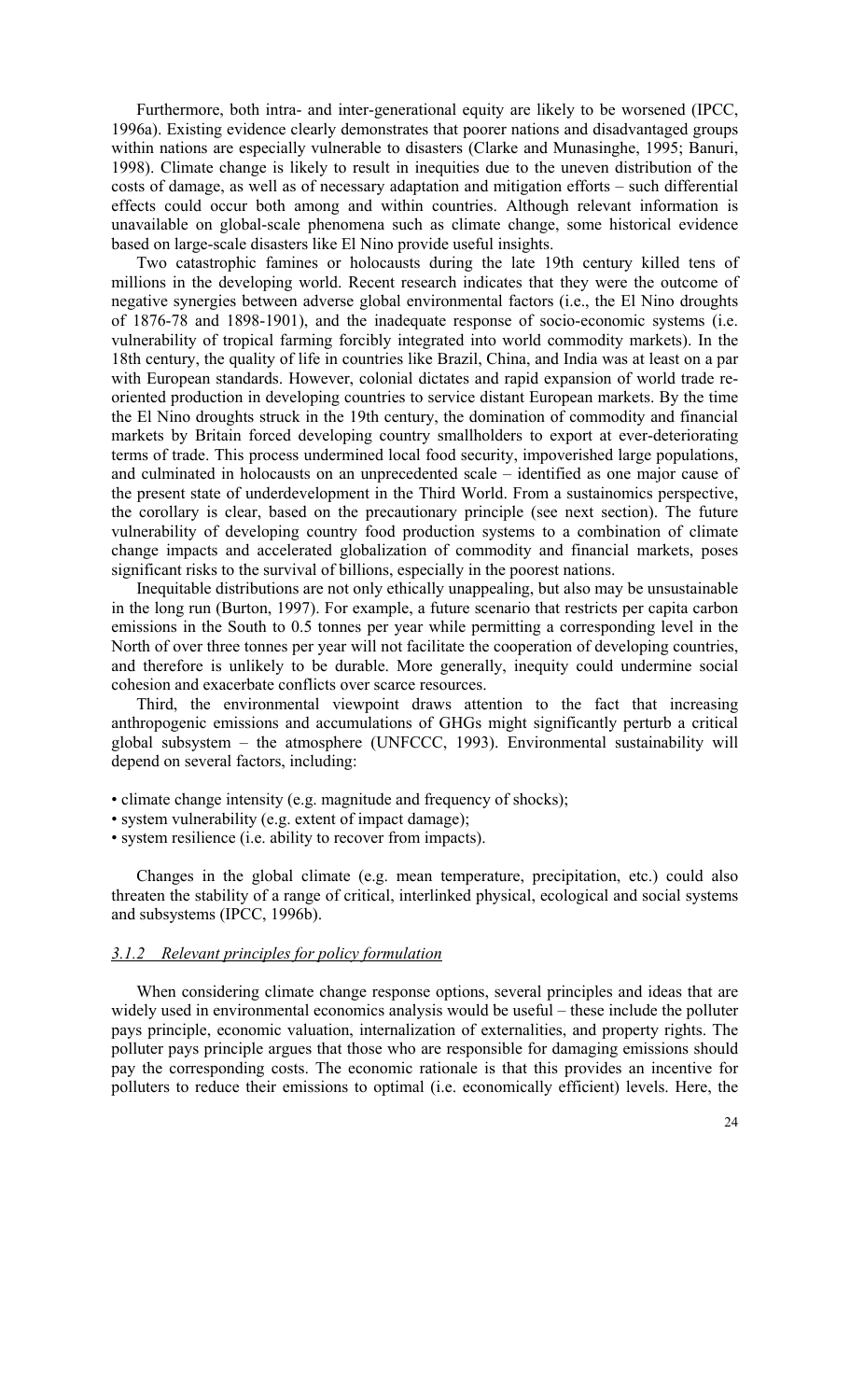Furthermore, both intra- and inter-generational equity are likely to be worsened (IPCC, 1996a). Existing evidence clearly demonstrates that poorer nations and disadvantaged groups within nations are especially vulnerable to disasters (Clarke and Munasinghe, 1995; Banuri, 1998). Climate change is likely to result in inequities due to the uneven distribution of the costs of damage, as well as of necessary adaptation and mitigation efforts – such differential effects could occur both among and within countries. Although relevant information is unavailable on global-scale phenomena such as climate change, some historical evidence based on large-scale disasters like El Nino provide useful insights.

Two catastrophic famines or holocausts during the late 19th century killed tens of millions in the developing world. Recent research indicates that they were the outcome of negative synergies between adverse global environmental factors (i.e., the El Nino droughts of 1876-78 and 1898-1901), and the inadequate response of socio-economic systems (i.e. vulnerability of tropical farming forcibly integrated into world commodity markets). In the 18th century, the quality of life in countries like Brazil, China, and India was at least on a par with European standards. However, colonial dictates and rapid expansion of world trade reoriented production in developing countries to service distant European markets. By the time the El Nino droughts struck in the 19th century, the domination of commodity and financial markets by Britain forced developing country smallholders to export at ever-deteriorating terms of trade. This process undermined local food security, impoverished large populations, and culminated in holocausts on an unprecedented scale – identified as one major cause of the present state of underdevelopment in the Third World. From a sustainomics perspective, the corollary is clear, based on the precautionary principle (see next section). The future vulnerability of developing country food production systems to a combination of climate change impacts and accelerated globalization of commodity and financial markets, poses significant risks to the survival of billions, especially in the poorest nations.

Inequitable distributions are not only ethically unappealing, but also may be unsustainable in the long run (Burton, 1997). For example, a future scenario that restricts per capita carbon emissions in the South to 0.5 tonnes per year while permitting a corresponding level in the North of over three tonnes per year will not facilitate the cooperation of developing countries, and therefore is unlikely to be durable. More generally, inequity could undermine social cohesion and exacerbate conflicts over scarce resources.

Third, the environmental viewpoint draws attention to the fact that increasing anthropogenic emissions and accumulations of GHGs might significantly perturb a critical global subsystem – the atmosphere (UNFCCC, 1993). Environmental sustainability will depend on several factors, including:

- climate change intensity (e.g. magnitude and frequency of shocks);
- system vulnerability (e.g. extent of impact damage);
- system resilience (i.e. ability to recover from impacts).

Changes in the global climate (e.g. mean temperature, precipitation, etc.) could also threaten the stability of a range of critical, interlinked physical, ecological and social systems and subsystems (IPCC, 1996b).

## *3.1.2 Relevant principles for policy formulation*

When considering climate change response options, several principles and ideas that are widely used in environmental economics analysis would be useful – these include the polluter pays principle, economic valuation, internalization of externalities, and property rights. The polluter pays principle argues that those who are responsible for damaging emissions should pay the corresponding costs. The economic rationale is that this provides an incentive for polluters to reduce their emissions to optimal (i.e. economically efficient) levels. Here, the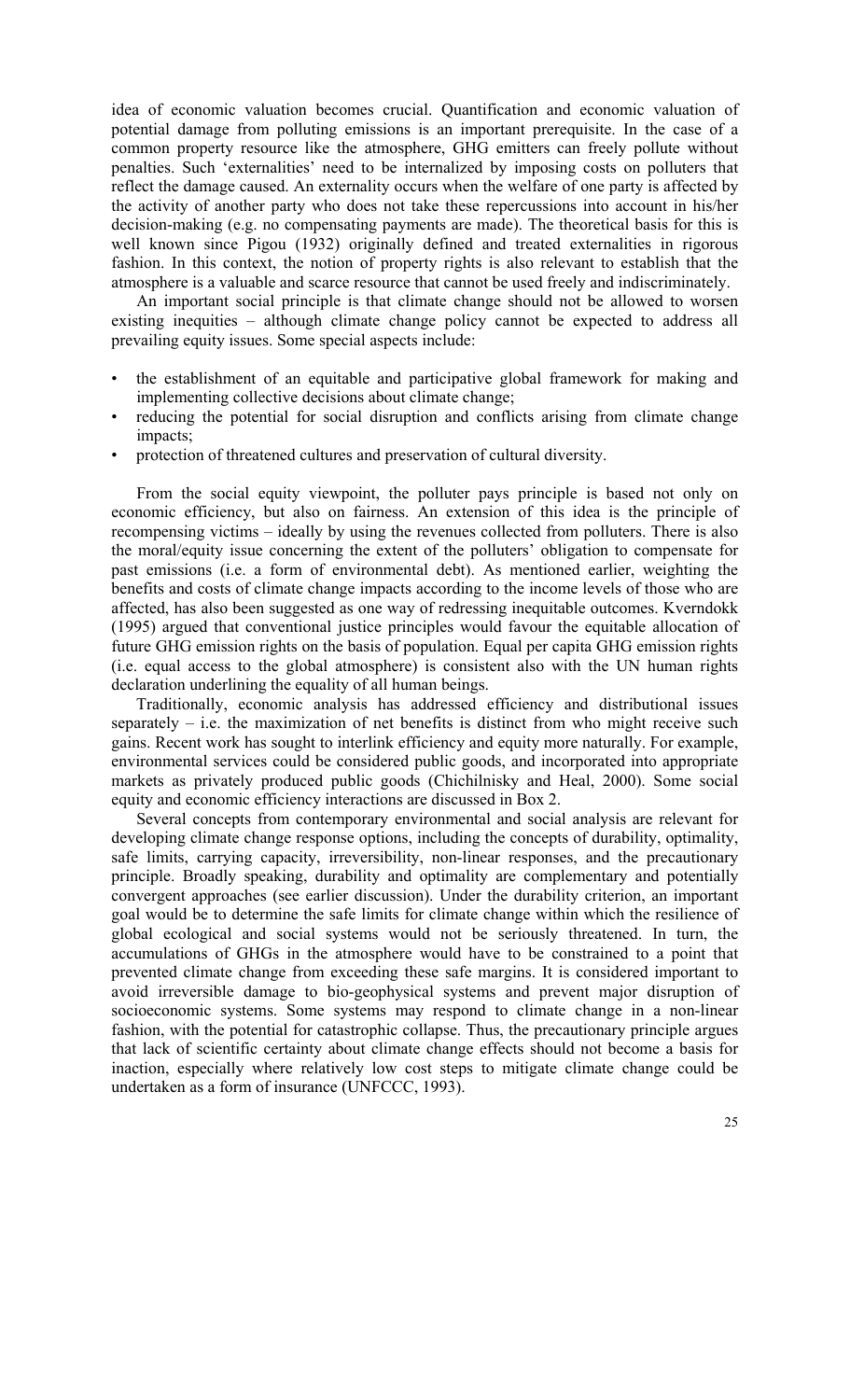idea of economic valuation becomes crucial. Quantification and economic valuation of potential damage from polluting emissions is an important prerequisite. In the case of a common property resource like the atmosphere, GHG emitters can freely pollute without penalties. Such 'externalities' need to be internalized by imposing costs on polluters that reflect the damage caused. An externality occurs when the welfare of one party is affected by the activity of another party who does not take these repercussions into account in his/her decision-making (e.g. no compensating payments are made). The theoretical basis for this is well known since Pigou (1932) originally defined and treated externalities in rigorous fashion. In this context, the notion of property rights is also relevant to establish that the atmosphere is a valuable and scarce resource that cannot be used freely and indiscriminately.

An important social principle is that climate change should not be allowed to worsen existing inequities – although climate change policy cannot be expected to address all prevailing equity issues. Some special aspects include:

- the establishment of an equitable and participative global framework for making and implementing collective decisions about climate change;
- reducing the potential for social disruption and conflicts arising from climate change impacts;
- protection of threatened cultures and preservation of cultural diversity.

From the social equity viewpoint, the polluter pays principle is based not only on economic efficiency, but also on fairness. An extension of this idea is the principle of recompensing victims – ideally by using the revenues collected from polluters. There is also the moral/equity issue concerning the extent of the polluters' obligation to compensate for past emissions (i.e. a form of environmental debt). As mentioned earlier, weighting the benefits and costs of climate change impacts according to the income levels of those who are affected, has also been suggested as one way of redressing inequitable outcomes. Kverndokk (1995) argued that conventional justice principles would favour the equitable allocation of future GHG emission rights on the basis of population. Equal per capita GHG emission rights (i.e. equal access to the global atmosphere) is consistent also with the UN human rights declaration underlining the equality of all human beings.

Traditionally, economic analysis has addressed efficiency and distributional issues separately  $-$  i.e. the maximization of net benefits is distinct from who might receive such gains. Recent work has sought to interlink efficiency and equity more naturally. For example, environmental services could be considered public goods, and incorporated into appropriate markets as privately produced public goods (Chichilnisky and Heal, 2000). Some social equity and economic efficiency interactions are discussed in Box 2.

Several concepts from contemporary environmental and social analysis are relevant for developing climate change response options, including the concepts of durability, optimality, safe limits, carrying capacity, irreversibility, non-linear responses, and the precautionary principle. Broadly speaking, durability and optimality are complementary and potentially convergent approaches (see earlier discussion). Under the durability criterion, an important goal would be to determine the safe limits for climate change within which the resilience of global ecological and social systems would not be seriously threatened. In turn, the accumulations of GHGs in the atmosphere would have to be constrained to a point that prevented climate change from exceeding these safe margins. It is considered important to avoid irreversible damage to bio-geophysical systems and prevent major disruption of socioeconomic systems. Some systems may respond to climate change in a non-linear fashion, with the potential for catastrophic collapse. Thus, the precautionary principle argues that lack of scientific certainty about climate change effects should not become a basis for inaction, especially where relatively low cost steps to mitigate climate change could be undertaken as a form of insurance (UNFCCC, 1993).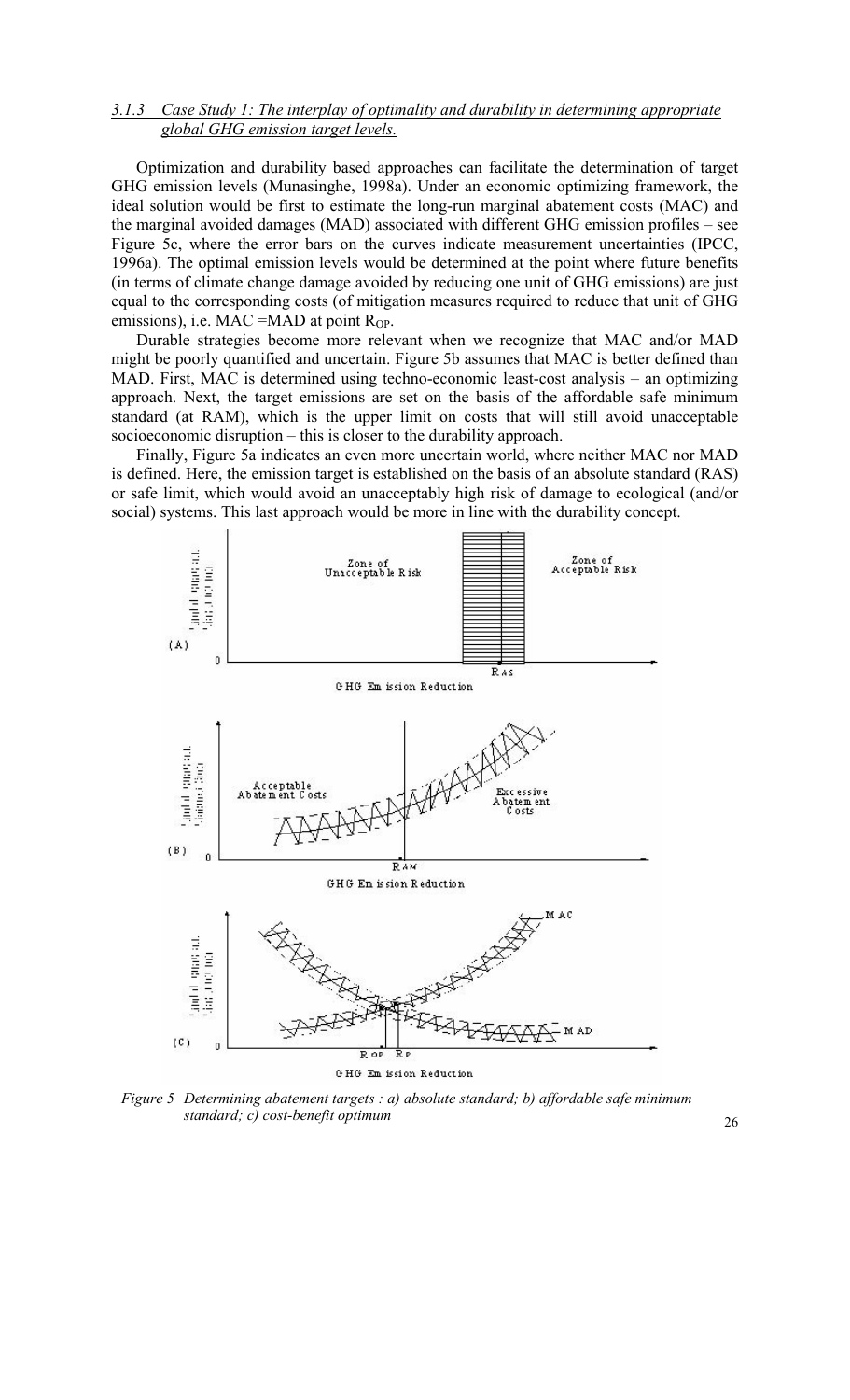## *3.1.3 Case Study 1: The interplay of optimality and durability in determining appropriate global GHG emission target levels.*

Optimization and durability based approaches can facilitate the determination of target GHG emission levels (Munasinghe, 1998a). Under an economic optimizing framework, the ideal solution would be first to estimate the long-run marginal abatement costs (MAC) and the marginal avoided damages (MAD) associated with different GHG emission profiles – see Figure 5c, where the error bars on the curves indicate measurement uncertainties (IPCC, 1996a). The optimal emission levels would be determined at the point where future benefits (in terms of climate change damage avoided by reducing one unit of GHG emissions) are just equal to the corresponding costs (of mitigation measures required to reduce that unit of GHG emissions), i.e. MAC = MAD at point  $R_{OP}$ .

Durable strategies become more relevant when we recognize that MAC and/or MAD might be poorly quantified and uncertain. Figure 5b assumes that MAC is better defined than MAD. First, MAC is determined using techno-economic least-cost analysis – an optimizing approach. Next, the target emissions are set on the basis of the affordable safe minimum standard (at RAM), which is the upper limit on costs that will still avoid unacceptable socioeconomic disruption – this is closer to the durability approach.

Finally, Figure 5a indicates an even more uncertain world, where neither MAC nor MAD is defined. Here, the emission target is established on the basis of an absolute standard (RAS) or safe limit, which would avoid an unacceptably high risk of damage to ecological (and/or social) systems. This last approach would be more in line with the durability concept.



*Figure 5 Determining abatement targets : a) absolute standard; b) affordable safe minimum standard; c) cost-benefit optimum* 

26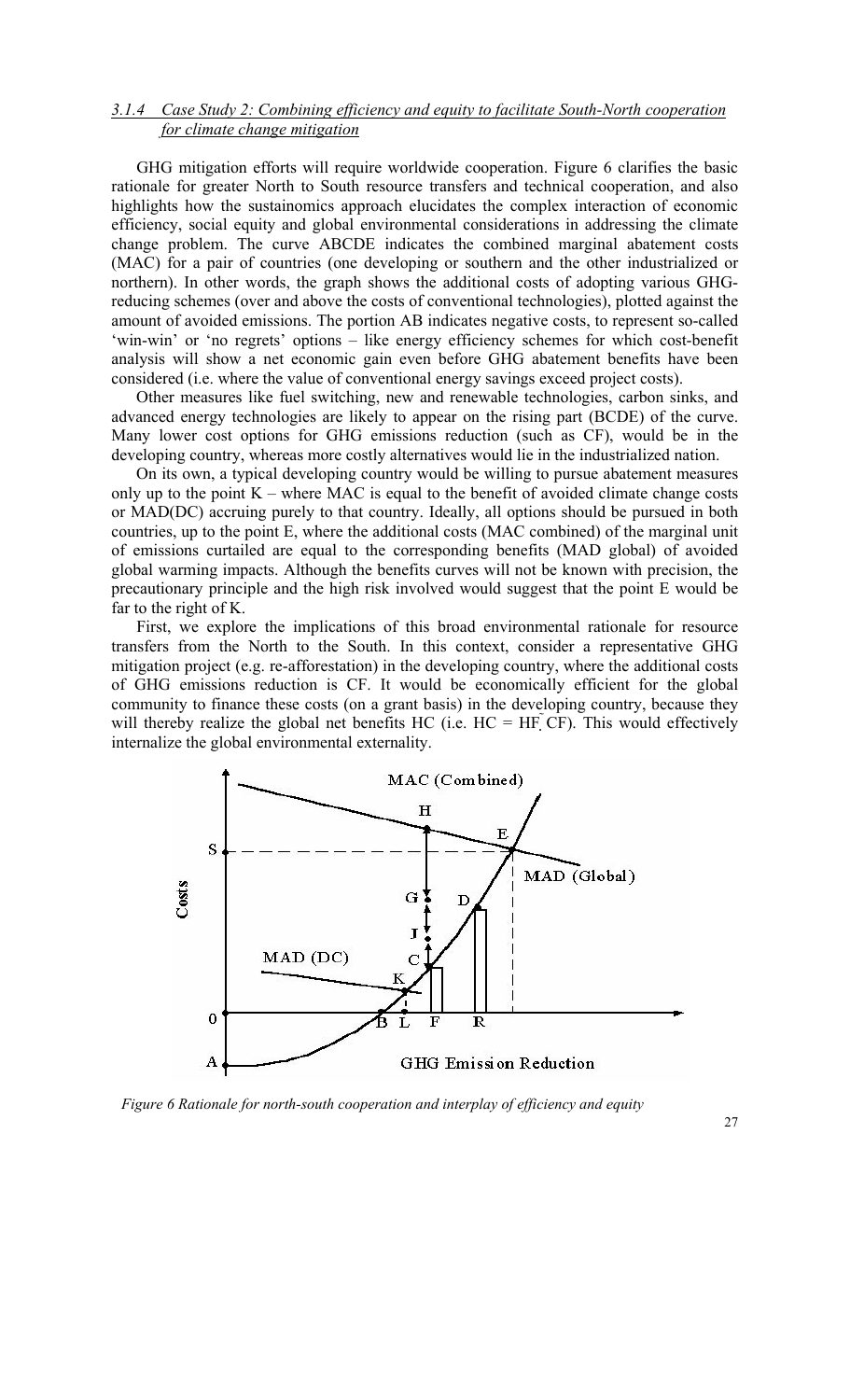## *3.1.4 Case Study 2: Combining efficiency and equity to facilitate South-North cooperation for climate change mitigation*

GHG mitigation efforts will require worldwide cooperation. Figure 6 clarifies the basic rationale for greater North to South resource transfers and technical cooperation, and also highlights how the sustainomics approach elucidates the complex interaction of economic efficiency, social equity and global environmental considerations in addressing the climate change problem. The curve ABCDE indicates the combined marginal abatement costs (MAC) for a pair of countries (one developing or southern and the other industrialized or northern). In other words, the graph shows the additional costs of adopting various GHGreducing schemes (over and above the costs of conventional technologies), plotted against the amount of avoided emissions. The portion AB indicates negative costs, to represent so-called 'win-win' or 'no regrets' options – like energy efficiency schemes for which cost-benefit analysis will show a net economic gain even before GHG abatement benefits have been considered (i.e. where the value of conventional energy savings exceed project costs).

Other measures like fuel switching, new and renewable technologies, carbon sinks, and advanced energy technologies are likely to appear on the rising part (BCDE) of the curve. Many lower cost options for GHG emissions reduction (such as CF), would be in the developing country, whereas more costly alternatives would lie in the industrialized nation.

On its own, a typical developing country would be willing to pursue abatement measures only up to the point  $K$  – where MAC is equal to the benefit of avoided climate change costs or MAD(DC) accruing purely to that country. Ideally, all options should be pursued in both countries, up to the point E, where the additional costs (MAC combined) of the marginal unit of emissions curtailed are equal to the corresponding benefits (MAD global) of avoided global warming impacts. Although the benefits curves will not be known with precision, the precautionary principle and the high risk involved would suggest that the point E would be far to the right of K.

First, we explore the implications of this broad environmental rationale for resource transfers from the North to the South. In this context, consider a representative GHG mitigation project (e.g. re-afforestation) in the developing country, where the additional costs of GHG emissions reduction is CF. It would be economically efficient for the global community to finance these costs (on a grant basis) in the developing country, because they will thereby realize the global net benefits HC (i.e.  $HC = HF \ CF$ ). This would effectively internalize the global environmental externality.



*Figure 6 Rationale for north-south cooperation and interplay of efficiency and equity*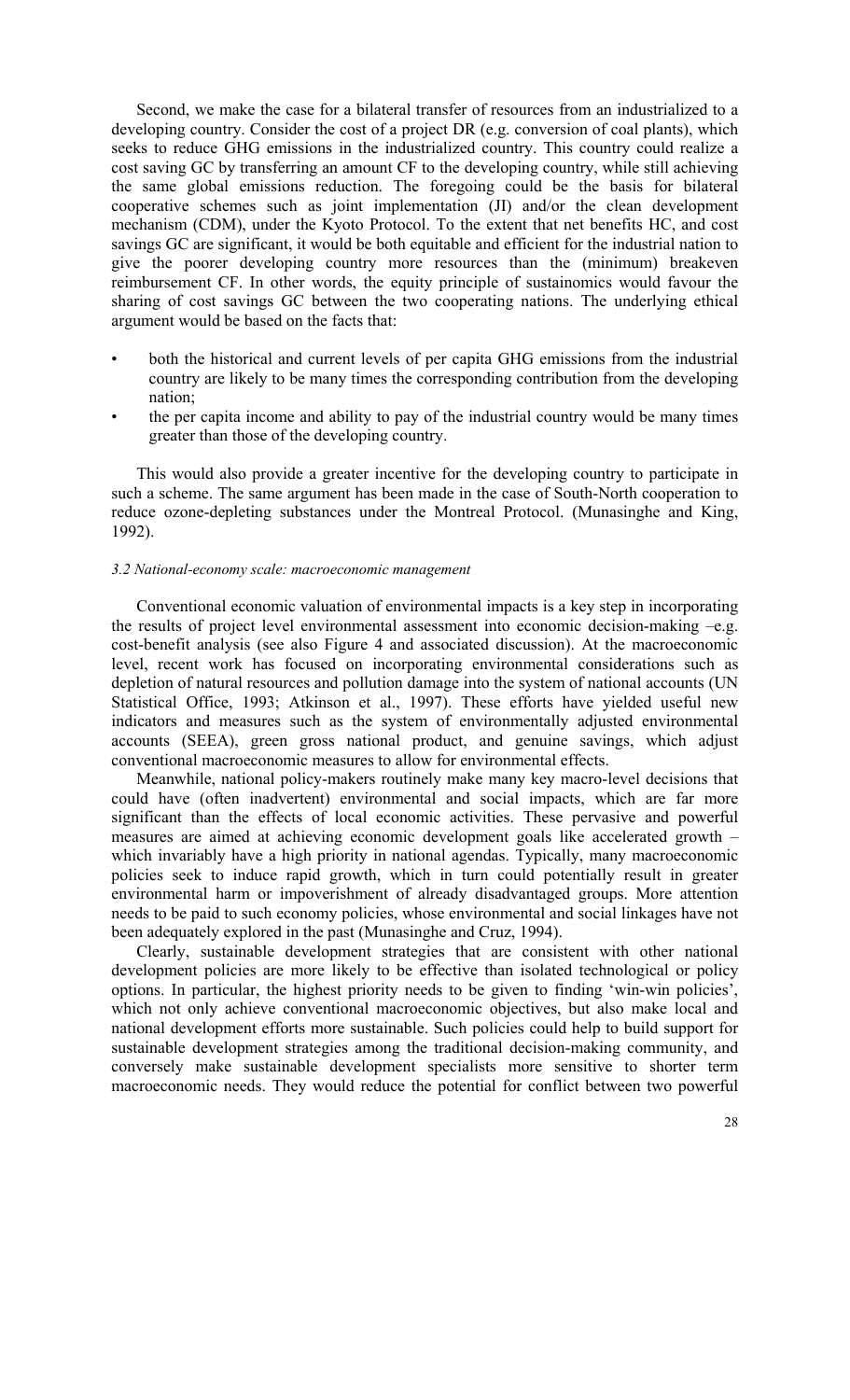Second, we make the case for a bilateral transfer of resources from an industrialized to a developing country. Consider the cost of a project DR (e.g. conversion of coal plants), which seeks to reduce GHG emissions in the industrialized country. This country could realize a cost saving GC by transferring an amount CF to the developing country, while still achieving the same global emissions reduction. The foregoing could be the basis for bilateral cooperative schemes such as joint implementation (JI) and/or the clean development mechanism (CDM), under the Kyoto Protocol. To the extent that net benefits HC, and cost savings GC are significant, it would be both equitable and efficient for the industrial nation to give the poorer developing country more resources than the (minimum) breakeven reimbursement CF. In other words, the equity principle of sustainomics would favour the sharing of cost savings GC between the two cooperating nations. The underlying ethical argument would be based on the facts that:

- both the historical and current levels of per capita GHG emissions from the industrial country are likely to be many times the corresponding contribution from the developing nation;
- the per capita income and ability to pay of the industrial country would be many times greater than those of the developing country.

This would also provide a greater incentive for the developing country to participate in such a scheme. The same argument has been made in the case of South-North cooperation to reduce ozone-depleting substances under the Montreal Protocol. (Munasinghe and King, 1992).

#### *3.2 National-economy scale: macroeconomic management*

Conventional economic valuation of environmental impacts is a key step in incorporating the results of project level environmental assessment into economic decision-making –e.g. cost-benefit analysis (see also Figure 4 and associated discussion). At the macroeconomic level, recent work has focused on incorporating environmental considerations such as depletion of natural resources and pollution damage into the system of national accounts (UN Statistical Office, 1993; Atkinson et al., 1997). These efforts have yielded useful new indicators and measures such as the system of environmentally adjusted environmental accounts (SEEA), green gross national product, and genuine savings, which adjust conventional macroeconomic measures to allow for environmental effects.

Meanwhile, national policy-makers routinely make many key macro-level decisions that could have (often inadvertent) environmental and social impacts, which are far more significant than the effects of local economic activities. These pervasive and powerful measures are aimed at achieving economic development goals like accelerated growth – which invariably have a high priority in national agendas. Typically, many macroeconomic policies seek to induce rapid growth, which in turn could potentially result in greater environmental harm or impoverishment of already disadvantaged groups. More attention needs to be paid to such economy policies, whose environmental and social linkages have not been adequately explored in the past (Munasinghe and Cruz, 1994).

Clearly, sustainable development strategies that are consistent with other national development policies are more likely to be effective than isolated technological or policy options. In particular, the highest priority needs to be given to finding 'win-win policies', which not only achieve conventional macroeconomic objectives, but also make local and national development efforts more sustainable. Such policies could help to build support for sustainable development strategies among the traditional decision-making community, and conversely make sustainable development specialists more sensitive to shorter term macroeconomic needs. They would reduce the potential for conflict between two powerful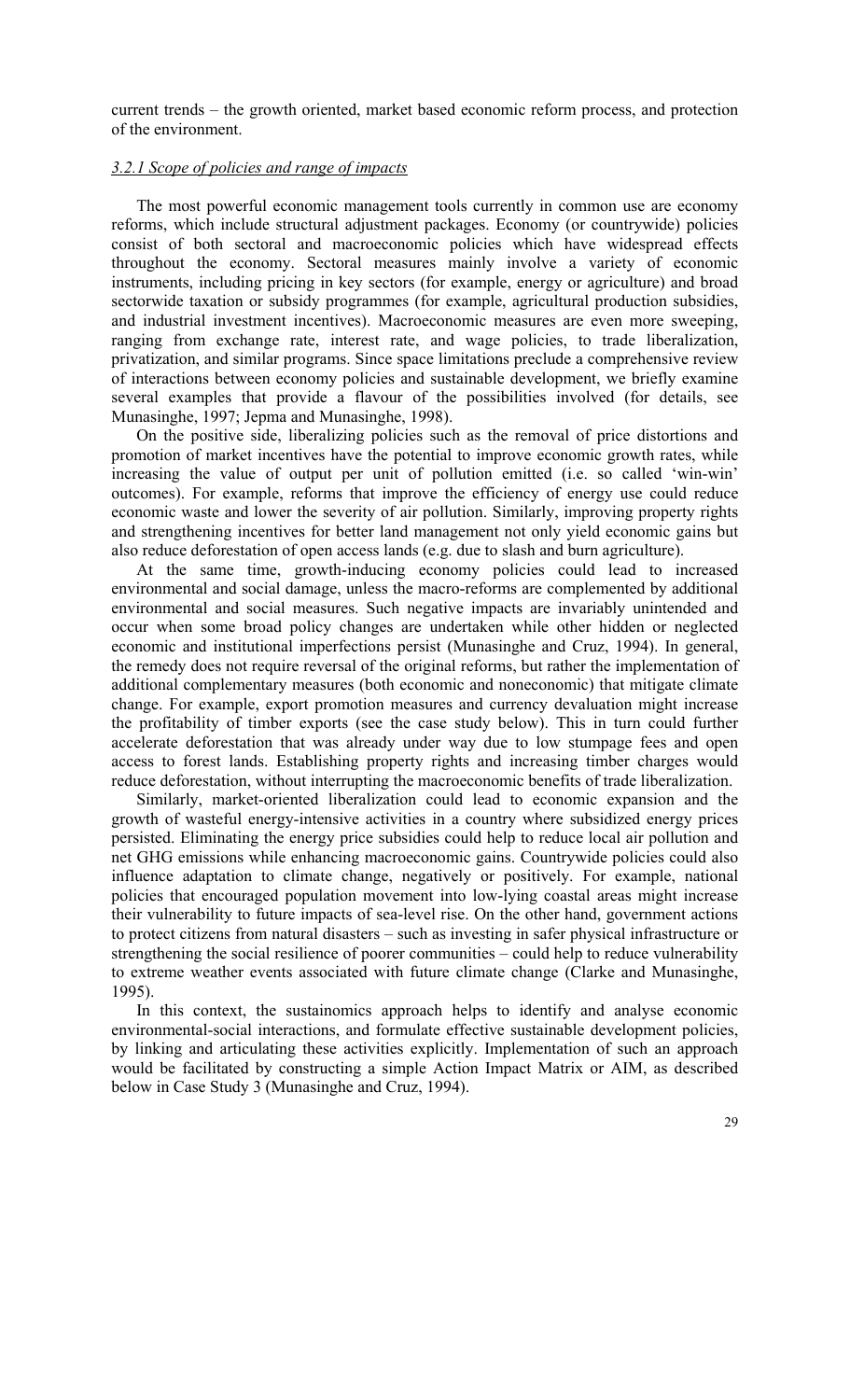current trends – the growth oriented, market based economic reform process, and protection of the environment.

## *3.2.1 Scope of policies and range of impacts*

The most powerful economic management tools currently in common use are economy reforms, which include structural adjustment packages. Economy (or countrywide) policies consist of both sectoral and macroeconomic policies which have widespread effects throughout the economy. Sectoral measures mainly involve a variety of economic instruments, including pricing in key sectors (for example, energy or agriculture) and broad sectorwide taxation or subsidy programmes (for example, agricultural production subsidies, and industrial investment incentives). Macroeconomic measures are even more sweeping, ranging from exchange rate, interest rate, and wage policies, to trade liberalization, privatization, and similar programs. Since space limitations preclude a comprehensive review of interactions between economy policies and sustainable development, we briefly examine several examples that provide a flavour of the possibilities involved (for details, see Munasinghe, 1997; Jepma and Munasinghe, 1998).

On the positive side, liberalizing policies such as the removal of price distortions and promotion of market incentives have the potential to improve economic growth rates, while increasing the value of output per unit of pollution emitted (i.e. so called 'win-win' outcomes). For example, reforms that improve the efficiency of energy use could reduce economic waste and lower the severity of air pollution. Similarly, improving property rights and strengthening incentives for better land management not only yield economic gains but also reduce deforestation of open access lands (e.g. due to slash and burn agriculture).

At the same time, growth-inducing economy policies could lead to increased environmental and social damage, unless the macro-reforms are complemented by additional environmental and social measures. Such negative impacts are invariably unintended and occur when some broad policy changes are undertaken while other hidden or neglected economic and institutional imperfections persist (Munasinghe and Cruz, 1994). In general, the remedy does not require reversal of the original reforms, but rather the implementation of additional complementary measures (both economic and noneconomic) that mitigate climate change. For example, export promotion measures and currency devaluation might increase the profitability of timber exports (see the case study below). This in turn could further accelerate deforestation that was already under way due to low stumpage fees and open access to forest lands. Establishing property rights and increasing timber charges would reduce deforestation, without interrupting the macroeconomic benefits of trade liberalization.

Similarly, market-oriented liberalization could lead to economic expansion and the growth of wasteful energy-intensive activities in a country where subsidized energy prices persisted. Eliminating the energy price subsidies could help to reduce local air pollution and net GHG emissions while enhancing macroeconomic gains. Countrywide policies could also influence adaptation to climate change, negatively or positively. For example, national policies that encouraged population movement into low-lying coastal areas might increase their vulnerability to future impacts of sea-level rise. On the other hand, government actions to protect citizens from natural disasters – such as investing in safer physical infrastructure or strengthening the social resilience of poorer communities – could help to reduce vulnerability to extreme weather events associated with future climate change (Clarke and Munasinghe, 1995).

In this context, the sustainomics approach helps to identify and analyse economic environmental-social interactions, and formulate effective sustainable development policies, by linking and articulating these activities explicitly. Implementation of such an approach would be facilitated by constructing a simple Action Impact Matrix or AIM, as described below in Case Study 3 (Munasinghe and Cruz, 1994).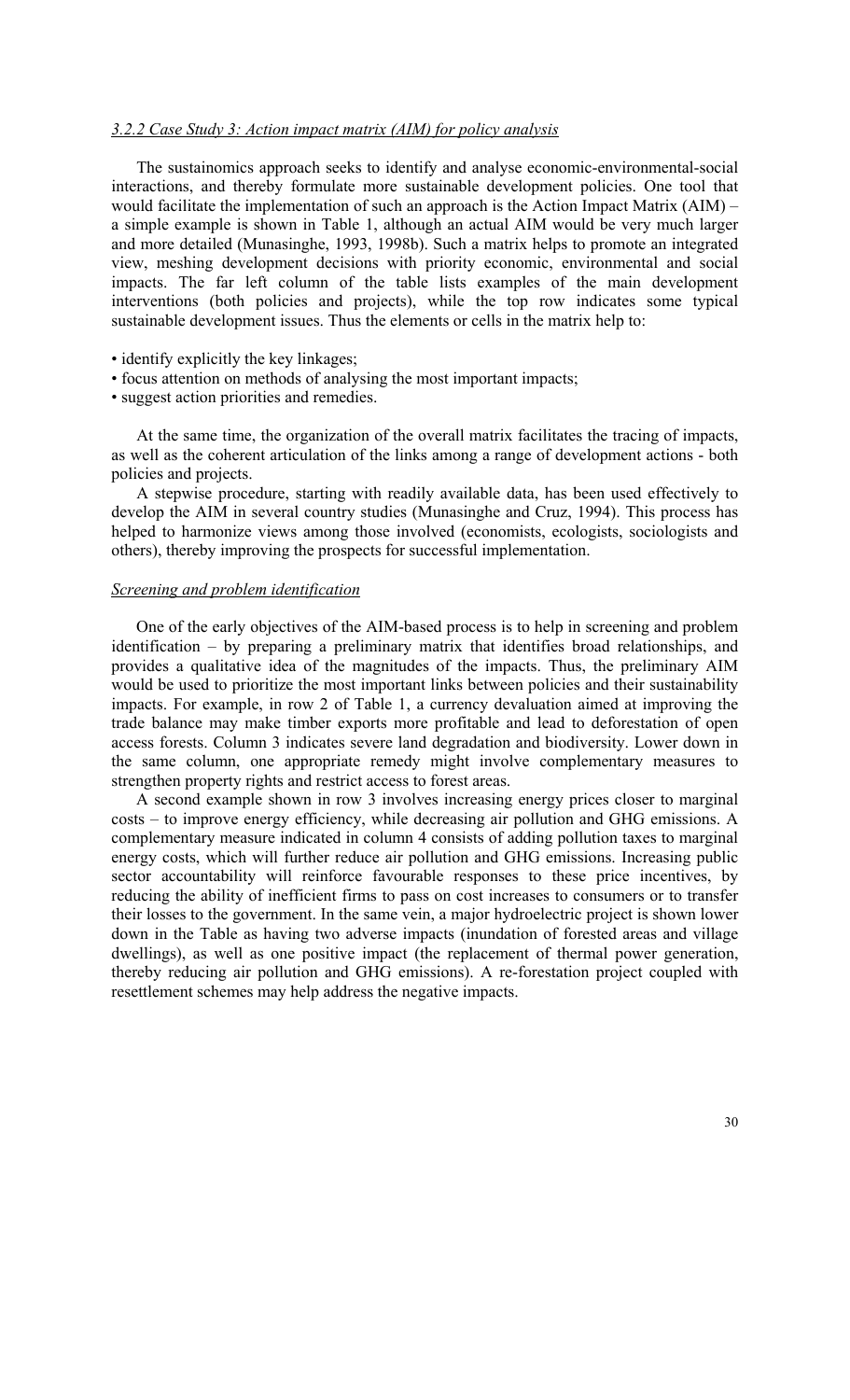## *3.2.2 Case Study 3: Action impact matrix (AIM) for policy analysis*

The sustainomics approach seeks to identify and analyse economic-environmental-social interactions, and thereby formulate more sustainable development policies. One tool that would facilitate the implementation of such an approach is the Action Impact Matrix (AIM) – a simple example is shown in Table 1, although an actual AIM would be very much larger and more detailed (Munasinghe, 1993, 1998b). Such a matrix helps to promote an integrated view, meshing development decisions with priority economic, environmental and social impacts. The far left column of the table lists examples of the main development interventions (both policies and projects), while the top row indicates some typical sustainable development issues. Thus the elements or cells in the matrix help to:

- identify explicitly the key linkages;
- focus attention on methods of analysing the most important impacts;
- suggest action priorities and remedies.

At the same time, the organization of the overall matrix facilitates the tracing of impacts, as well as the coherent articulation of the links among a range of development actions - both policies and projects.

A stepwise procedure, starting with readily available data, has been used effectively to develop the AIM in several country studies (Munasinghe and Cruz, 1994). This process has helped to harmonize views among those involved (economists, ecologists, sociologists and others), thereby improving the prospects for successful implementation.

## *Screening and problem identification*

One of the early objectives of the AIM-based process is to help in screening and problem identification – by preparing a preliminary matrix that identifies broad relationships, and provides a qualitative idea of the magnitudes of the impacts. Thus, the preliminary AIM would be used to prioritize the most important links between policies and their sustainability impacts. For example, in row 2 of Table 1, a currency devaluation aimed at improving the trade balance may make timber exports more profitable and lead to deforestation of open access forests. Column 3 indicates severe land degradation and biodiversity. Lower down in the same column, one appropriate remedy might involve complementary measures to strengthen property rights and restrict access to forest areas.

A second example shown in row 3 involves increasing energy prices closer to marginal costs – to improve energy efficiency, while decreasing air pollution and GHG emissions. A complementary measure indicated in column 4 consists of adding pollution taxes to marginal energy costs, which will further reduce air pollution and GHG emissions. Increasing public sector accountability will reinforce favourable responses to these price incentives, by reducing the ability of inefficient firms to pass on cost increases to consumers or to transfer their losses to the government. In the same vein, a major hydroelectric project is shown lower down in the Table as having two adverse impacts (inundation of forested areas and village dwellings), as well as one positive impact (the replacement of thermal power generation, thereby reducing air pollution and GHG emissions). A re-forestation project coupled with resettlement schemes may help address the negative impacts.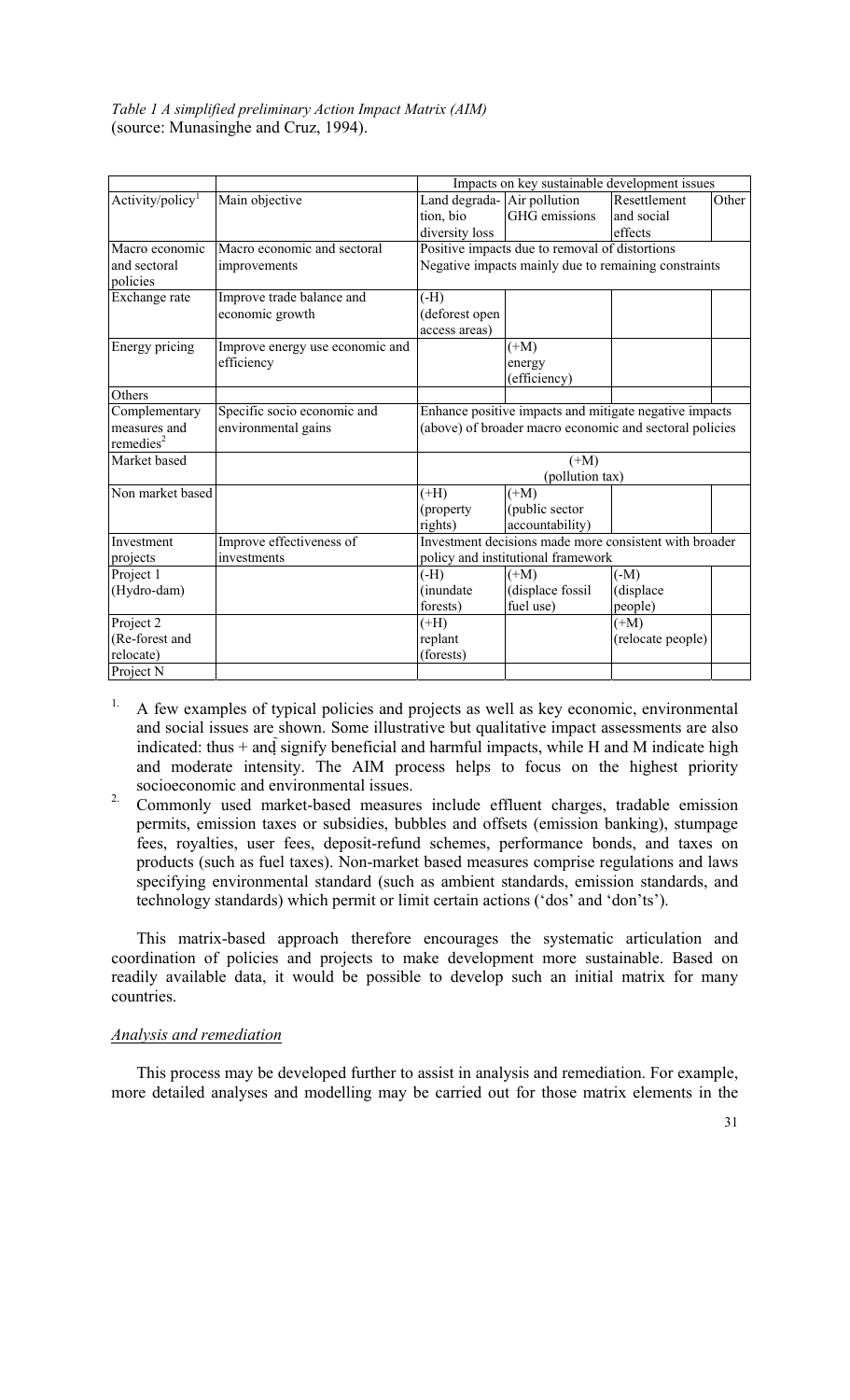| Table 1 A simplified preliminary Action Impact Matrix (AIM) |  |
|-------------------------------------------------------------|--|
| (source: Munasinghe and Cruz, 1994).                        |  |

|                              |                                 | Impacts on key sustainable development issues           |                                                        |                   |       |
|------------------------------|---------------------------------|---------------------------------------------------------|--------------------------------------------------------|-------------------|-------|
| Activity/policy <sup>1</sup> | Main objective                  | Land degrada- Air pollution                             |                                                        | Resettlement      | Other |
|                              |                                 | tion, bio                                               | GHG emissions                                          | and social        |       |
|                              |                                 | diversity loss                                          |                                                        | effects           |       |
| Macro economic               | Macro economic and sectoral     |                                                         | Positive impacts due to removal of distortions         |                   |       |
| and sectoral                 | improvements                    |                                                         | Negative impacts mainly due to remaining constraints   |                   |       |
| policies                     |                                 |                                                         |                                                        |                   |       |
| Exchange rate                | Improve trade balance and       | $(H-)$                                                  |                                                        |                   |       |
|                              | economic growth                 | (deforest open                                          |                                                        |                   |       |
|                              |                                 | access areas)                                           |                                                        |                   |       |
| Energy pricing               | Improve energy use economic and |                                                         | $(+M)$                                                 |                   |       |
|                              | efficiency                      |                                                         | energy                                                 |                   |       |
|                              |                                 |                                                         | (efficiency)                                           |                   |       |
| Others                       |                                 |                                                         |                                                        |                   |       |
| Complementary                | Specific socio economic and     |                                                         | Enhance positive impacts and mitigate negative impacts |                   |       |
| measures and                 | environmental gains             | (above) of broader macro economic and sectoral policies |                                                        |                   |       |
| remedies $2$                 |                                 |                                                         |                                                        |                   |       |
| Market based                 |                                 | $(+M)$                                                  |                                                        |                   |       |
|                              |                                 | (pollution tax)                                         |                                                        |                   |       |
| Non market based             |                                 | $(H+)$                                                  | $(+M)$                                                 |                   |       |
|                              |                                 | (property                                               | (public sector                                         |                   |       |
|                              |                                 | rights)                                                 | accountability)                                        |                   |       |
| Investment                   | Improve effectiveness of        |                                                         | Investment decisions made more consistent with broader |                   |       |
| projects                     | investments                     | policy and institutional framework                      |                                                        |                   |       |
| Project 1                    |                                 | $(H-)$                                                  | $(+M)$                                                 | $(-M)$            |       |
| (Hydro-dam)                  |                                 | (inundate                                               | (displace fossil                                       | (displace         |       |
|                              |                                 | forests)                                                | fuel use)                                              | people)           |       |
| Project 2                    |                                 | $(H+)$                                                  |                                                        | $(+M)$            |       |
| (Re-forest and               |                                 | replant                                                 |                                                        | (relocate people) |       |
| relocate)                    |                                 | (forests)                                               |                                                        |                   |       |
| Project N                    |                                 |                                                         |                                                        |                   |       |

- <sup>1.</sup> A few examples of typical policies and projects as well as key economic, environmental and social issues are shown. Some illustrative but qualitative impact assessments are also indicated: thus  $+$  and signify beneficial and harmful impacts, while H and M indicate high and moderate intensity. The AIM process helps to focus on the highest priority socioeconomic and environmental issues.
- <sup>2.</sup> Commonly used market-based measures include effluent charges, tradable emission permits, emission taxes or subsidies, bubbles and offsets (emission banking), stumpage fees, royalties, user fees, deposit-refund schemes, performance bonds, and taxes on products (such as fuel taxes). Non-market based measures comprise regulations and laws specifying environmental standard (such as ambient standards, emission standards, and technology standards) which permit or limit certain actions ('dos' and 'don'ts').

This matrix-based approach therefore encourages the systematic articulation and coordination of policies and projects to make development more sustainable. Based on readily available data, it would be possible to develop such an initial matrix for many countries.

## *Analysis and remediation*

This process may be developed further to assist in analysis and remediation. For example, more detailed analyses and modelling may be carried out for those matrix elements in the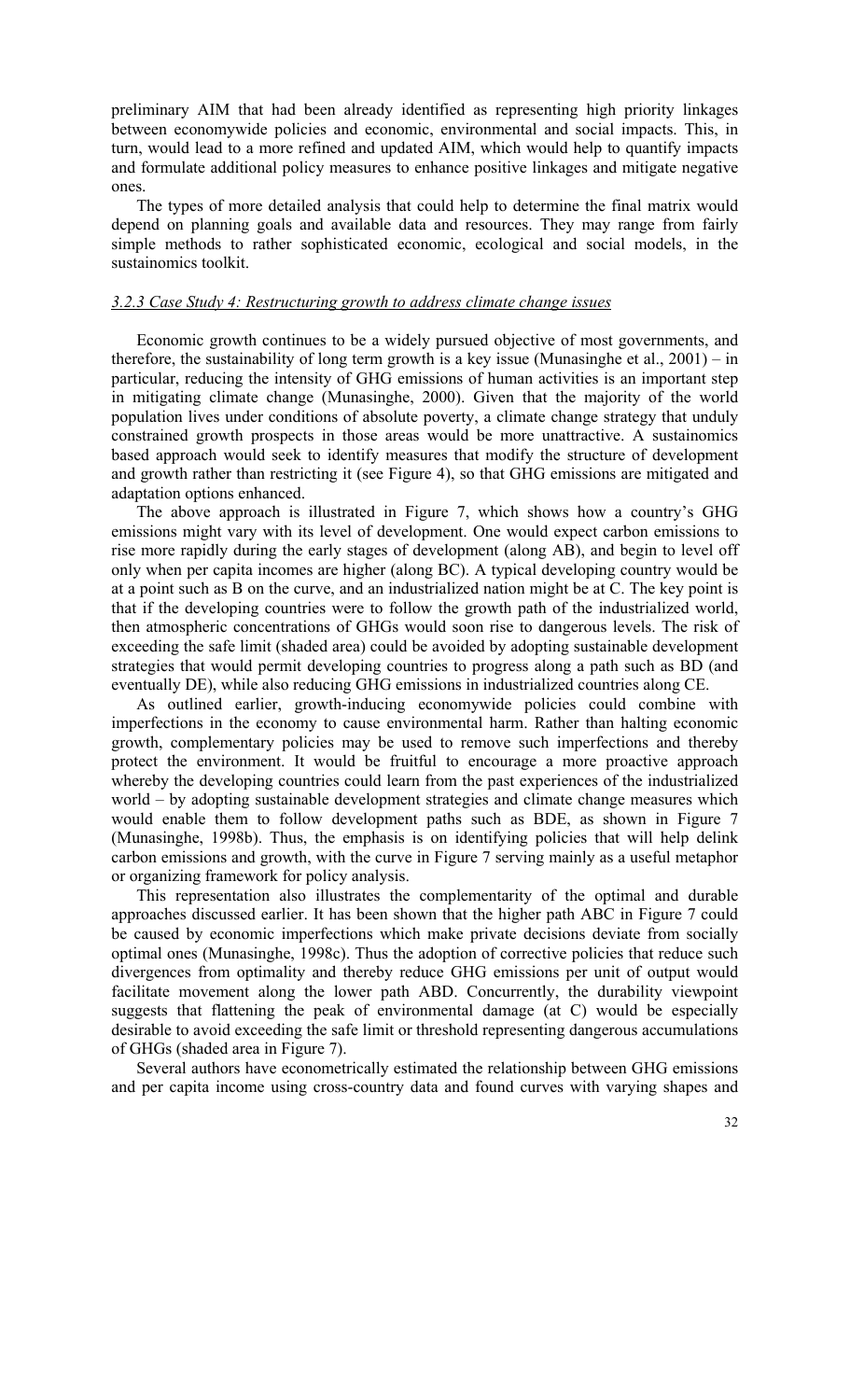preliminary AIM that had been already identified as representing high priority linkages between economywide policies and economic, environmental and social impacts. This, in turn, would lead to a more refined and updated AIM, which would help to quantify impacts and formulate additional policy measures to enhance positive linkages and mitigate negative ones.

The types of more detailed analysis that could help to determine the final matrix would depend on planning goals and available data and resources. They may range from fairly simple methods to rather sophisticated economic, ecological and social models, in the sustainomics toolkit.

## *3.2.3 Case Study 4: Restructuring growth to address climate change issues*

Economic growth continues to be a widely pursued objective of most governments, and therefore, the sustainability of long term growth is a key issue (Munasinghe et al.,  $2001$ ) – in particular, reducing the intensity of GHG emissions of human activities is an important step in mitigating climate change (Munasinghe, 2000). Given that the majority of the world population lives under conditions of absolute poverty, a climate change strategy that unduly constrained growth prospects in those areas would be more unattractive. A sustainomics based approach would seek to identify measures that modify the structure of development and growth rather than restricting it (see Figure 4), so that GHG emissions are mitigated and adaptation options enhanced.

The above approach is illustrated in Figure 7, which shows how a country's GHG emissions might vary with its level of development. One would expect carbon emissions to rise more rapidly during the early stages of development (along AB), and begin to level off only when per capita incomes are higher (along BC). A typical developing country would be at a point such as B on the curve, and an industrialized nation might be at C. The key point is that if the developing countries were to follow the growth path of the industrialized world, then atmospheric concentrations of GHGs would soon rise to dangerous levels. The risk of exceeding the safe limit (shaded area) could be avoided by adopting sustainable development strategies that would permit developing countries to progress along a path such as BD (and eventually DE), while also reducing GHG emissions in industrialized countries along CE.

As outlined earlier, growth-inducing economywide policies could combine with imperfections in the economy to cause environmental harm. Rather than halting economic growth, complementary policies may be used to remove such imperfections and thereby protect the environment. It would be fruitful to encourage a more proactive approach whereby the developing countries could learn from the past experiences of the industrialized world – by adopting sustainable development strategies and climate change measures which would enable them to follow development paths such as BDE, as shown in Figure 7 (Munasinghe, 1998b). Thus, the emphasis is on identifying policies that will help delink carbon emissions and growth, with the curve in Figure 7 serving mainly as a useful metaphor or organizing framework for policy analysis.

This representation also illustrates the complementarity of the optimal and durable approaches discussed earlier. It has been shown that the higher path ABC in Figure 7 could be caused by economic imperfections which make private decisions deviate from socially optimal ones (Munasinghe, 1998c). Thus the adoption of corrective policies that reduce such divergences from optimality and thereby reduce GHG emissions per unit of output would facilitate movement along the lower path ABD. Concurrently, the durability viewpoint suggests that flattening the peak of environmental damage (at C) would be especially desirable to avoid exceeding the safe limit or threshold representing dangerous accumulations of GHGs (shaded area in Figure 7).

Several authors have econometrically estimated the relationship between GHG emissions and per capita income using cross-country data and found curves with varying shapes and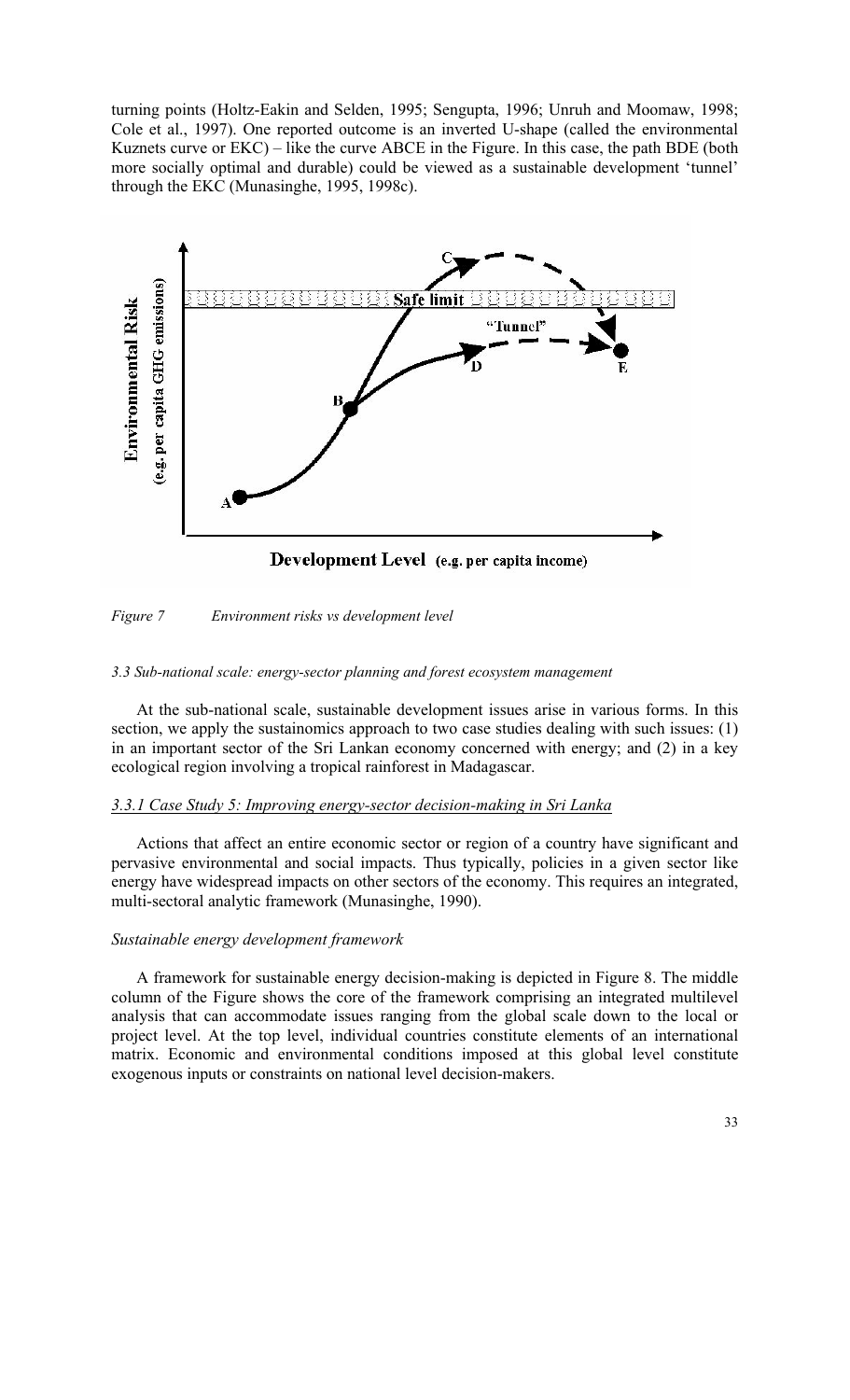turning points (Holtz-Eakin and Selden, 1995; Sengupta, 1996; Unruh and Moomaw, 1998; Cole et al., 1997). One reported outcome is an inverted U-shape (called the environmental Kuznets curve or EKC) – like the curve ABCE in the Figure. In this case, the path BDE (both more socially optimal and durable) could be viewed as a sustainable development 'tunnel' through the EKC (Munasinghe, 1995, 1998c).



*Figure 7 Environment risks vs development level* 

#### *3.3 Sub-national scale: energy-sector planning and forest ecosystem management*

At the sub-national scale, sustainable development issues arise in various forms. In this section, we apply the sustainomics approach to two case studies dealing with such issues: (1) in an important sector of the Sri Lankan economy concerned with energy; and (2) in a key ecological region involving a tropical rainforest in Madagascar.

#### *3.3.1 Case Study 5: Improving energy-sector decision-making in Sri Lanka*

Actions that affect an entire economic sector or region of a country have significant and pervasive environmental and social impacts. Thus typically, policies in a given sector like energy have widespread impacts on other sectors of the economy. This requires an integrated, multi-sectoral analytic framework (Munasinghe, 1990).

## *Sustainable energy development framework*

A framework for sustainable energy decision-making is depicted in Figure 8. The middle column of the Figure shows the core of the framework comprising an integrated multilevel analysis that can accommodate issues ranging from the global scale down to the local or project level. At the top level, individual countries constitute elements of an international matrix. Economic and environmental conditions imposed at this global level constitute exogenous inputs or constraints on national level decision-makers.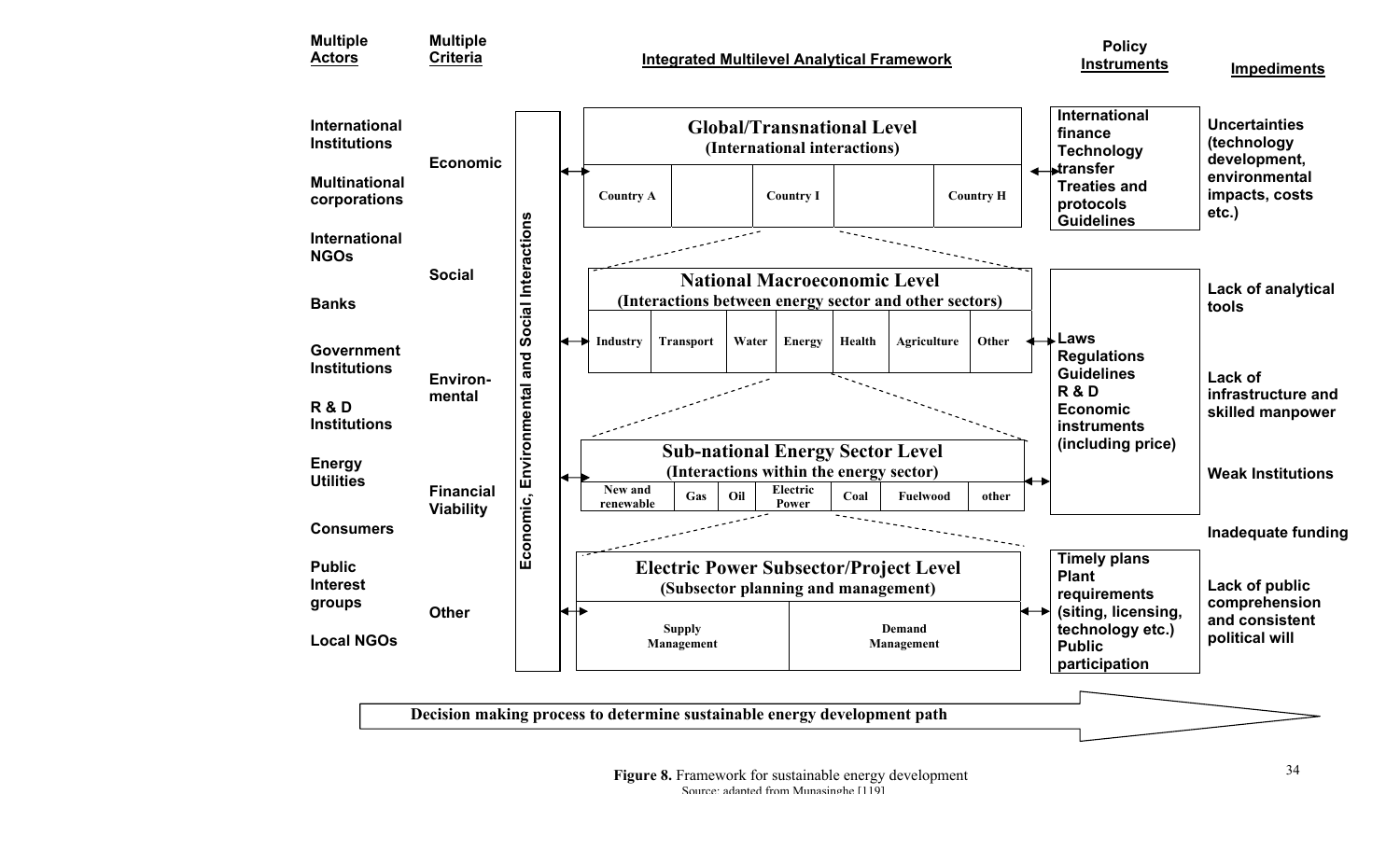| <b>Multiple</b><br><b>Actors</b> | <b>Multiple</b><br>Criteria | <b>Integrated Multilevel Analytical Framework</b> | <b>Policy</b><br>Instruments | <b>Impediments</b> |
|----------------------------------|-----------------------------|---------------------------------------------------|------------------------------|--------------------|
|----------------------------------|-----------------------------|---------------------------------------------------|------------------------------|--------------------|

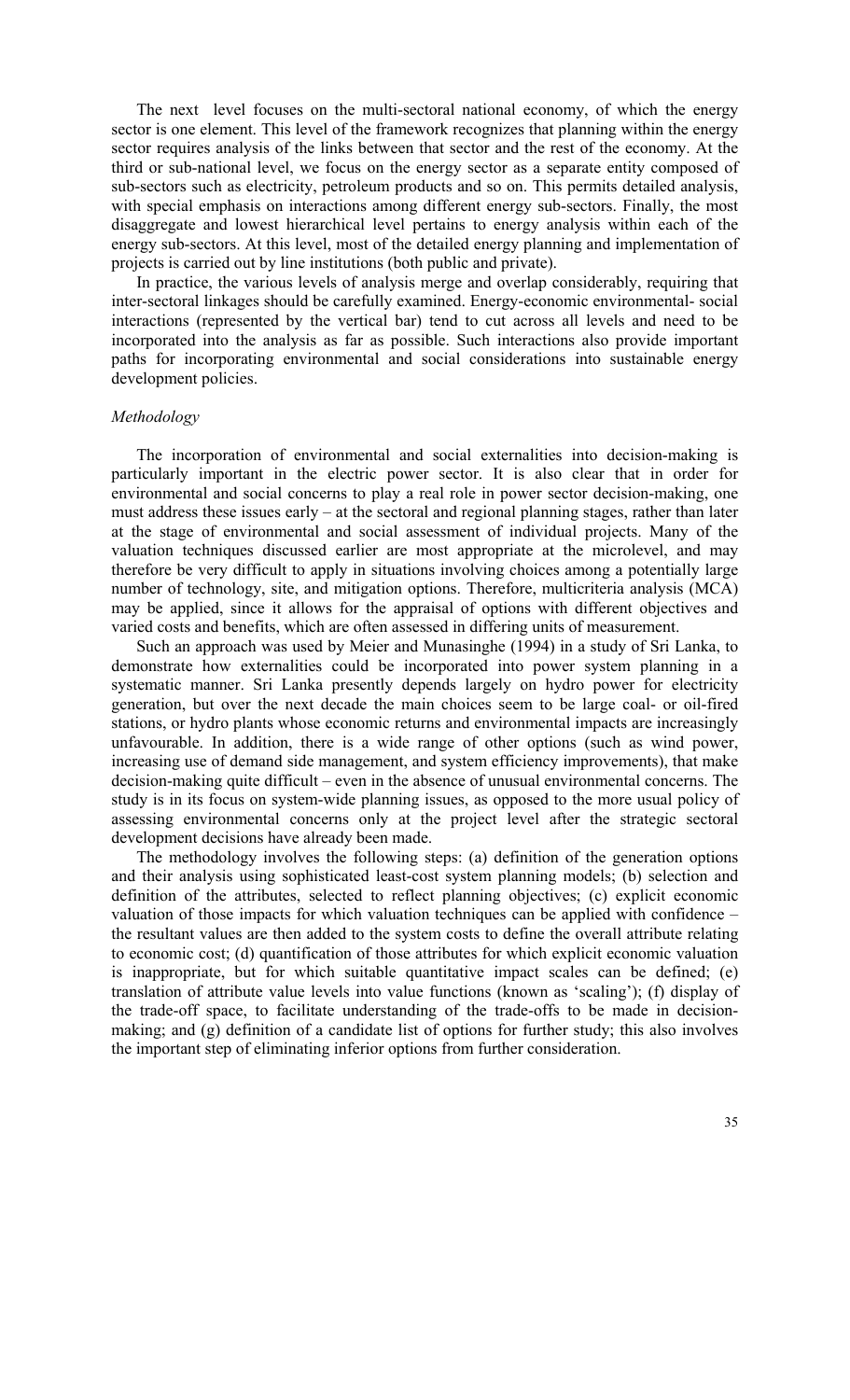The next level focuses on the multi-sectoral national economy, of which the energy sector is one element. This level of the framework recognizes that planning within the energy sector requires analysis of the links between that sector and the rest of the economy. At the third or sub-national level, we focus on the energy sector as a separate entity composed of sub-sectors such as electricity, petroleum products and so on. This permits detailed analysis, with special emphasis on interactions among different energy sub-sectors. Finally, the most disaggregate and lowest hierarchical level pertains to energy analysis within each of the energy sub-sectors. At this level, most of the detailed energy planning and implementation of projects is carried out by line institutions (both public and private).

In practice, the various levels of analysis merge and overlap considerably, requiring that inter-sectoral linkages should be carefully examined. Energy-economic environmental- social interactions (represented by the vertical bar) tend to cut across all levels and need to be incorporated into the analysis as far as possible. Such interactions also provide important paths for incorporating environmental and social considerations into sustainable energy development policies.

#### *Methodology*

The incorporation of environmental and social externalities into decision-making is particularly important in the electric power sector. It is also clear that in order for environmental and social concerns to play a real role in power sector decision-making, one must address these issues early – at the sectoral and regional planning stages, rather than later at the stage of environmental and social assessment of individual projects. Many of the valuation techniques discussed earlier are most appropriate at the microlevel, and may therefore be very difficult to apply in situations involving choices among a potentially large number of technology, site, and mitigation options. Therefore, multicriteria analysis (MCA) may be applied, since it allows for the appraisal of options with different objectives and varied costs and benefits, which are often assessed in differing units of measurement.

Such an approach was used by Meier and Munasinghe (1994) in a study of Sri Lanka, to demonstrate how externalities could be incorporated into power system planning in a systematic manner. Sri Lanka presently depends largely on hydro power for electricity generation, but over the next decade the main choices seem to be large coal- or oil-fired stations, or hydro plants whose economic returns and environmental impacts are increasingly unfavourable. In addition, there is a wide range of other options (such as wind power, increasing use of demand side management, and system efficiency improvements), that make decision-making quite difficult – even in the absence of unusual environmental concerns. The study is in its focus on system-wide planning issues, as opposed to the more usual policy of assessing environmental concerns only at the project level after the strategic sectoral development decisions have already been made.

The methodology involves the following steps: (a) definition of the generation options and their analysis using sophisticated least-cost system planning models; (b) selection and definition of the attributes, selected to reflect planning objectives; (c) explicit economic valuation of those impacts for which valuation techniques can be applied with confidence – the resultant values are then added to the system costs to define the overall attribute relating to economic cost; (d) quantification of those attributes for which explicit economic valuation is inappropriate, but for which suitable quantitative impact scales can be defined; (e) translation of attribute value levels into value functions (known as 'scaling'); (f) display of the trade-off space, to facilitate understanding of the trade-offs to be made in decisionmaking; and (g) definition of a candidate list of options for further study; this also involves the important step of eliminating inferior options from further consideration.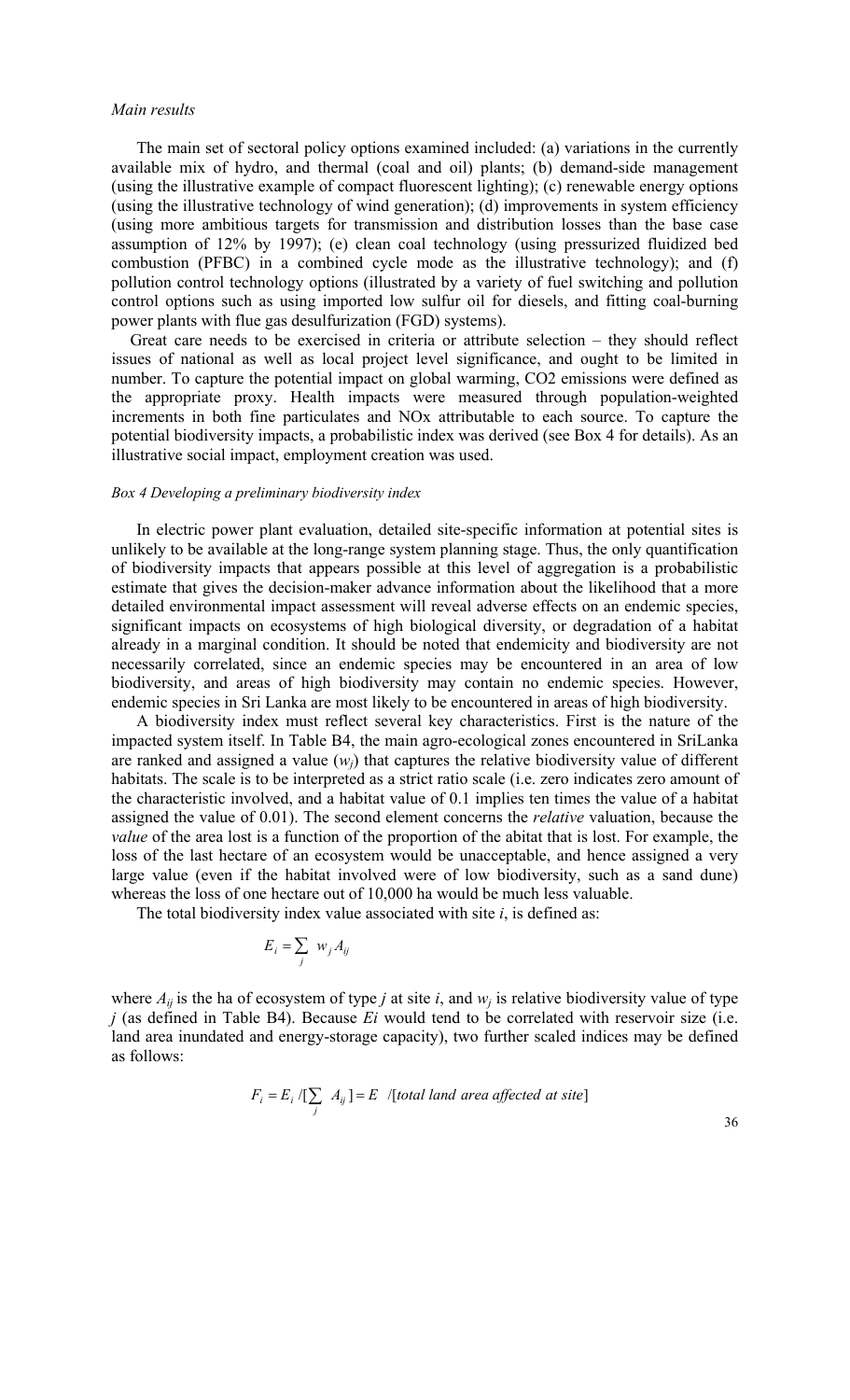#### *Main results*

The main set of sectoral policy options examined included: (a) variations in the currently available mix of hydro, and thermal (coal and oil) plants; (b) demand-side management (using the illustrative example of compact fluorescent lighting); (c) renewable energy options (using the illustrative technology of wind generation); (d) improvements in system efficiency (using more ambitious targets for transmission and distribution losses than the base case assumption of 12% by 1997); (e) clean coal technology (using pressurized fluidized bed combustion (PFBC) in a combined cycle mode as the illustrative technology); and (f) pollution control technology options (illustrated by a variety of fuel switching and pollution control options such as using imported low sulfur oil for diesels, and fitting coal-burning power plants with flue gas desulfurization (FGD) systems).

Great care needs to be exercised in criteria or attribute selection – they should reflect issues of national as well as local project level significance, and ought to be limited in number. To capture the potential impact on global warming, CO2 emissions were defined as the appropriate proxy. Health impacts were measured through population-weighted increments in both fine particulates and NOx attributable to each source. To capture the potential biodiversity impacts, a probabilistic index was derived (see Box 4 for details). As an illustrative social impact, employment creation was used.

#### *Box 4 Developing a preliminary biodiversity index*

In electric power plant evaluation, detailed site-specific information at potential sites is unlikely to be available at the long-range system planning stage. Thus, the only quantification of biodiversity impacts that appears possible at this level of aggregation is a probabilistic estimate that gives the decision-maker advance information about the likelihood that a more detailed environmental impact assessment will reveal adverse effects on an endemic species, significant impacts on ecosystems of high biological diversity, or degradation of a habitat already in a marginal condition. It should be noted that endemicity and biodiversity are not necessarily correlated, since an endemic species may be encountered in an area of low biodiversity, and areas of high biodiversity may contain no endemic species. However, endemic species in Sri Lanka are most likely to be encountered in areas of high biodiversity.

A biodiversity index must reflect several key characteristics. First is the nature of the impacted system itself. In Table B4, the main agro-ecological zones encountered in SriLanka are ranked and assigned a value  $(w<sub>i</sub>)$  that captures the relative biodiversity value of different habitats. The scale is to be interpreted as a strict ratio scale (i.e. zero indicates zero amount of the characteristic involved, and a habitat value of 0.1 implies ten times the value of a habitat assigned the value of 0.01). The second element concerns the *relative* valuation, because the *value* of the area lost is a function of the proportion of the abitat that is lost. For example, the loss of the last hectare of an ecosystem would be unacceptable, and hence assigned a very large value (even if the habitat involved were of low biodiversity, such as a sand dune) whereas the loss of one hectare out of 10,000 ha would be much less valuable.

The total biodiversity index value associated with site *i*, is defined as:

$$
E_i = \sum_j w_j A_{ij}
$$

where  $A_{ij}$  is the ha of ecosystem of type *j* at site *i*, and  $w_j$  is relative biodiversity value of type *j* (as defined in Table B4). Because *Ei* would tend to be correlated with reservoir size (i.e. land area inundated and energy-storage capacity), two further scaled indices may be defined as follows:

$$
F_i = E_i / [\sum_j A_{ij}] = E / [total \text{ land area affected at site}]
$$

36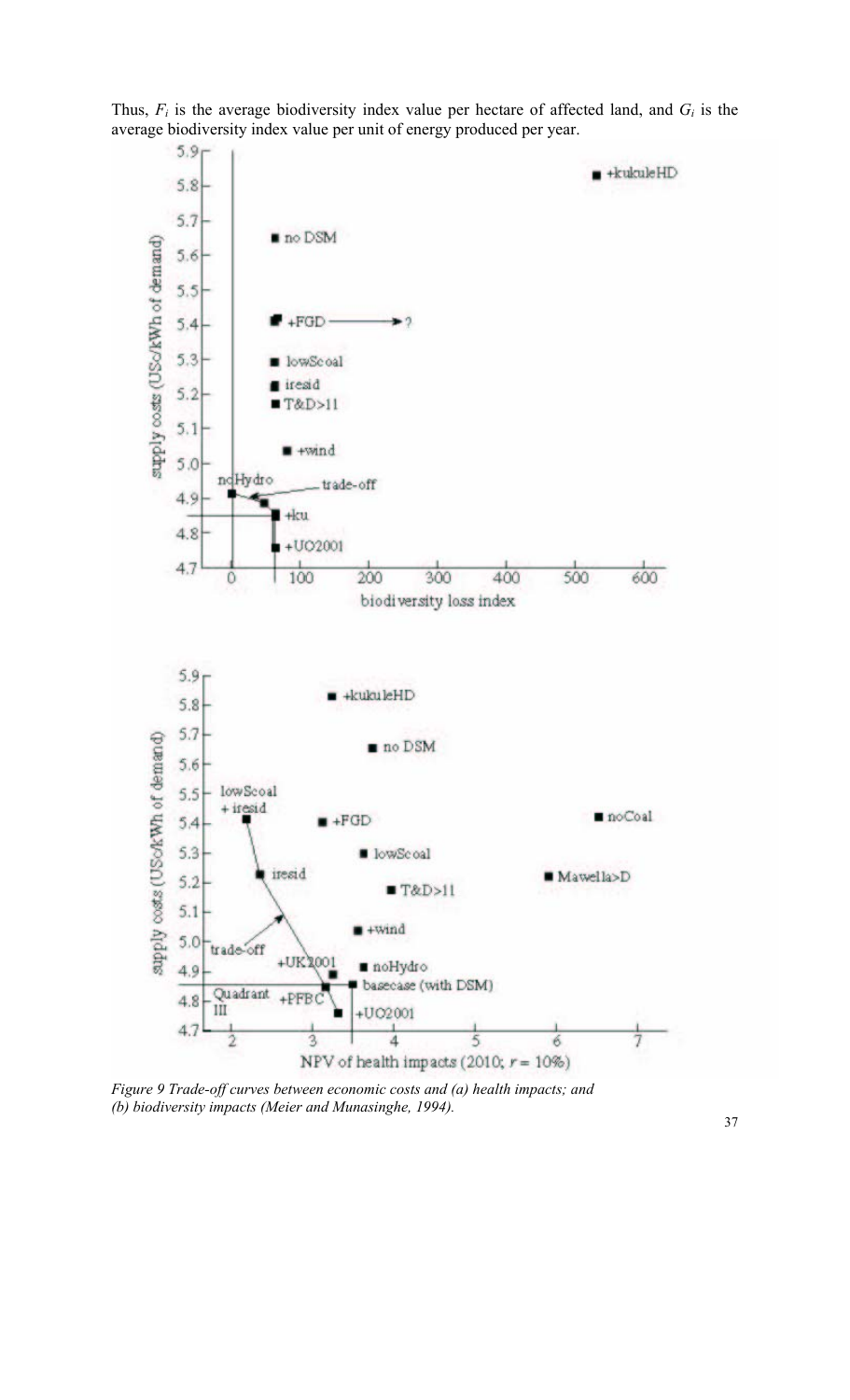



*Figure 9 Trade-off curves between economic costs and (a) health impacts; and (b) biodiversity impacts (Meier and Munasinghe, 1994).* 

37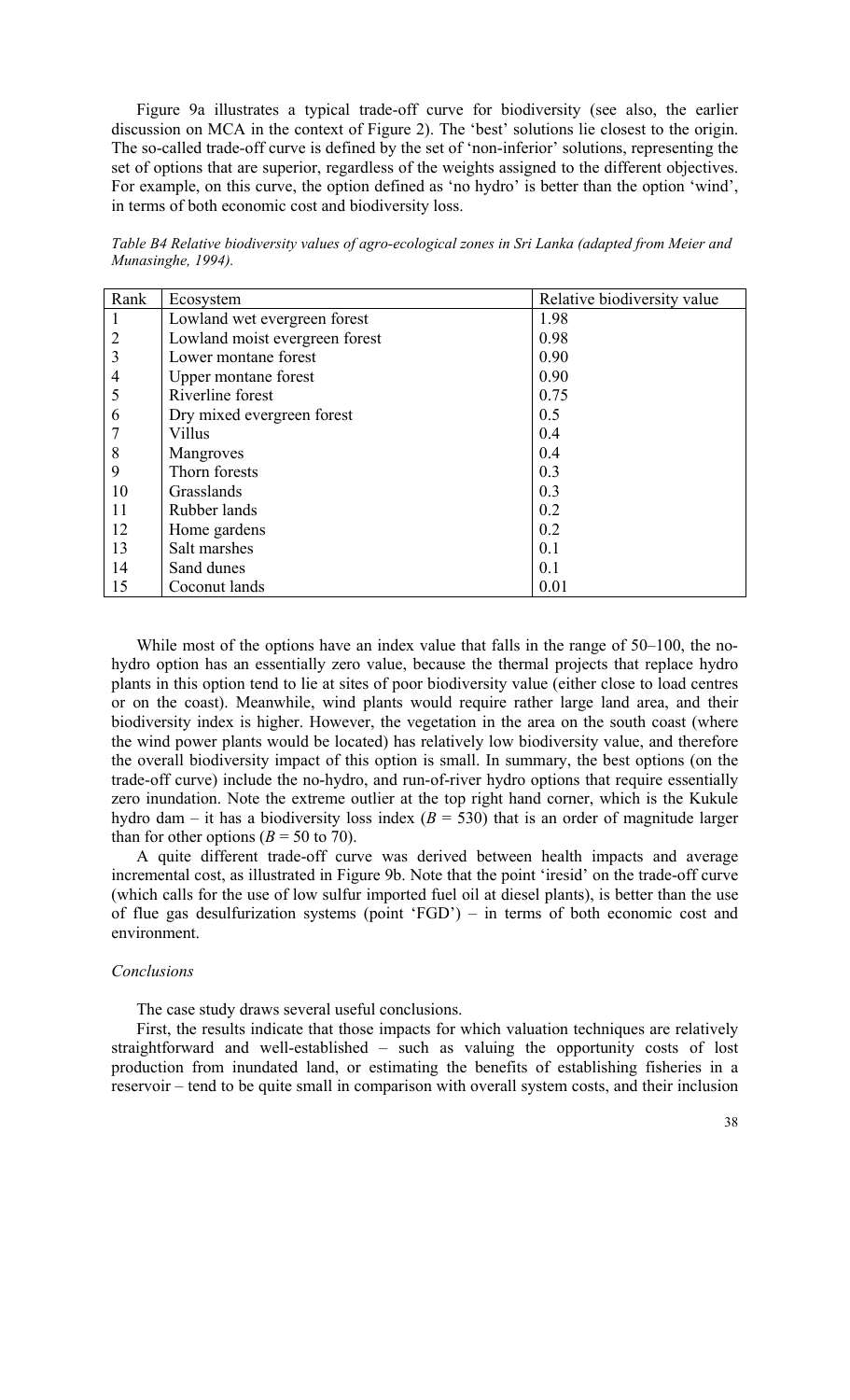Figure 9a illustrates a typical trade-off curve for biodiversity (see also, the earlier discussion on MCA in the context of Figure 2). The 'best' solutions lie closest to the origin. The so-called trade-off curve is defined by the set of 'non-inferior' solutions, representing the set of options that are superior, regardless of the weights assigned to the different objectives. For example, on this curve, the option defined as 'no hydro' is better than the option 'wind', in terms of both economic cost and biodiversity loss.

*Table B4 Relative biodiversity values of agro-ecological zones in Sri Lanka (adapted from Meier and Munasinghe, 1994).* 

| Rank | Ecosystem                      | Relative biodiversity value |
|------|--------------------------------|-----------------------------|
|      | Lowland wet evergreen forest   | 1.98                        |
|      | Lowland moist evergreen forest | 0.98                        |
|      | Lower montane forest           | 0.90                        |
| 4    | Upper montane forest           | 0.90                        |
| 5    | Riverline forest               | 0.75                        |
| 6    | Dry mixed evergreen forest     | 0.5                         |
|      | Villus                         | 0.4                         |
| 8    | Mangroves                      | 0.4                         |
| 9    | Thorn forests                  | 0.3                         |
| 10   | Grasslands                     | 0.3                         |
| 11   | Rubber lands                   | 0.2                         |
| 12   | Home gardens                   | 0.2                         |
| 13   | Salt marshes                   | 0.1                         |
| 14   | Sand dunes                     | 0.1                         |
| 15   | Coconut lands                  | 0.01                        |

While most of the options have an index value that falls in the range of 50–100, the nohydro option has an essentially zero value, because the thermal projects that replace hydro plants in this option tend to lie at sites of poor biodiversity value (either close to load centres or on the coast). Meanwhile, wind plants would require rather large land area, and their biodiversity index is higher. However, the vegetation in the area on the south coast (where the wind power plants would be located) has relatively low biodiversity value, and therefore the overall biodiversity impact of this option is small. In summary, the best options (on the trade-off curve) include the no-hydro, and run-of-river hydro options that require essentially zero inundation. Note the extreme outlier at the top right hand corner, which is the Kukule hydro dam – it has a biodiversity loss index  $(B = 530)$  that is an order of magnitude larger than for other options ( $B = 50$  to 70).

A quite different trade-off curve was derived between health impacts and average incremental cost, as illustrated in Figure 9b. Note that the point 'iresid' on the trade-off curve (which calls for the use of low sulfur imported fuel oil at diesel plants), is better than the use of flue gas desulfurization systems (point 'FGD') – in terms of both economic cost and environment.

## *Conclusions*

The case study draws several useful conclusions.

First, the results indicate that those impacts for which valuation techniques are relatively straightforward and well-established – such as valuing the opportunity costs of lost production from inundated land, or estimating the benefits of establishing fisheries in a reservoir – tend to be quite small in comparison with overall system costs, and their inclusion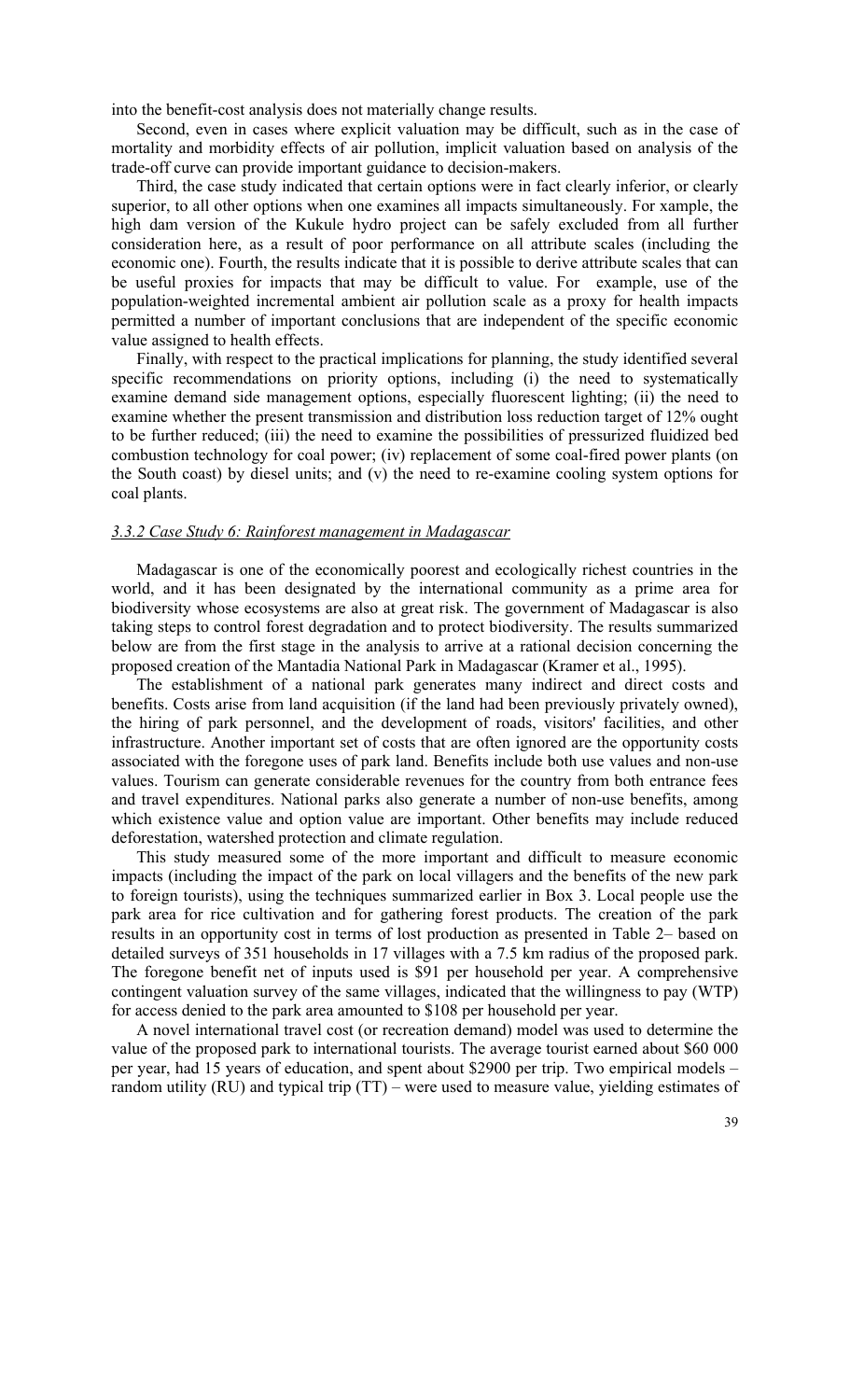into the benefit-cost analysis does not materially change results.

Second, even in cases where explicit valuation may be difficult, such as in the case of mortality and morbidity effects of air pollution, implicit valuation based on analysis of the trade-off curve can provide important guidance to decision-makers.

Third, the case study indicated that certain options were in fact clearly inferior, or clearly superior, to all other options when one examines all impacts simultaneously. For xample, the high dam version of the Kukule hydro project can be safely excluded from all further consideration here, as a result of poor performance on all attribute scales (including the economic one). Fourth, the results indicate that it is possible to derive attribute scales that can be useful proxies for impacts that may be difficult to value. For example, use of the population-weighted incremental ambient air pollution scale as a proxy for health impacts permitted a number of important conclusions that are independent of the specific economic value assigned to health effects.

Finally, with respect to the practical implications for planning, the study identified several specific recommendations on priority options, including (i) the need to systematically examine demand side management options, especially fluorescent lighting; (ii) the need to examine whether the present transmission and distribution loss reduction target of 12% ought to be further reduced; (iii) the need to examine the possibilities of pressurized fluidized bed combustion technology for coal power; (iv) replacement of some coal-fired power plants (on the South coast) by diesel units; and (v) the need to re-examine cooling system options for coal plants.

#### *3.3.2 Case Study 6: Rainforest management in Madagascar*

Madagascar is one of the economically poorest and ecologically richest countries in the world, and it has been designated by the international community as a prime area for biodiversity whose ecosystems are also at great risk. The government of Madagascar is also taking steps to control forest degradation and to protect biodiversity. The results summarized below are from the first stage in the analysis to arrive at a rational decision concerning the proposed creation of the Mantadia National Park in Madagascar (Kramer et al., 1995).

The establishment of a national park generates many indirect and direct costs and benefits. Costs arise from land acquisition (if the land had been previously privately owned), the hiring of park personnel, and the development of roads, visitors' facilities, and other infrastructure. Another important set of costs that are often ignored are the opportunity costs associated with the foregone uses of park land. Benefits include both use values and non-use values. Tourism can generate considerable revenues for the country from both entrance fees and travel expenditures. National parks also generate a number of non-use benefits, among which existence value and option value are important. Other benefits may include reduced deforestation, watershed protection and climate regulation.

This study measured some of the more important and difficult to measure economic impacts (including the impact of the park on local villagers and the benefits of the new park to foreign tourists), using the techniques summarized earlier in Box 3. Local people use the park area for rice cultivation and for gathering forest products. The creation of the park results in an opportunity cost in terms of lost production as presented in Table 2– based on detailed surveys of 351 households in 17 villages with a 7.5 km radius of the proposed park. The foregone benefit net of inputs used is \$91 per household per year. A comprehensive contingent valuation survey of the same villages, indicated that the willingness to pay (WTP) for access denied to the park area amounted to \$108 per household per year.

A novel international travel cost (or recreation demand) model was used to determine the value of the proposed park to international tourists. The average tourist earned about \$60 000 per year, had 15 years of education, and spent about \$2900 per trip. Two empirical models – random utility (RU) and typical trip (TT) – were used to measure value, yielding estimates of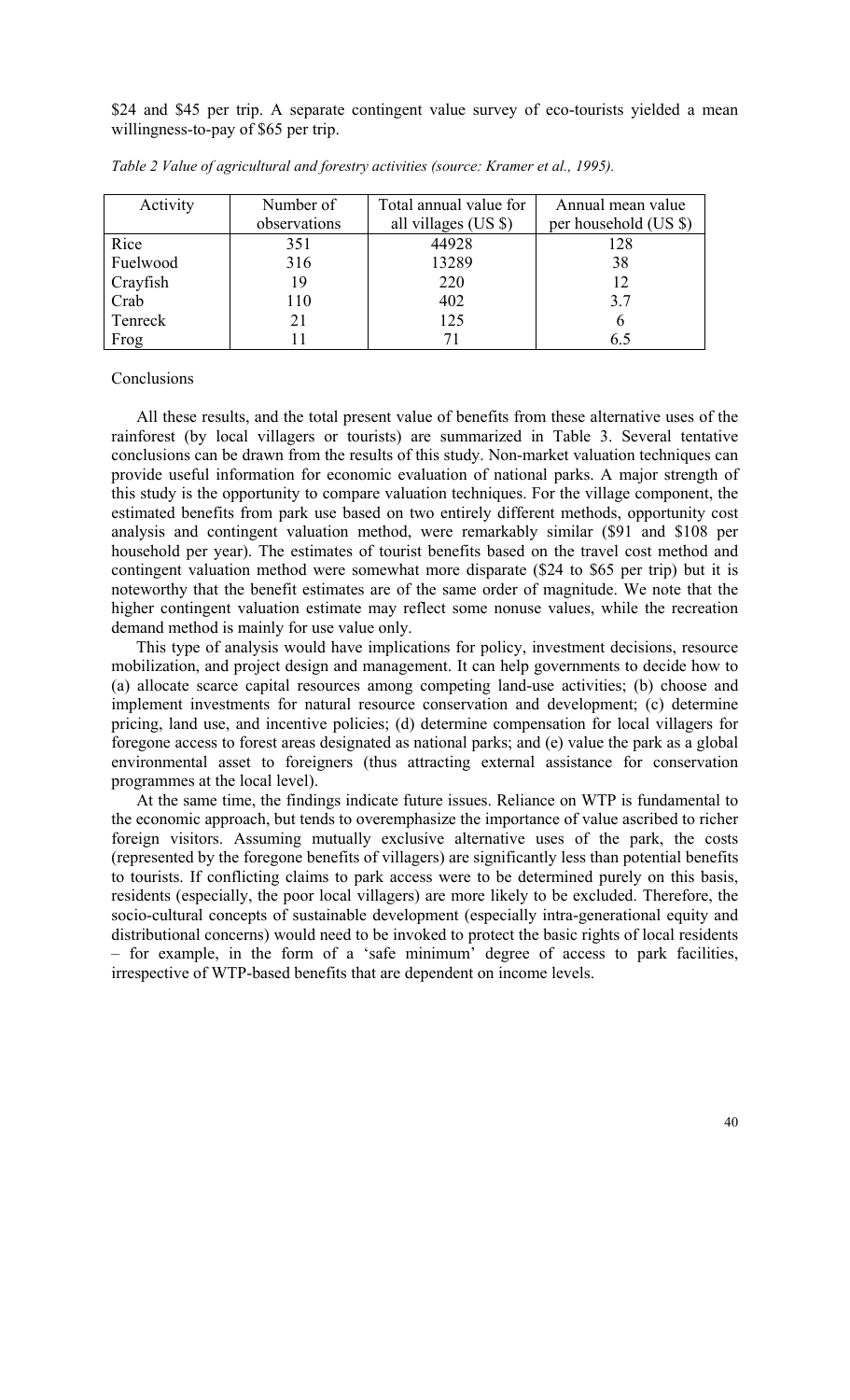\$24 and \$45 per trip. A separate contingent value survey of eco-tourists yielded a mean willingness-to-pay of \$65 per trip.

| Activity | Number of<br>observations | Total annual value for<br>all villages (US \$) | Annual mean value<br>per household (US \$) |
|----------|---------------------------|------------------------------------------------|--------------------------------------------|
| Rice     | 351                       | 44928                                          | 128                                        |
| Fuelwood | 316                       | 13289                                          | 38                                         |
| Crayfish | 19                        | 220                                            | 12                                         |
| Crab     | 110                       | 402                                            | 3.7                                        |
| Tenreck  | 21                        | 125                                            | O                                          |
| Frog     |                           |                                                | 6.5                                        |

| Table 2 Value of agricultural and forestry activities (source: Kramer et al., 1995). |  |
|--------------------------------------------------------------------------------------|--|
|--------------------------------------------------------------------------------------|--|

#### Conclusions

All these results, and the total present value of benefits from these alternative uses of the rainforest (by local villagers or tourists) are summarized in Table 3. Several tentative conclusions can be drawn from the results of this study. Non-market valuation techniques can provide useful information for economic evaluation of national parks. A major strength of this study is the opportunity to compare valuation techniques. For the village component, the estimated benefits from park use based on two entirely different methods, opportunity cost analysis and contingent valuation method, were remarkably similar (\$91 and \$108 per household per year). The estimates of tourist benefits based on the travel cost method and contingent valuation method were somewhat more disparate (\$24 to \$65 per trip) but it is noteworthy that the benefit estimates are of the same order of magnitude. We note that the higher contingent valuation estimate may reflect some nonuse values, while the recreation demand method is mainly for use value only.

This type of analysis would have implications for policy, investment decisions, resource mobilization, and project design and management. It can help governments to decide how to (a) allocate scarce capital resources among competing land-use activities; (b) choose and implement investments for natural resource conservation and development; (c) determine pricing, land use, and incentive policies; (d) determine compensation for local villagers for foregone access to forest areas designated as national parks; and (e) value the park as a global environmental asset to foreigners (thus attracting external assistance for conservation programmes at the local level).

At the same time, the findings indicate future issues. Reliance on WTP is fundamental to the economic approach, but tends to overemphasize the importance of value ascribed to richer foreign visitors. Assuming mutually exclusive alternative uses of the park, the costs (represented by the foregone benefits of villagers) are significantly less than potential benefits to tourists. If conflicting claims to park access were to be determined purely on this basis, residents (especially, the poor local villagers) are more likely to be excluded. Therefore, the socio-cultural concepts of sustainable development (especially intra-generational equity and distributional concerns) would need to be invoked to protect the basic rights of local residents – for example, in the form of a 'safe minimum' degree of access to park facilities, irrespective of WTP-based benefits that are dependent on income levels.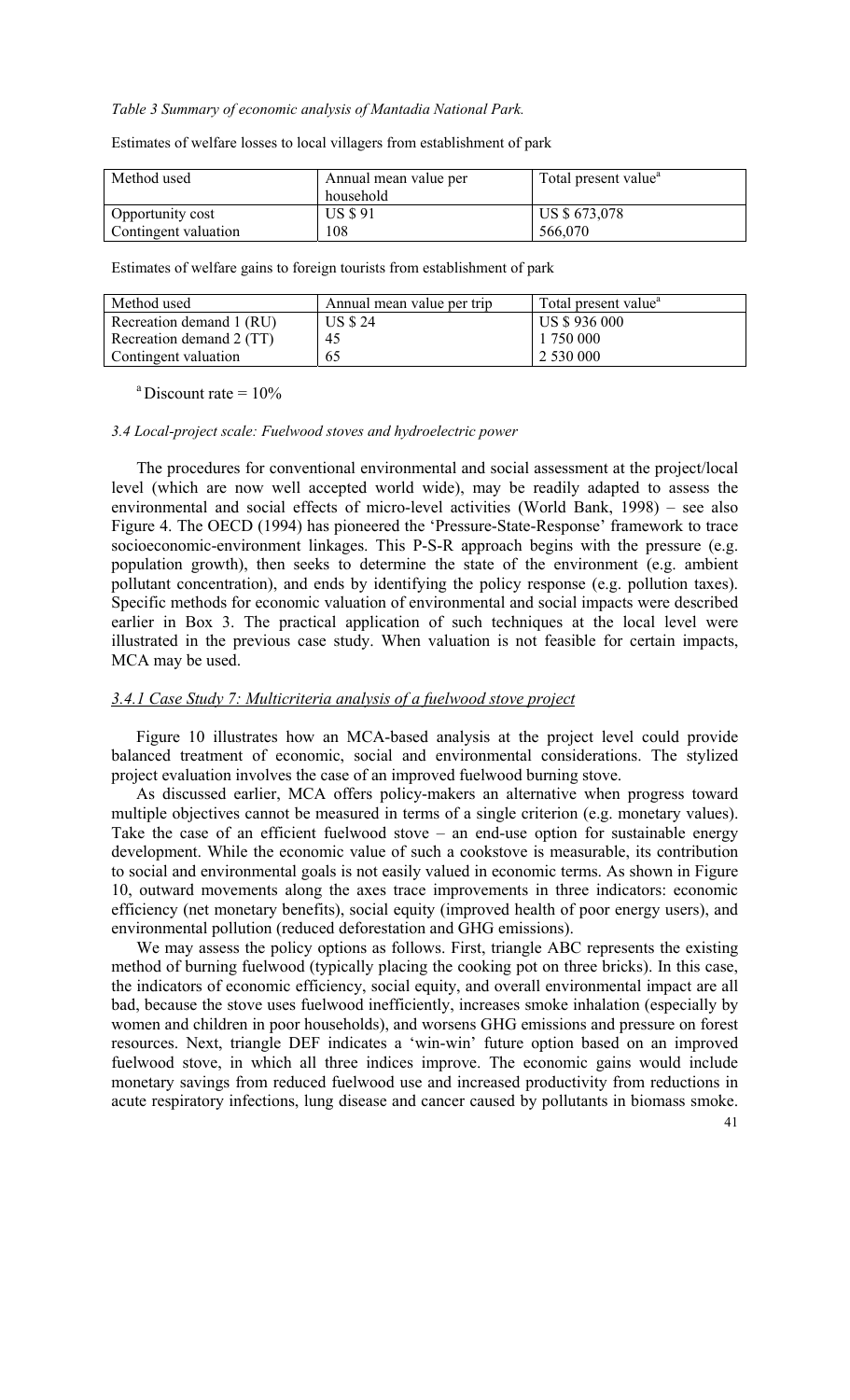#### *Table 3 Summary of economic analysis of Mantadia National Park.*

Estimates of welfare losses to local villagers from establishment of park

| Method used          | Total present value <sup>a</sup><br>Annual mean value per<br>household |               |
|----------------------|------------------------------------------------------------------------|---------------|
|                      |                                                                        |               |
| Opportunity cost     | US \$ 91                                                               | US \$ 673,078 |
| Contingent valuation | 108                                                                    | 566,070       |

Estimates of welfare gains to foreign tourists from establishment of park

| Method used              | Annual mean value per trip | Total present value <sup>a</sup> |
|--------------------------|----------------------------|----------------------------------|
| Recreation demand 1 (RU) | <b>US \$ 24</b>            | US \$936 000                     |
| Recreation demand 2 (TT) | 45                         | 1 750 000                        |
| Contingent valuation     | 65                         | 2 530 000                        |

## <sup>a</sup> Discount rate  $= 10\%$

#### *3.4 Local-project scale: Fuelwood stoves and hydroelectric power*

The procedures for conventional environmental and social assessment at the project/local level (which are now well accepted world wide), may be readily adapted to assess the environmental and social effects of micro-level activities (World Bank, 1998) – see also Figure 4. The OECD (1994) has pioneered the 'Pressure-State-Response' framework to trace socioeconomic-environment linkages. This P-S-R approach begins with the pressure (e.g. population growth), then seeks to determine the state of the environment (e.g. ambient pollutant concentration), and ends by identifying the policy response (e.g. pollution taxes). Specific methods for economic valuation of environmental and social impacts were described earlier in Box 3. The practical application of such techniques at the local level were illustrated in the previous case study. When valuation is not feasible for certain impacts, MCA may be used.

## *3.4.1 Case Study 7: Multicriteria analysis of a fuelwood stove project*

Figure 10 illustrates how an MCA-based analysis at the project level could provide balanced treatment of economic, social and environmental considerations. The stylized project evaluation involves the case of an improved fuelwood burning stove.

As discussed earlier, MCA offers policy-makers an alternative when progress toward multiple objectives cannot be measured in terms of a single criterion (e.g. monetary values). Take the case of an efficient fuelwood stove – an end-use option for sustainable energy development. While the economic value of such a cookstove is measurable, its contribution to social and environmental goals is not easily valued in economic terms. As shown in Figure 10, outward movements along the axes trace improvements in three indicators: economic efficiency (net monetary benefits), social equity (improved health of poor energy users), and environmental pollution (reduced deforestation and GHG emissions).

We may assess the policy options as follows. First, triangle ABC represents the existing method of burning fuelwood (typically placing the cooking pot on three bricks). In this case, the indicators of economic efficiency, social equity, and overall environmental impact are all bad, because the stove uses fuelwood inefficiently, increases smoke inhalation (especially by women and children in poor households), and worsens GHG emissions and pressure on forest resources. Next, triangle DEF indicates a 'win-win' future option based on an improved fuelwood stove, in which all three indices improve. The economic gains would include monetary savings from reduced fuelwood use and increased productivity from reductions in acute respiratory infections, lung disease and cancer caused by pollutants in biomass smoke.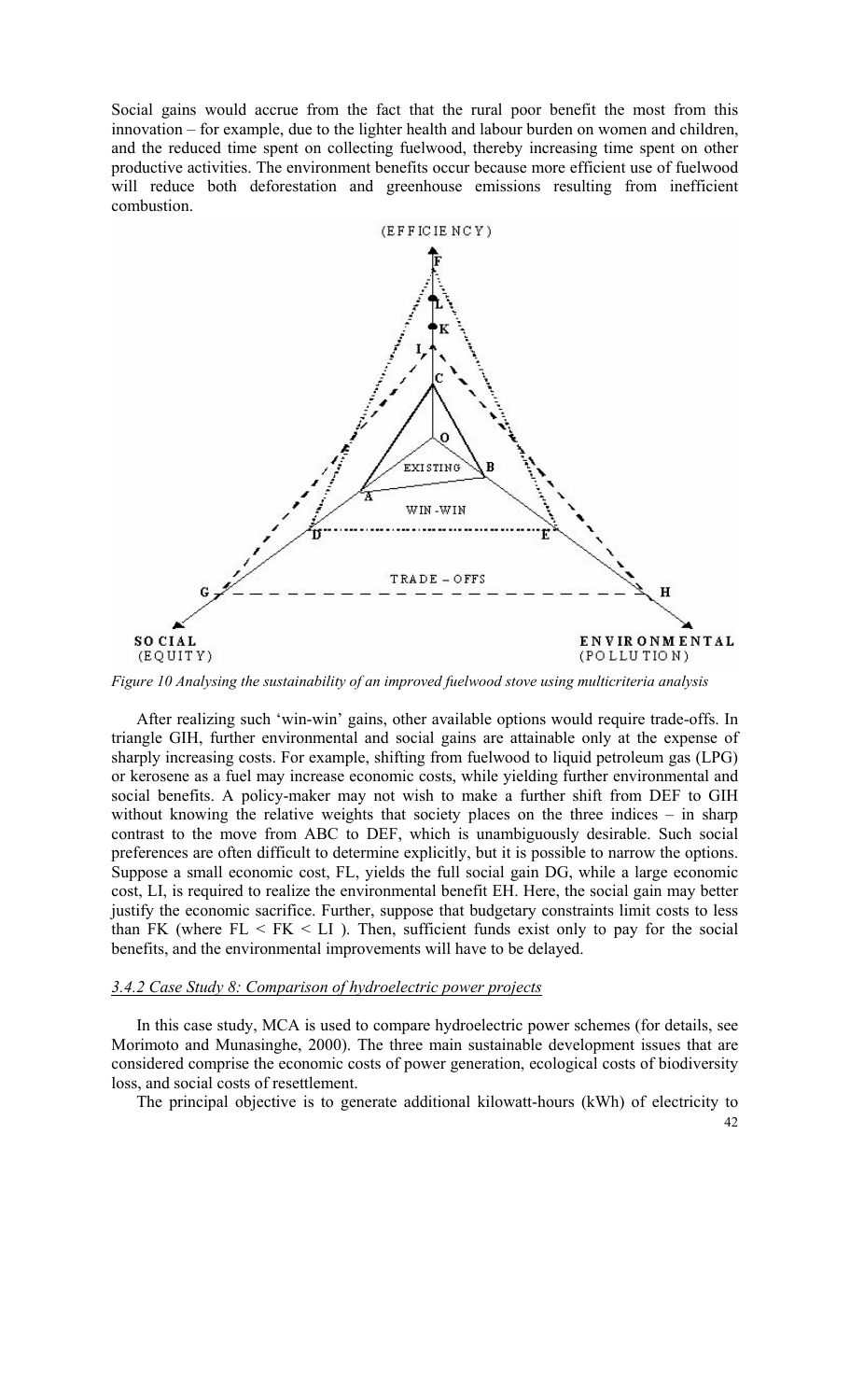Social gains would accrue from the fact that the rural poor benefit the most from this innovation – for example, due to the lighter health and labour burden on women and children, and the reduced time spent on collecting fuelwood, thereby increasing time spent on other productive activities. The environment benefits occur because more efficient use of fuelwood will reduce both deforestation and greenhouse emissions resulting from inefficient combustion.



*Figure 10 Analysing the sustainability of an improved fuelwood stove using multicriteria analysis* 

After realizing such 'win-win' gains, other available options would require trade-offs. In triangle GIH, further environmental and social gains are attainable only at the expense of sharply increasing costs. For example, shifting from fuelwood to liquid petroleum gas (LPG) or kerosene as a fuel may increase economic costs, while yielding further environmental and social benefits. A policy-maker may not wish to make a further shift from DEF to GIH without knowing the relative weights that society places on the three indices – in sharp contrast to the move from ABC to DEF, which is unambiguously desirable. Such social preferences are often difficult to determine explicitly, but it is possible to narrow the options. Suppose a small economic cost, FL, yields the full social gain DG, while a large economic cost, LI, is required to realize the environmental benefit EH. Here, the social gain may better justify the economic sacrifice. Further, suppose that budgetary constraints limit costs to less than FK (where  $FL < FK < LI$  ). Then, sufficient funds exist only to pay for the social benefits, and the environmental improvements will have to be delayed.

## *3.4.2 Case Study 8: Comparison of hydroelectric power projects*

In this case study, MCA is used to compare hydroelectric power schemes (for details, see Morimoto and Munasinghe, 2000). The three main sustainable development issues that are considered comprise the economic costs of power generation, ecological costs of biodiversity loss, and social costs of resettlement.

The principal objective is to generate additional kilowatt-hours (kWh) of electricity to

42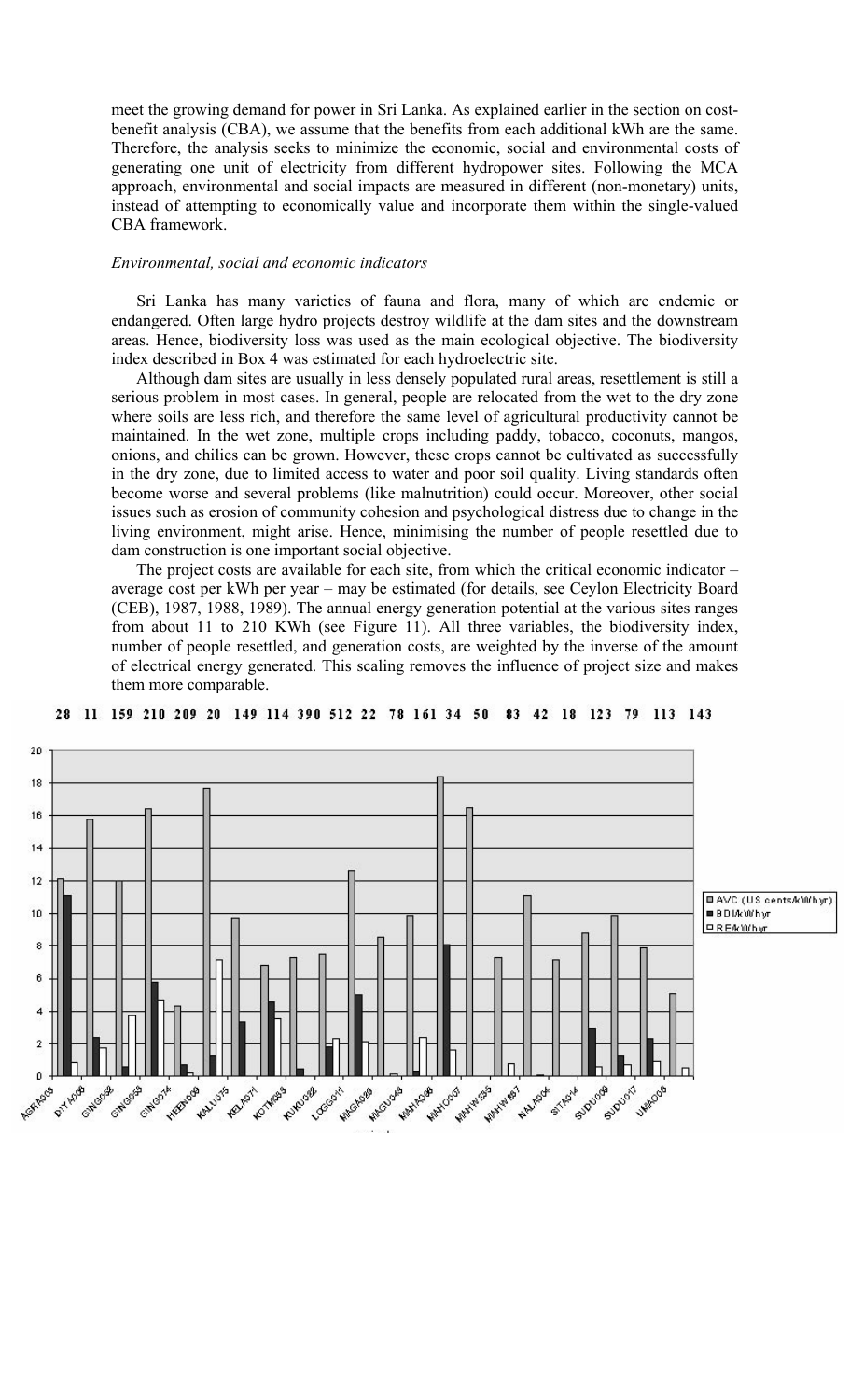meet the growing demand for power in Sri Lanka. As explained earlier in the section on costbenefit analysis (CBA), we assume that the benefits from each additional kWh are the same. Therefore, the analysis seeks to minimize the economic, social and environmental costs of generating one unit of electricity from different hydropower sites. Following the MCA approach, environmental and social impacts are measured in different (non-monetary) units, instead of attempting to economically value and incorporate them within the single-valued CBA framework.

## *Environmental, social and economic indicators*

Sri Lanka has many varieties of fauna and flora, many of which are endemic or endangered. Often large hydro projects destroy wildlife at the dam sites and the downstream areas. Hence, biodiversity loss was used as the main ecological objective. The biodiversity index described in Box 4 was estimated for each hydroelectric site.

Although dam sites are usually in less densely populated rural areas, resettlement is still a serious problem in most cases. In general, people are relocated from the wet to the dry zone where soils are less rich, and therefore the same level of agricultural productivity cannot be maintained. In the wet zone, multiple crops including paddy, tobacco, coconuts, mangos, onions, and chilies can be grown. However, these crops cannot be cultivated as successfully in the dry zone, due to limited access to water and poor soil quality. Living standards often become worse and several problems (like malnutrition) could occur. Moreover, other social issues such as erosion of community cohesion and psychological distress due to change in the living environment, might arise. Hence, minimising the number of people resettled due to dam construction is one important social objective.

The project costs are available for each site, from which the critical economic indicator – average cost per kWh per year – may be estimated (for details, see Ceylon Electricity Board (CEB), 1987, 1988, 1989). The annual energy generation potential at the various sites ranges from about 11 to 210 KWh (see Figure 11). All three variables, the biodiversity index, number of people resettled, and generation costs, are weighted by the inverse of the amount of electrical energy generated. This scaling removes the influence of project size and makes them more comparable.



#### 28 11 159 210 209 20 149 114 390 512 22 78 161 34 50 83 42 18 123 79 113 143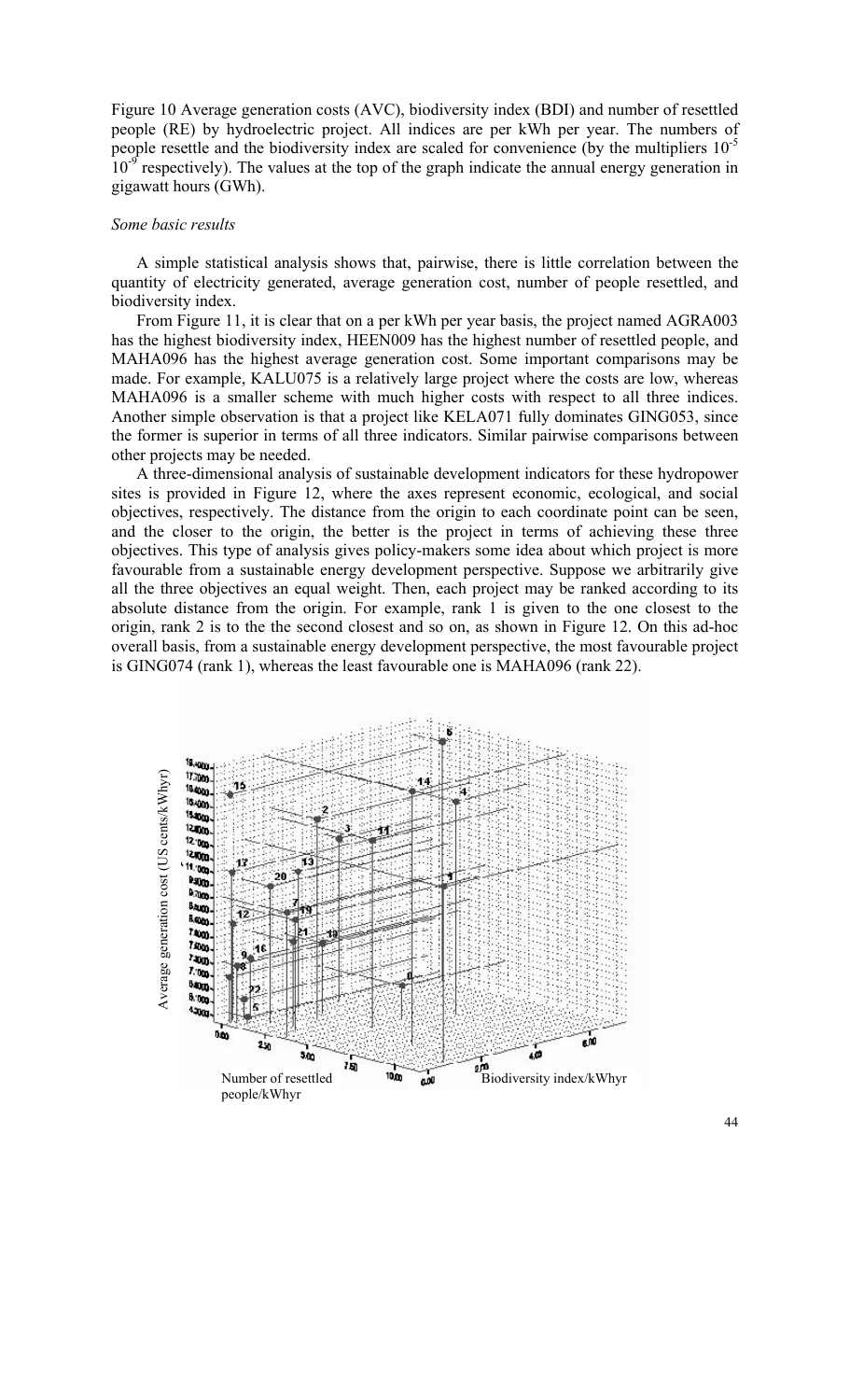Figure 10 Average generation costs (AVC), biodiversity index (BDI) and number of resettled people (RE) by hydroelectric project. All indices are per kWh per year. The numbers of people resettle and the biodiversity index are scaled for convenience (by the multipliers  $10^{-5}$ 10<sup>-9</sup> respectively). The values at the top of the graph indicate the annual energy generation in gigawatt hours (GWh).

#### *Some basic results*

A simple statistical analysis shows that, pairwise, there is little correlation between the quantity of electricity generated, average generation cost, number of people resettled, and biodiversity index.

From Figure 11, it is clear that on a per kWh per year basis, the project named AGRA003 has the highest biodiversity index, HEEN009 has the highest number of resettled people, and MAHA096 has the highest average generation cost. Some important comparisons may be made. For example, KALU075 is a relatively large project where the costs are low, whereas MAHA096 is a smaller scheme with much higher costs with respect to all three indices. Another simple observation is that a project like KELA071 fully dominates GING053, since the former is superior in terms of all three indicators. Similar pairwise comparisons between other projects may be needed.

A three-dimensional analysis of sustainable development indicators for these hydropower sites is provided in Figure 12, where the axes represent economic, ecological, and social objectives, respectively. The distance from the origin to each coordinate point can be seen, and the closer to the origin, the better is the project in terms of achieving these three objectives. This type of analysis gives policy-makers some idea about which project is more favourable from a sustainable energy development perspective. Suppose we arbitrarily give all the three objectives an equal weight. Then, each project may be ranked according to its absolute distance from the origin. For example, rank 1 is given to the one closest to the origin, rank 2 is to the the second closest and so on, as shown in Figure 12. On this ad-hoc overall basis, from a sustainable energy development perspective, the most favourable project is GING074 (rank 1), whereas the least favourable one is MAHA096 (rank 22).

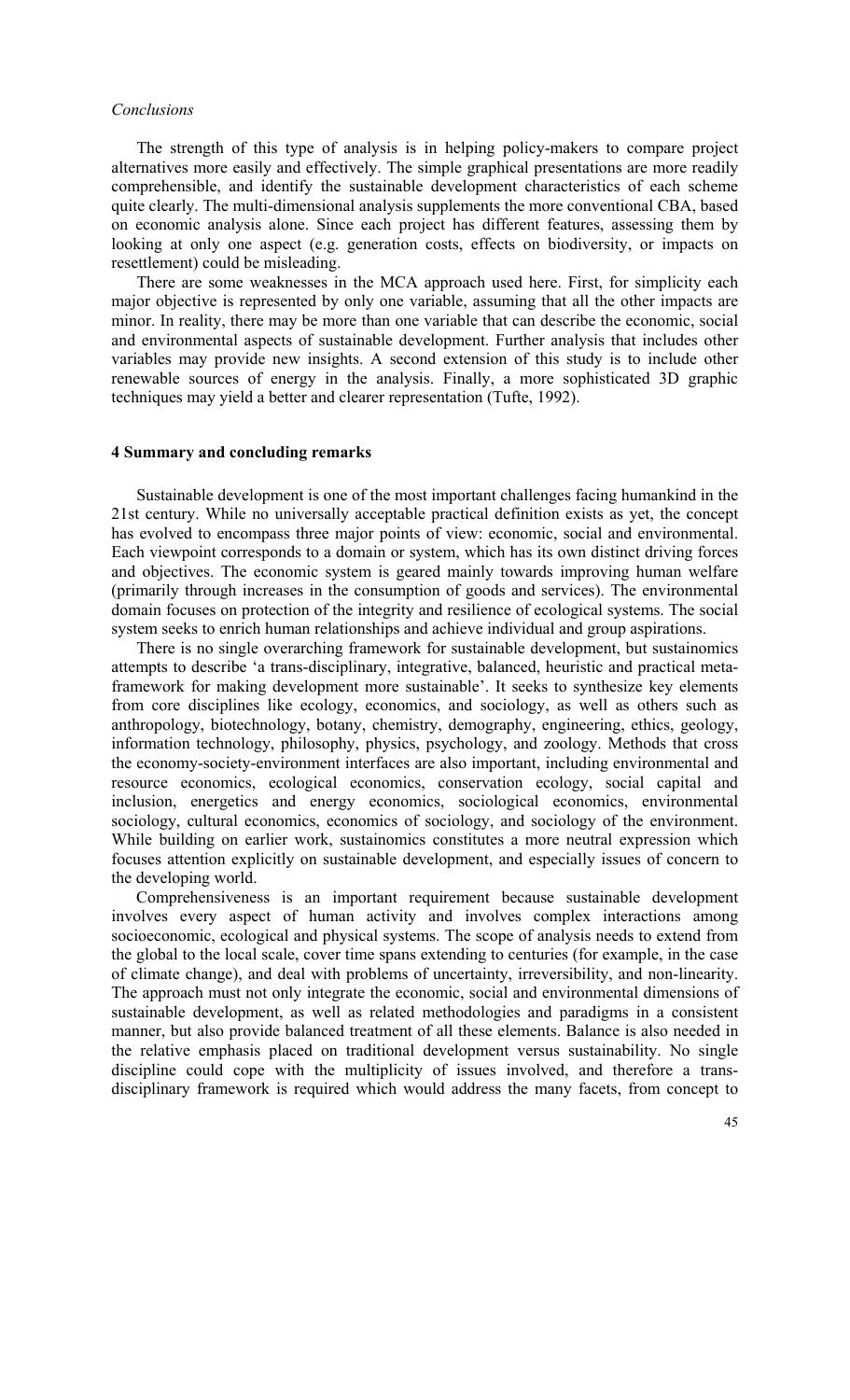#### *Conclusions*

The strength of this type of analysis is in helping policy-makers to compare project alternatives more easily and effectively. The simple graphical presentations are more readily comprehensible, and identify the sustainable development characteristics of each scheme quite clearly. The multi-dimensional analysis supplements the more conventional CBA, based on economic analysis alone. Since each project has different features, assessing them by looking at only one aspect (e.g. generation costs, effects on biodiversity, or impacts on resettlement) could be misleading.

There are some weaknesses in the MCA approach used here. First, for simplicity each major objective is represented by only one variable, assuming that all the other impacts are minor. In reality, there may be more than one variable that can describe the economic, social and environmental aspects of sustainable development. Further analysis that includes other variables may provide new insights. A second extension of this study is to include other renewable sources of energy in the analysis. Finally, a more sophisticated 3D graphic techniques may yield a better and clearer representation (Tufte, 1992).

## **4 Summary and concluding remarks**

Sustainable development is one of the most important challenges facing humankind in the 21st century. While no universally acceptable practical definition exists as yet, the concept has evolved to encompass three major points of view: economic, social and environmental. Each viewpoint corresponds to a domain or system, which has its own distinct driving forces and objectives. The economic system is geared mainly towards improving human welfare (primarily through increases in the consumption of goods and services). The environmental domain focuses on protection of the integrity and resilience of ecological systems. The social system seeks to enrich human relationships and achieve individual and group aspirations.

There is no single overarching framework for sustainable development, but sustainomics attempts to describe 'a trans-disciplinary, integrative, balanced, heuristic and practical metaframework for making development more sustainable'. It seeks to synthesize key elements from core disciplines like ecology, economics, and sociology, as well as others such as anthropology, biotechnology, botany, chemistry, demography, engineering, ethics, geology, information technology, philosophy, physics, psychology, and zoology. Methods that cross the economy-society-environment interfaces are also important, including environmental and resource economics, ecological economics, conservation ecology, social capital and inclusion, energetics and energy economics, sociological economics, environmental sociology, cultural economics, economics of sociology, and sociology of the environment. While building on earlier work, sustainomics constitutes a more neutral expression which focuses attention explicitly on sustainable development, and especially issues of concern to the developing world.

Comprehensiveness is an important requirement because sustainable development involves every aspect of human activity and involves complex interactions among socioeconomic, ecological and physical systems. The scope of analysis needs to extend from the global to the local scale, cover time spans extending to centuries (for example, in the case of climate change), and deal with problems of uncertainty, irreversibility, and non-linearity. The approach must not only integrate the economic, social and environmental dimensions of sustainable development, as well as related methodologies and paradigms in a consistent manner, but also provide balanced treatment of all these elements. Balance is also needed in the relative emphasis placed on traditional development versus sustainability. No single discipline could cope with the multiplicity of issues involved, and therefore a transdisciplinary framework is required which would address the many facets, from concept to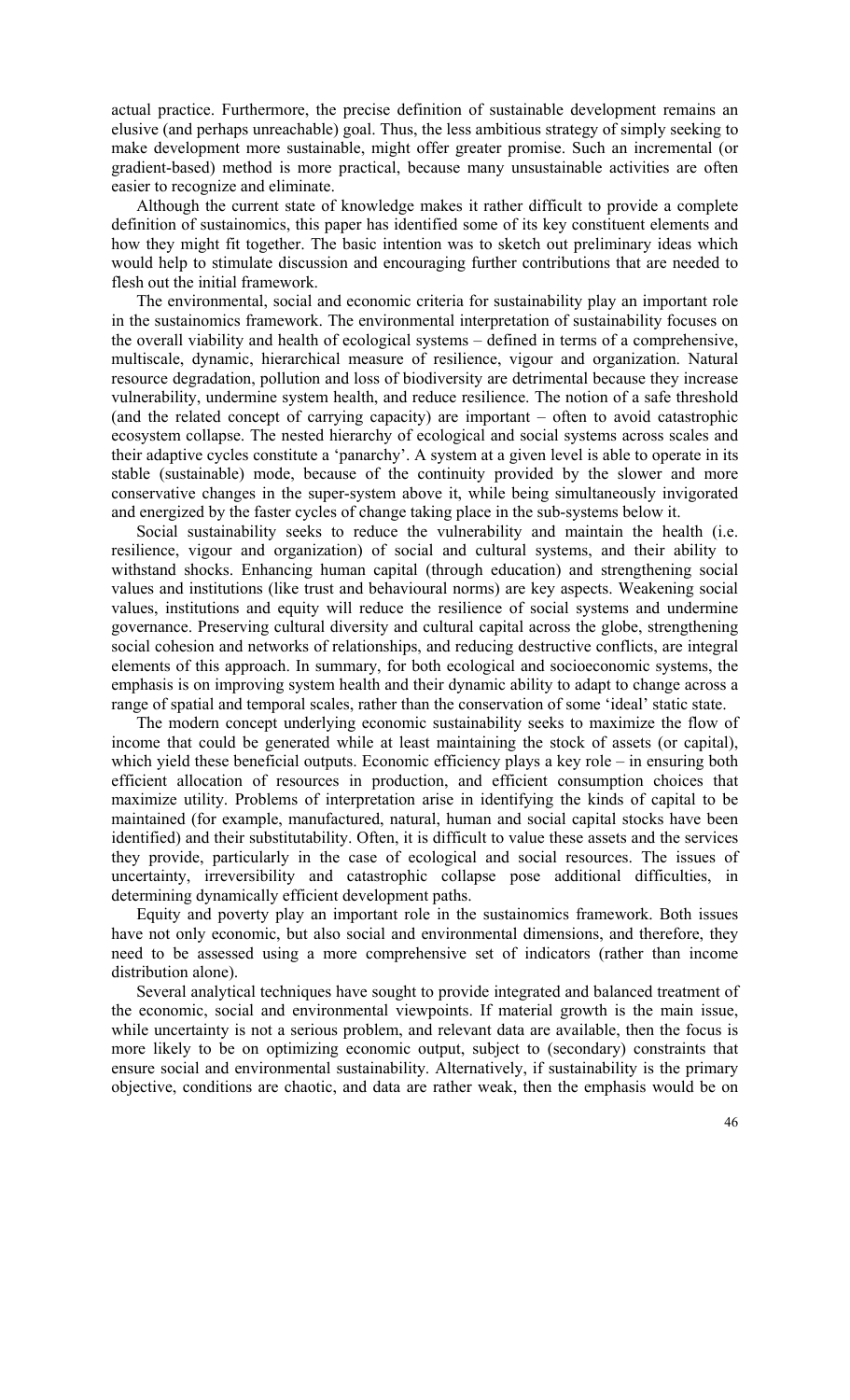actual practice. Furthermore, the precise definition of sustainable development remains an elusive (and perhaps unreachable) goal. Thus, the less ambitious strategy of simply seeking to make development more sustainable, might offer greater promise. Such an incremental (or gradient-based) method is more practical, because many unsustainable activities are often easier to recognize and eliminate.

Although the current state of knowledge makes it rather difficult to provide a complete definition of sustainomics, this paper has identified some of its key constituent elements and how they might fit together. The basic intention was to sketch out preliminary ideas which would help to stimulate discussion and encouraging further contributions that are needed to flesh out the initial framework.

The environmental, social and economic criteria for sustainability play an important role in the sustainomics framework. The environmental interpretation of sustainability focuses on the overall viability and health of ecological systems – defined in terms of a comprehensive, multiscale, dynamic, hierarchical measure of resilience, vigour and organization. Natural resource degradation, pollution and loss of biodiversity are detrimental because they increase vulnerability, undermine system health, and reduce resilience. The notion of a safe threshold (and the related concept of carrying capacity) are important – often to avoid catastrophic ecosystem collapse. The nested hierarchy of ecological and social systems across scales and their adaptive cycles constitute a 'panarchy'. A system at a given level is able to operate in its stable (sustainable) mode, because of the continuity provided by the slower and more conservative changes in the super-system above it, while being simultaneously invigorated and energized by the faster cycles of change taking place in the sub-systems below it.

Social sustainability seeks to reduce the vulnerability and maintain the health (i.e. resilience, vigour and organization) of social and cultural systems, and their ability to withstand shocks. Enhancing human capital (through education) and strengthening social values and institutions (like trust and behavioural norms) are key aspects. Weakening social values, institutions and equity will reduce the resilience of social systems and undermine governance. Preserving cultural diversity and cultural capital across the globe, strengthening social cohesion and networks of relationships, and reducing destructive conflicts, are integral elements of this approach. In summary, for both ecological and socioeconomic systems, the emphasis is on improving system health and their dynamic ability to adapt to change across a range of spatial and temporal scales, rather than the conservation of some 'ideal' static state.

The modern concept underlying economic sustainability seeks to maximize the flow of income that could be generated while at least maintaining the stock of assets (or capital), which yield these beneficial outputs. Economic efficiency plays a key role – in ensuring both efficient allocation of resources in production, and efficient consumption choices that maximize utility. Problems of interpretation arise in identifying the kinds of capital to be maintained (for example, manufactured, natural, human and social capital stocks have been identified) and their substitutability. Often, it is difficult to value these assets and the services they provide, particularly in the case of ecological and social resources. The issues of uncertainty, irreversibility and catastrophic collapse pose additional difficulties, in determining dynamically efficient development paths.

Equity and poverty play an important role in the sustainomics framework. Both issues have not only economic, but also social and environmental dimensions, and therefore, they need to be assessed using a more comprehensive set of indicators (rather than income distribution alone).

Several analytical techniques have sought to provide integrated and balanced treatment of the economic, social and environmental viewpoints. If material growth is the main issue, while uncertainty is not a serious problem, and relevant data are available, then the focus is more likely to be on optimizing economic output, subject to (secondary) constraints that ensure social and environmental sustainability. Alternatively, if sustainability is the primary objective, conditions are chaotic, and data are rather weak, then the emphasis would be on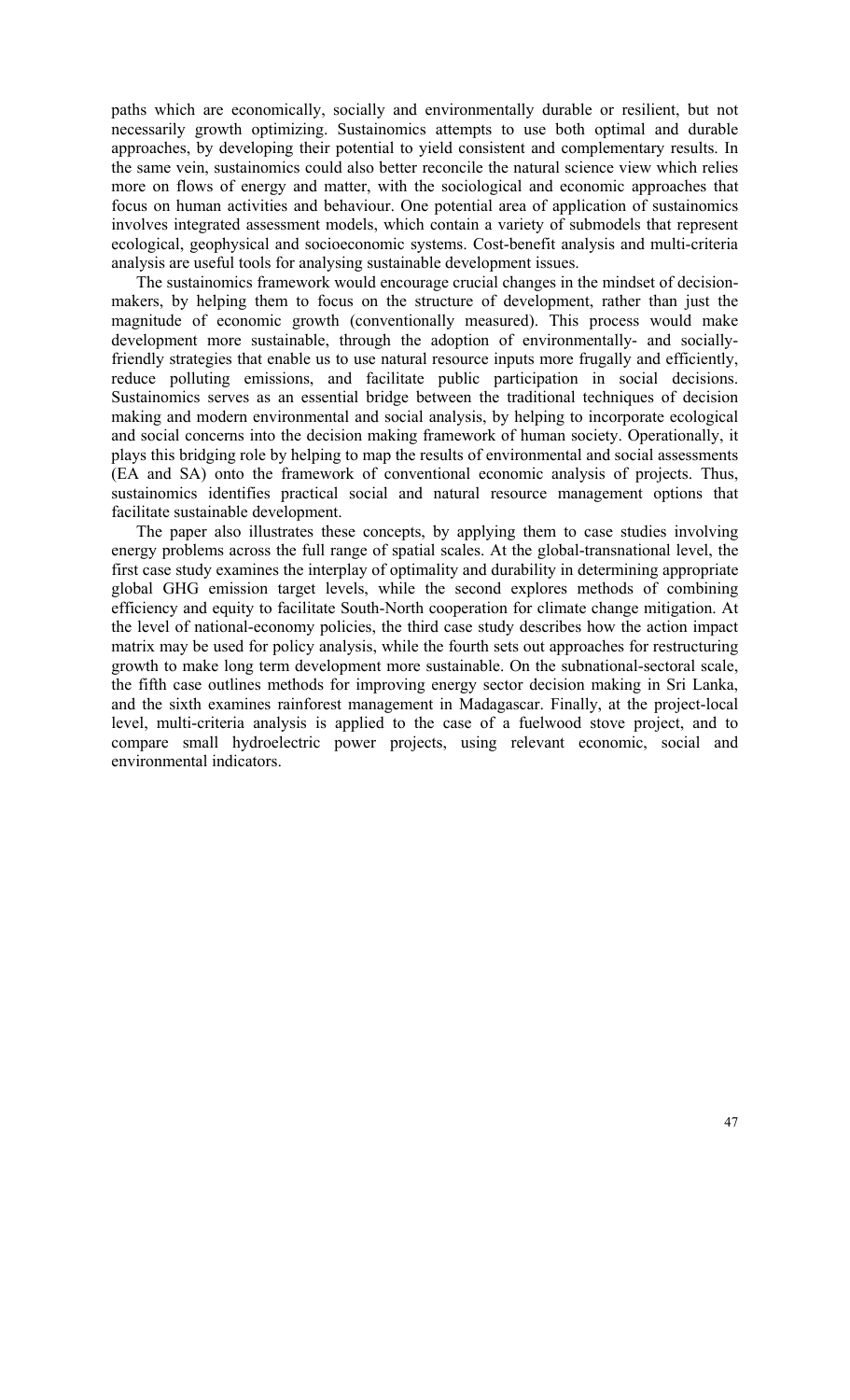paths which are economically, socially and environmentally durable or resilient, but not necessarily growth optimizing. Sustainomics attempts to use both optimal and durable approaches, by developing their potential to yield consistent and complementary results. In the same vein, sustainomics could also better reconcile the natural science view which relies more on flows of energy and matter, with the sociological and economic approaches that focus on human activities and behaviour. One potential area of application of sustainomics involves integrated assessment models, which contain a variety of submodels that represent ecological, geophysical and socioeconomic systems. Cost-benefit analysis and multi-criteria analysis are useful tools for analysing sustainable development issues.

The sustainomics framework would encourage crucial changes in the mindset of decisionmakers, by helping them to focus on the structure of development, rather than just the magnitude of economic growth (conventionally measured). This process would make development more sustainable, through the adoption of environmentally- and sociallyfriendly strategies that enable us to use natural resource inputs more frugally and efficiently, reduce polluting emissions, and facilitate public participation in social decisions. Sustainomics serves as an essential bridge between the traditional techniques of decision making and modern environmental and social analysis, by helping to incorporate ecological and social concerns into the decision making framework of human society. Operationally, it plays this bridging role by helping to map the results of environmental and social assessments (EA and SA) onto the framework of conventional economic analysis of projects. Thus, sustainomics identifies practical social and natural resource management options that facilitate sustainable development.

The paper also illustrates these concepts, by applying them to case studies involving energy problems across the full range of spatial scales. At the global-transnational level, the first case study examines the interplay of optimality and durability in determining appropriate global GHG emission target levels, while the second explores methods of combining efficiency and equity to facilitate South-North cooperation for climate change mitigation. At the level of national-economy policies, the third case study describes how the action impact matrix may be used for policy analysis, while the fourth sets out approaches for restructuring growth to make long term development more sustainable. On the subnational-sectoral scale, the fifth case outlines methods for improving energy sector decision making in Sri Lanka, and the sixth examines rainforest management in Madagascar. Finally, at the project-local level, multi-criteria analysis is applied to the case of a fuelwood stove project, and to compare small hydroelectric power projects, using relevant economic, social and environmental indicators.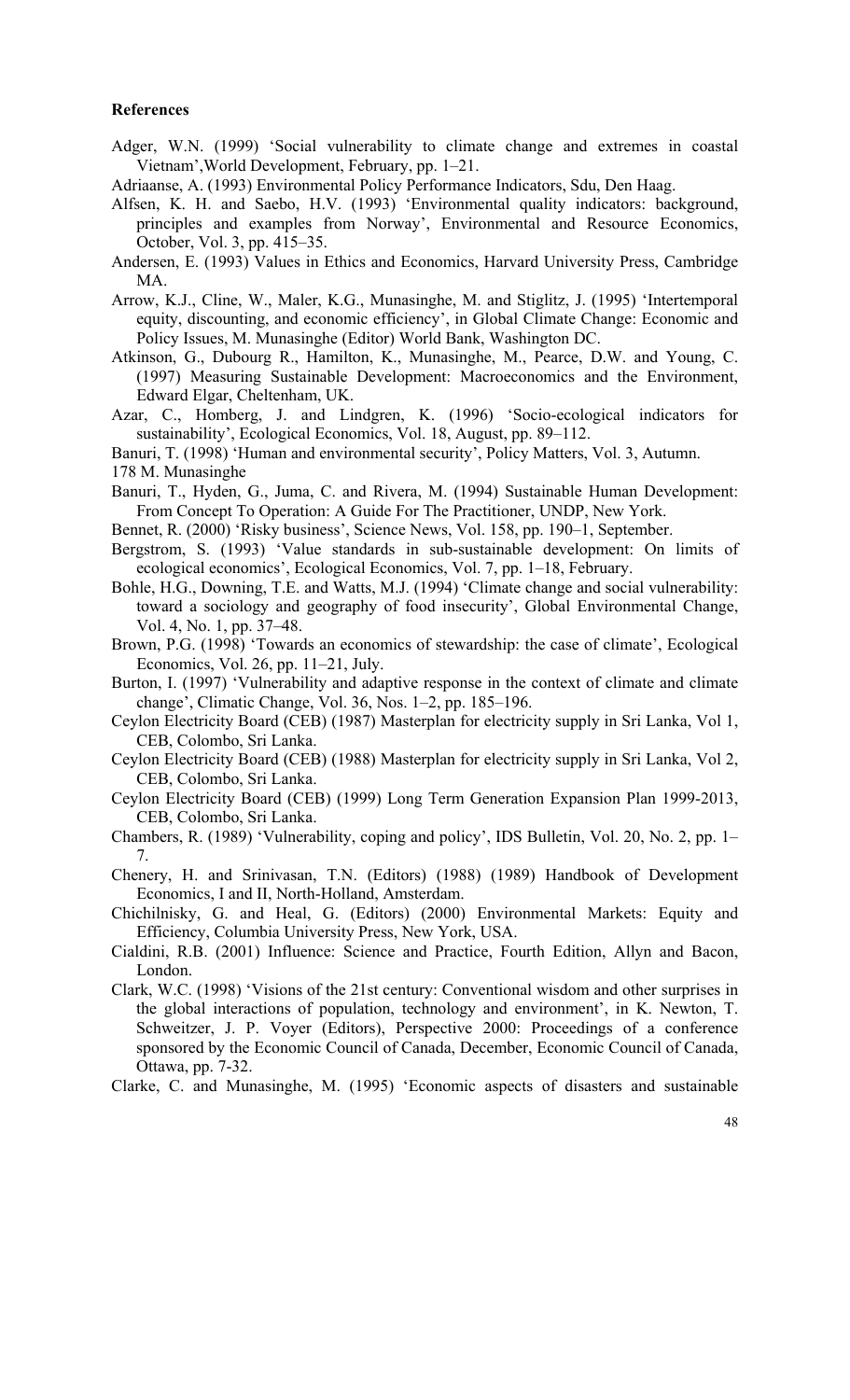#### **References**

- Adger, W.N. (1999) 'Social vulnerability to climate change and extremes in coastal Vietnam',World Development, February, pp. 1–21.
- Adriaanse, A. (1993) Environmental Policy Performance Indicators, Sdu, Den Haag.
- Alfsen, K. H. and Saebo, H.V. (1993) 'Environmental quality indicators: background, principles and examples from Norway', Environmental and Resource Economics, October, Vol. 3, pp. 415–35.
- Andersen, E. (1993) Values in Ethics and Economics, Harvard University Press, Cambridge MA.
- Arrow, K.J., Cline, W., Maler, K.G., Munasinghe, M. and Stiglitz, J. (1995) 'Intertemporal equity, discounting, and economic efficiency', in Global Climate Change: Economic and Policy Issues, M. Munasinghe (Editor) World Bank, Washington DC.
- Atkinson, G., Dubourg R., Hamilton, K., Munasinghe, M., Pearce, D.W. and Young, C. (1997) Measuring Sustainable Development: Macroeconomics and the Environment, Edward Elgar, Cheltenham, UK.
- Azar, C., Homberg, J. and Lindgren, K. (1996) 'Socio-ecological indicators for sustainability', Ecological Economics, Vol. 18, August, pp. 89–112.

Banuri, T. (1998) 'Human and environmental security', Policy Matters, Vol. 3, Autumn.

- 178 M. Munasinghe
- Banuri, T., Hyden, G., Juma, C. and Rivera, M. (1994) Sustainable Human Development: From Concept To Operation: A Guide For The Practitioner, UNDP, New York.
- Bennet, R. (2000) 'Risky business', Science News, Vol. 158, pp. 190–1, September.
- Bergstrom, S. (1993) 'Value standards in sub-sustainable development: On limits of ecological economics', Ecological Economics, Vol. 7, pp. 1–18, February.
- Bohle, H.G., Downing, T.E. and Watts, M.J. (1994) 'Climate change and social vulnerability: toward a sociology and geography of food insecurity', Global Environmental Change, Vol. 4, No. 1, pp. 37–48.
- Brown, P.G. (1998) 'Towards an economics of stewardship: the case of climate', Ecological Economics, Vol. 26, pp. 11–21, July.
- Burton, I. (1997) 'Vulnerability and adaptive response in the context of climate and climate change', Climatic Change, Vol. 36, Nos. 1–2, pp. 185–196.
- Ceylon Electricity Board (CEB) (1987) Masterplan for electricity supply in Sri Lanka, Vol 1, CEB, Colombo, Sri Lanka.
- Ceylon Electricity Board (CEB) (1988) Masterplan for electricity supply in Sri Lanka, Vol 2, CEB, Colombo, Sri Lanka.
- Ceylon Electricity Board (CEB) (1999) Long Term Generation Expansion Plan 1999-2013, CEB, Colombo, Sri Lanka.
- Chambers, R. (1989) 'Vulnerability, coping and policy', IDS Bulletin, Vol. 20, No. 2, pp. 1– 7.
- Chenery, H. and Srinivasan, T.N. (Editors) (1988) (1989) Handbook of Development Economics, I and II, North-Holland, Amsterdam.
- Chichilnisky, G. and Heal, G. (Editors) (2000) Environmental Markets: Equity and Efficiency, Columbia University Press, New York, USA.
- Cialdini, R.B. (2001) Influence: Science and Practice, Fourth Edition, Allyn and Bacon, London.
- Clark, W.C. (1998) 'Visions of the 21st century: Conventional wisdom and other surprises in the global interactions of population, technology and environment', in K. Newton, T. Schweitzer, J. P. Voyer (Editors), Perspective 2000: Proceedings of a conference sponsored by the Economic Council of Canada, December, Economic Council of Canada, Ottawa, pp. 7-32.
- Clarke, C. and Munasinghe, M. (1995) 'Economic aspects of disasters and sustainable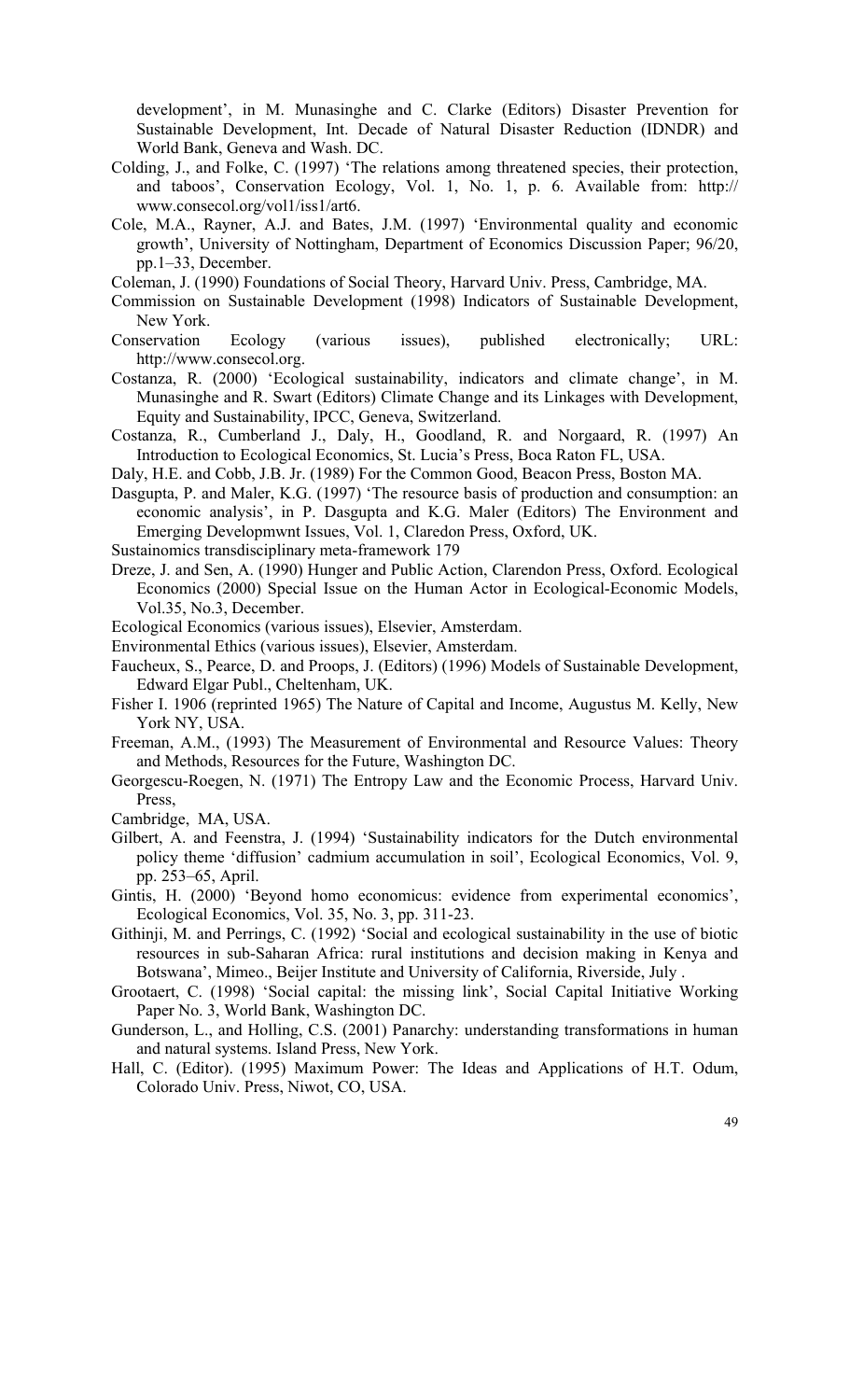development', in M. Munasinghe and C. Clarke (Editors) Disaster Prevention for Sustainable Development, Int. Decade of Natural Disaster Reduction (IDNDR) and World Bank, Geneva and Wash. DC.

- Colding, J., and Folke, C. (1997) 'The relations among threatened species, their protection, and taboos', Conservation Ecology, Vol. 1, No. 1, p. 6. Available from: http:// www.consecol.org/vol1/iss1/art6.
- Cole, M.A., Rayner, A.J. and Bates, J.M. (1997) 'Environmental quality and economic growth', University of Nottingham, Department of Economics Discussion Paper; 96/20, pp.1–33, December.
- Coleman, J. (1990) Foundations of Social Theory, Harvard Univ. Press, Cambridge, MA.
- Commission on Sustainable Development (1998) Indicators of Sustainable Development, New York.
- Conservation Ecology (various issues), published electronically; URL: http://www.consecol.org.
- Costanza, R. (2000) 'Ecological sustainability, indicators and climate change', in M. Munasinghe and R. Swart (Editors) Climate Change and its Linkages with Development, Equity and Sustainability, IPCC, Geneva, Switzerland.
- Costanza, R., Cumberland J., Daly, H., Goodland, R. and Norgaard, R. (1997) An Introduction to Ecological Economics, St. Lucia's Press, Boca Raton FL, USA.
- Daly, H.E. and Cobb, J.B. Jr. (1989) For the Common Good, Beacon Press, Boston MA.
- Dasgupta, P. and Maler, K.G. (1997) 'The resource basis of production and consumption: an economic analysis', in P. Dasgupta and K.G. Maler (Editors) The Environment and Emerging Developmwnt Issues, Vol. 1, Claredon Press, Oxford, UK.
- Sustainomics transdisciplinary meta-framework 179
- Dreze, J. and Sen, A. (1990) Hunger and Public Action, Clarendon Press, Oxford. Ecological Economics (2000) Special Issue on the Human Actor in Ecological-Economic Models, Vol.35, No.3, December.
- Ecological Economics (various issues), Elsevier, Amsterdam.
- Environmental Ethics (various issues), Elsevier, Amsterdam.
- Faucheux, S., Pearce, D. and Proops, J. (Editors) (1996) Models of Sustainable Development, Edward Elgar Publ., Cheltenham, UK.
- Fisher I. 1906 (reprinted 1965) The Nature of Capital and Income, Augustus M. Kelly, New York NY, USA.
- Freeman, A.M., (1993) The Measurement of Environmental and Resource Values: Theory and Methods, Resources for the Future, Washington DC.
- Georgescu-Roegen, N. (1971) The Entropy Law and the Economic Process, Harvard Univ. Press,
- Cambridge, MA, USA.
- Gilbert, A. and Feenstra, J. (1994) 'Sustainability indicators for the Dutch environmental policy theme 'diffusion' cadmium accumulation in soil', Ecological Economics, Vol. 9, pp. 253–65, April.
- Gintis, H. (2000) 'Beyond homo economicus: evidence from experimental economics', Ecological Economics, Vol. 35, No. 3, pp. 311-23.
- Githinji, M. and Perrings, C. (1992) 'Social and ecological sustainability in the use of biotic resources in sub-Saharan Africa: rural institutions and decision making in Kenya and Botswana', Mimeo., Beijer Institute and University of California, Riverside, July .
- Grootaert, C. (1998) 'Social capital: the missing link', Social Capital Initiative Working Paper No. 3, World Bank, Washington DC.
- Gunderson, L., and Holling, C.S. (2001) Panarchy: understanding transformations in human and natural systems. Island Press, New York.
- Hall, C. (Editor). (1995) Maximum Power: The Ideas and Applications of H.T. Odum, Colorado Univ. Press, Niwot, CO, USA.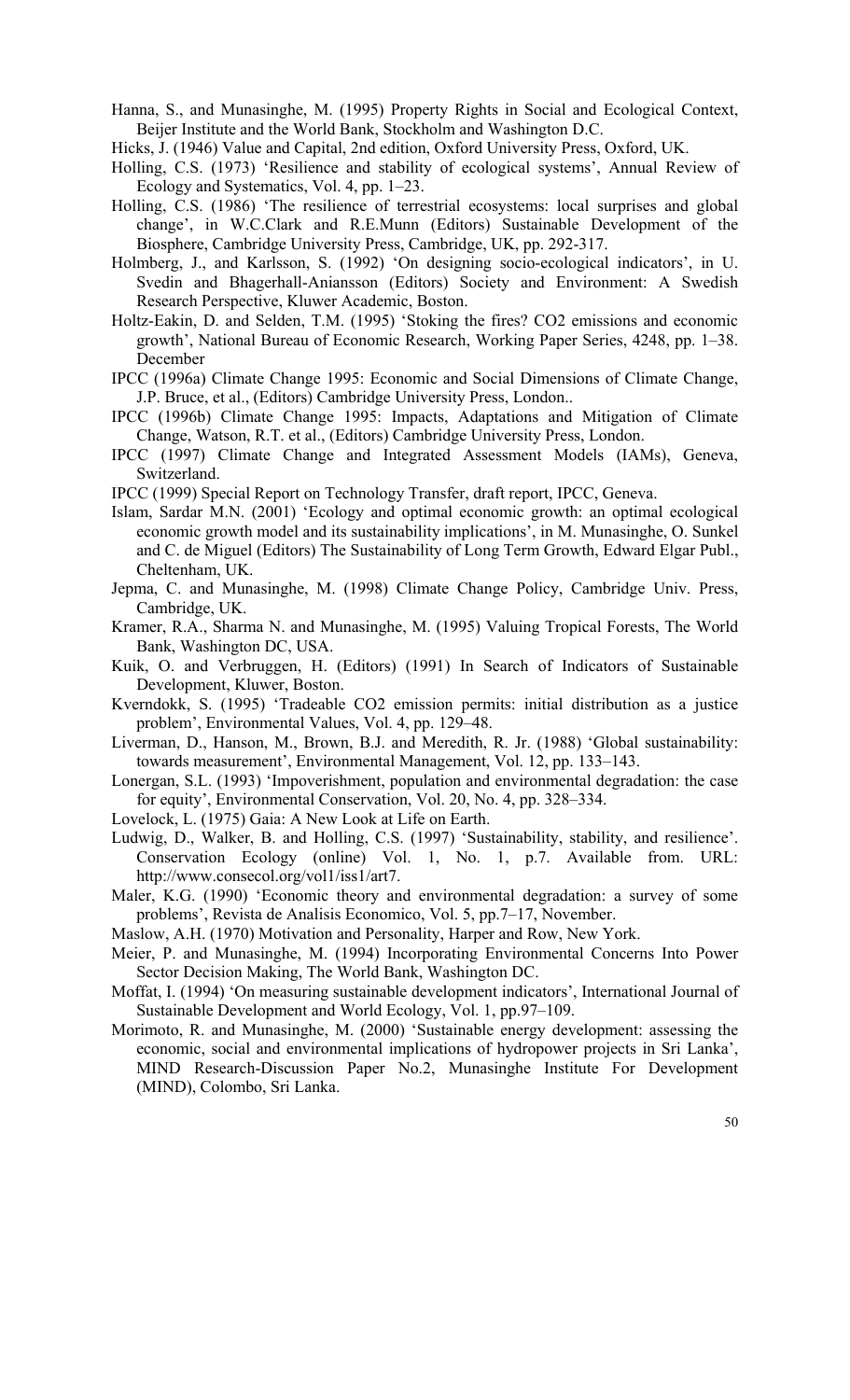- Hanna, S., and Munasinghe, M. (1995) Property Rights in Social and Ecological Context, Beijer Institute and the World Bank, Stockholm and Washington D.C.
- Hicks, J. (1946) Value and Capital, 2nd edition, Oxford University Press, Oxford, UK.
- Holling, C.S. (1973) 'Resilience and stability of ecological systems', Annual Review of Ecology and Systematics, Vol. 4, pp. 1–23.
- Holling, C.S. (1986) 'The resilience of terrestrial ecosystems: local surprises and global change', in W.C.Clark and R.E.Munn (Editors) Sustainable Development of the Biosphere, Cambridge University Press, Cambridge, UK, pp. 292-317.
- Holmberg, J., and Karlsson, S. (1992) 'On designing socio-ecological indicators', in U. Svedin and Bhagerhall-Aniansson (Editors) Society and Environment: A Swedish Research Perspective, Kluwer Academic, Boston.
- Holtz-Eakin, D. and Selden, T.M. (1995) 'Stoking the fires? CO2 emissions and economic growth', National Bureau of Economic Research, Working Paper Series, 4248, pp. 1–38. December
- IPCC (1996a) Climate Change 1995: Economic and Social Dimensions of Climate Change, J.P. Bruce, et al., (Editors) Cambridge University Press, London..
- IPCC (1996b) Climate Change 1995: Impacts, Adaptations and Mitigation of Climate Change, Watson, R.T. et al., (Editors) Cambridge University Press, London.
- IPCC (1997) Climate Change and Integrated Assessment Models (IAMs), Geneva, Switzerland.
- IPCC (1999) Special Report on Technology Transfer, draft report, IPCC, Geneva.
- Islam, Sardar M.N. (2001) 'Ecology and optimal economic growth: an optimal ecological economic growth model and its sustainability implications', in M. Munasinghe, O. Sunkel and C. de Miguel (Editors) The Sustainability of Long Term Growth, Edward Elgar Publ., Cheltenham, UK.
- Jepma, C. and Munasinghe, M. (1998) Climate Change Policy, Cambridge Univ. Press, Cambridge, UK.
- Kramer, R.A., Sharma N. and Munasinghe, M. (1995) Valuing Tropical Forests, The World Bank, Washington DC, USA.
- Kuik, O. and Verbruggen, H. (Editors) (1991) In Search of Indicators of Sustainable Development, Kluwer, Boston.
- Kverndokk, S. (1995) 'Tradeable CO2 emission permits: initial distribution as a justice problem', Environmental Values, Vol. 4, pp. 129–48.
- Liverman, D., Hanson, M., Brown, B.J. and Meredith, R. Jr. (1988) 'Global sustainability: towards measurement', Environmental Management, Vol. 12, pp. 133–143.
- Lonergan, S.L. (1993) 'Impoverishment, population and environmental degradation: the case for equity', Environmental Conservation, Vol. 20, No. 4, pp. 328–334.
- Lovelock, L. (1975) Gaia: A New Look at Life on Earth.
- Ludwig, D., Walker, B. and Holling, C.S. (1997) 'Sustainability, stability, and resilience'. Conservation Ecology (online) Vol. 1, No. 1, p.7. Available from. URL: http://www.consecol.org/vol1/iss1/art7.
- Maler, K.G. (1990) 'Economic theory and environmental degradation: a survey of some problems', Revista de Analisis Economico, Vol. 5, pp.7–17, November.
- Maslow, A.H. (1970) Motivation and Personality, Harper and Row, New York.
- Meier, P. and Munasinghe, M. (1994) Incorporating Environmental Concerns Into Power Sector Decision Making, The World Bank, Washington DC.
- Moffat, I. (1994) 'On measuring sustainable development indicators', International Journal of Sustainable Development and World Ecology, Vol. 1, pp.97–109.
- Morimoto, R. and Munasinghe, M. (2000) 'Sustainable energy development: assessing the economic, social and environmental implications of hydropower projects in Sri Lanka', MIND Research-Discussion Paper No.2, Munasinghe Institute For Development (MIND), Colombo, Sri Lanka.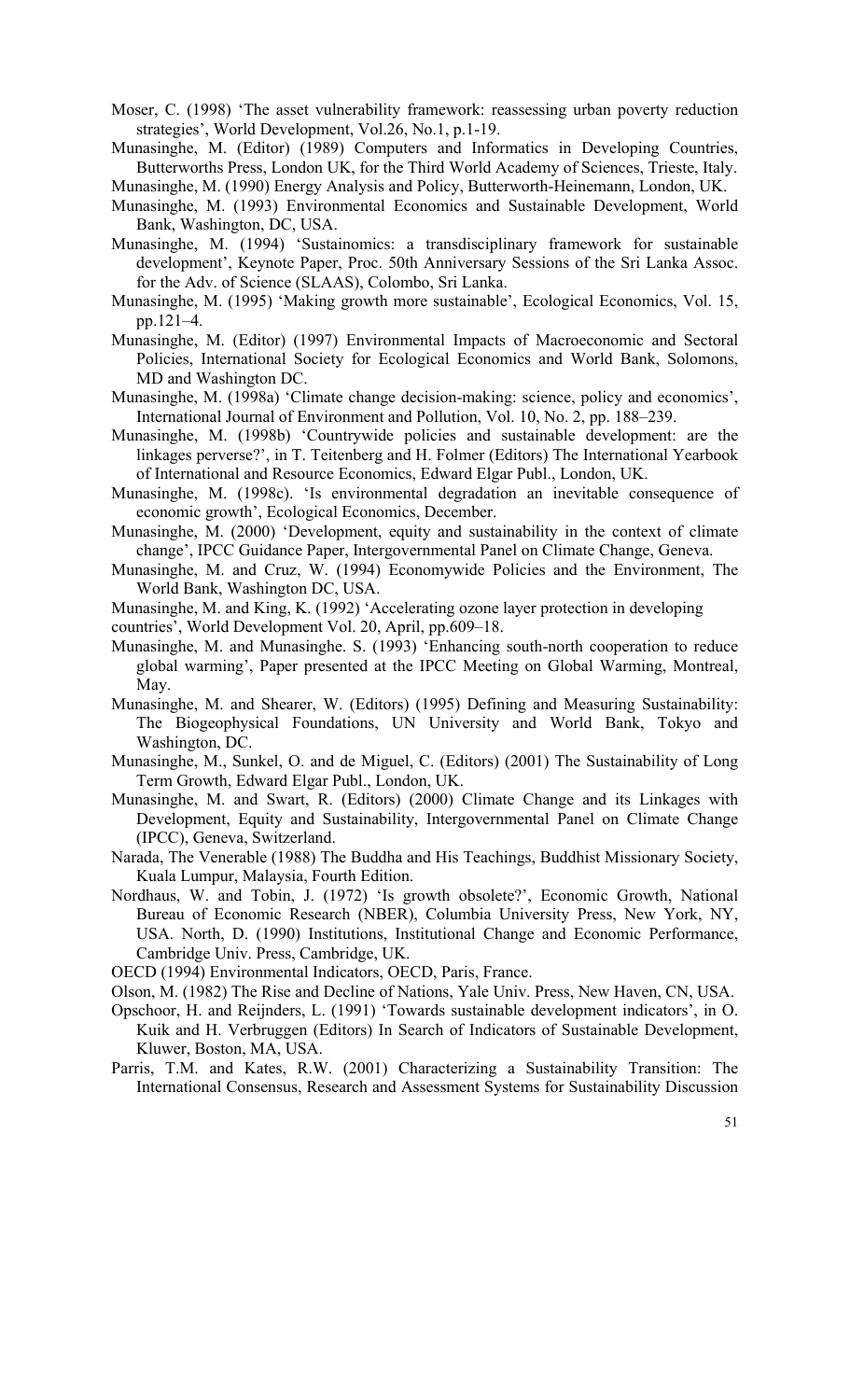- Moser, C. (1998) 'The asset vulnerability framework: reassessing urban poverty reduction strategies', World Development, Vol.26, No.1, p.1-19.
- Munasinghe, M. (Editor) (1989) Computers and Informatics in Developing Countries, Butterworths Press, London UK, for the Third World Academy of Sciences, Trieste, Italy. Munasinghe, M. (1990) Energy Analysis and Policy, Butterworth-Heinemann, London, UK.
- Munasinghe, M. (1993) Environmental Economics and Sustainable Development, World Bank, Washington, DC, USA.
- Munasinghe, M. (1994) 'Sustainomics: a transdisciplinary framework for sustainable development', Keynote Paper, Proc. 50th Anniversary Sessions of the Sri Lanka Assoc. for the Adv. of Science (SLAAS), Colombo, Sri Lanka.
- Munasinghe, M. (1995) 'Making growth more sustainable', Ecological Economics, Vol. 15, pp.121–4.
- Munasinghe, M. (Editor) (1997) Environmental Impacts of Macroeconomic and Sectoral Policies, International Society for Ecological Economics and World Bank, Solomons, MD and Washington DC.
- Munasinghe, M. (1998a) 'Climate change decision-making: science, policy and economics', International Journal of Environment and Pollution, Vol. 10, No. 2, pp. 188–239.
- Munasinghe, M. (1998b) 'Countrywide policies and sustainable development: are the linkages perverse?', in T. Teitenberg and H. Folmer (Editors) The International Yearbook of International and Resource Economics, Edward Elgar Publ., London, UK.
- Munasinghe, M. (1998c). 'Is environmental degradation an inevitable consequence of economic growth', Ecological Economics, December.
- Munasinghe, M. (2000) 'Development, equity and sustainability in the context of climate change', IPCC Guidance Paper, Intergovernmental Panel on Climate Change, Geneva.
- Munasinghe, M. and Cruz, W. (1994) Economywide Policies and the Environment, The World Bank, Washington DC, USA.
- Munasinghe, M. and King, K. (1992) 'Accelerating ozone layer protection in developing
- countries', World Development Vol. 20, April, pp.609–18.
- Munasinghe, M. and Munasinghe. S. (1993) 'Enhancing south-north cooperation to reduce global warming', Paper presented at the IPCC Meeting on Global Warming, Montreal, May.
- Munasinghe, M. and Shearer, W. (Editors) (1995) Defining and Measuring Sustainability: The Biogeophysical Foundations, UN University and World Bank, Tokyo and Washington, DC.
- Munasinghe, M., Sunkel, O. and de Miguel, C. (Editors) (2001) The Sustainability of Long Term Growth, Edward Elgar Publ., London, UK.
- Munasinghe, M. and Swart, R. (Editors) (2000) Climate Change and its Linkages with Development, Equity and Sustainability, Intergovernmental Panel on Climate Change (IPCC), Geneva, Switzerland.
- Narada, The Venerable (1988) The Buddha and His Teachings, Buddhist Missionary Society, Kuala Lumpur, Malaysia, Fourth Edition.
- Nordhaus, W. and Tobin, J. (1972) 'Is growth obsolete?', Economic Growth, National Bureau of Economic Research (NBER), Columbia University Press, New York, NY, USA. North, D. (1990) Institutions, Institutional Change and Economic Performance, Cambridge Univ. Press, Cambridge, UK.

OECD (1994) Environmental Indicators, OECD, Paris, France.

- Olson, M. (1982) The Rise and Decline of Nations, Yale Univ. Press, New Haven, CN, USA.
- Opschoor, H. and Reijnders, L. (1991) 'Towards sustainable development indicators', in O. Kuik and H. Verbruggen (Editors) In Search of Indicators of Sustainable Development, Kluwer, Boston, MA, USA.
- Parris, T.M. and Kates, R.W. (2001) Characterizing a Sustainability Transition: The International Consensus, Research and Assessment Systems for Sustainability Discussion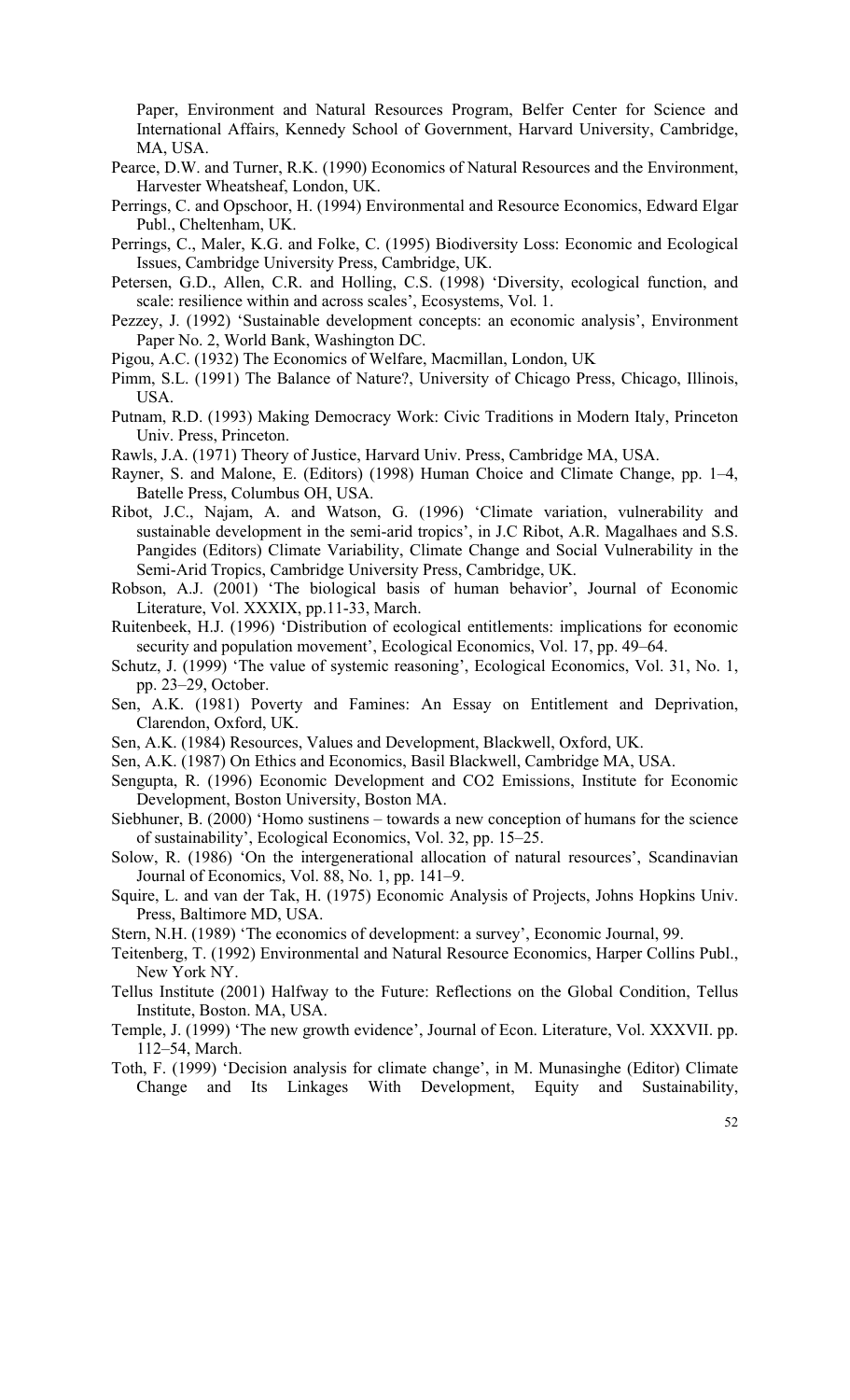Paper, Environment and Natural Resources Program, Belfer Center for Science and International Affairs, Kennedy School of Government, Harvard University, Cambridge, MA, USA.

- Pearce, D.W. and Turner, R.K. (1990) Economics of Natural Resources and the Environment, Harvester Wheatsheaf, London, UK.
- Perrings, C. and Opschoor, H. (1994) Environmental and Resource Economics, Edward Elgar Publ., Cheltenham, UK.
- Perrings, C., Maler, K.G. and Folke, C. (1995) Biodiversity Loss: Economic and Ecological Issues, Cambridge University Press, Cambridge, UK.
- Petersen, G.D., Allen, C.R. and Holling, C.S. (1998) 'Diversity, ecological function, and scale: resilience within and across scales', Ecosystems, Vol. 1.
- Pezzey, J. (1992) 'Sustainable development concepts: an economic analysis', Environment Paper No. 2, World Bank, Washington DC.
- Pigou, A.C. (1932) The Economics of Welfare, Macmillan, London, UK
- Pimm, S.L. (1991) The Balance of Nature?, University of Chicago Press, Chicago, Illinois, USA.
- Putnam, R.D. (1993) Making Democracy Work: Civic Traditions in Modern Italy, Princeton Univ. Press, Princeton.
- Rawls, J.A. (1971) Theory of Justice, Harvard Univ. Press, Cambridge MA, USA.
- Rayner, S. and Malone, E. (Editors) (1998) Human Choice and Climate Change, pp. 1–4, Batelle Press, Columbus OH, USA.
- Ribot, J.C., Najam, A. and Watson, G. (1996) 'Climate variation, vulnerability and sustainable development in the semi-arid tropics', in J.C Ribot, A.R. Magalhaes and S.S. Pangides (Editors) Climate Variability, Climate Change and Social Vulnerability in the Semi-Arid Tropics, Cambridge University Press, Cambridge, UK.
- Robson, A.J. (2001) 'The biological basis of human behavior', Journal of Economic Literature, Vol. XXXIX, pp.11-33, March.
- Ruitenbeek, H.J. (1996) 'Distribution of ecological entitlements: implications for economic security and population movement', Ecological Economics, Vol. 17, pp. 49–64.
- Schutz, J. (1999) 'The value of systemic reasoning', Ecological Economics, Vol. 31, No. 1, pp. 23–29, October.
- Sen, A.K. (1981) Poverty and Famines: An Essay on Entitlement and Deprivation, Clarendon, Oxford, UK.
- Sen, A.K. (1984) Resources, Values and Development, Blackwell, Oxford, UK.
- Sen, A.K. (1987) On Ethics and Economics, Basil Blackwell, Cambridge MA, USA.
- Sengupta, R. (1996) Economic Development and CO2 Emissions, Institute for Economic Development, Boston University, Boston MA.
- Siebhuner, B. (2000) 'Homo sustinens towards a new conception of humans for the science of sustainability', Ecological Economics, Vol. 32, pp. 15–25.
- Solow, R. (1986) 'On the intergenerational allocation of natural resources', Scandinavian Journal of Economics, Vol. 88, No. 1, pp. 141–9.
- Squire, L. and van der Tak, H. (1975) Economic Analysis of Projects, Johns Hopkins Univ. Press, Baltimore MD, USA.
- Stern, N.H. (1989) 'The economics of development: a survey', Economic Journal, 99.
- Teitenberg, T. (1992) Environmental and Natural Resource Economics, Harper Collins Publ., New York NY.
- Tellus Institute (2001) Halfway to the Future: Reflections on the Global Condition, Tellus Institute, Boston. MA, USA.
- Temple, J. (1999) 'The new growth evidence', Journal of Econ. Literature, Vol. XXXVII. pp. 112–54, March.
- Toth, F. (1999) 'Decision analysis for climate change', in M. Munasinghe (Editor) Climate Change and Its Linkages With Development, Equity and Sustainability,